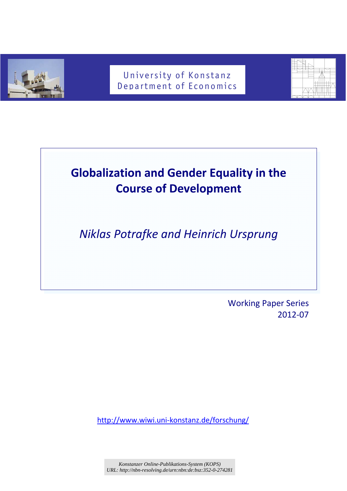

# University of Konstanz Department of Economics



# **Globalization and Gender Equality in the Course of Development**

*Niklas Potrafke and Heinrich Ursprung*

 Working Paper Series 2012‐07

http://www.wiwi.uni‐konstanz.de/forschung/

*Konstanzer Online-Publikations-System (KOPS) URL[: http://nbn-resolving.de/urn:nbn:de:bsz:352-0-274281](http://nbn-resolving.de/urn:nbn:de:bsz:352-0-274281)*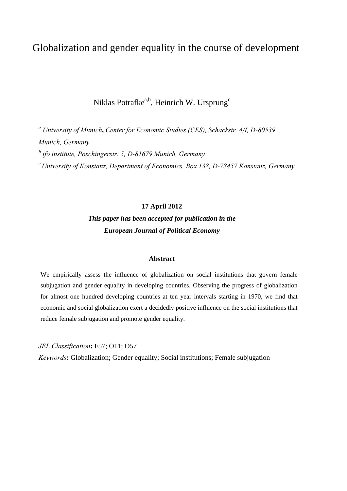## Globalization and gender equality in the course of development

Niklas Potrafke<sup>a,b</sup>, Heinrich W. Ursprung<sup>c</sup>

*a University of Munich***,** *Center for Economic Studies (CES), Schackstr. 4/I, D-80539 Munich, Germany b ifo institute, Poschingerstr. 5, D-81679 Munich, Germany c University of Konstanz, Department of Economics, Box 138, D-78457 Konstanz, Germany*

#### **17 April 2012**

## *This paper has been accepted for publication in the European Journal of Political Economy*

#### **Abstract**

We empirically assess the influence of globalization on social institutions that govern female subjugation and gender equality in developing countries. Observing the progress of globalization for almost one hundred developing countries at ten year intervals starting in 1970, we find that economic and social globalization exert a decidedly positive influence on the social institutions that reduce female subjugation and promote gender equality.

#### *JEL Classification***:** F57; O11; O57

*Keywords***:** Globalization; Gender equality; Social institutions; Female subjugation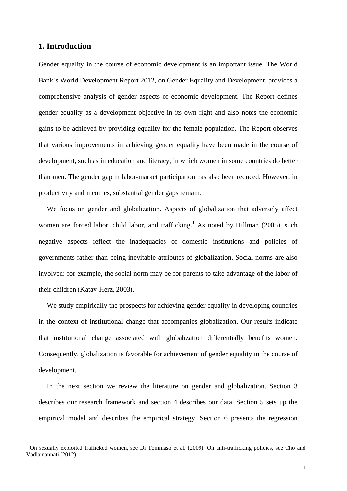#### **1. Introduction**

l

Gender equality in the course of economic development is an important issue. The World Bank´s World Development Report 2012, on Gender Equality and Development, provides a comprehensive analysis of gender aspects of economic development. The Report defines gender equality as a development objective in its own right and also notes the economic gains to be achieved by providing equality for the female population. The Report observes that various improvements in achieving gender equality have been made in the course of development, such as in education and literacy, in which women in some countries do better than men. The gender gap in labor-market participation has also been reduced. However, in productivity and incomes, substantial gender gaps remain.

We focus on gender and globalization. Aspects of globalization that adversely affect women are forced labor, child labor, and trafficking.<sup>1</sup> As noted by Hillman (2005), such negative aspects reflect the inadequacies of domestic institutions and policies of governments rather than being inevitable attributes of globalization. Social norms are also involved: for example, the social norm may be for parents to take advantage of the labor of their children (Katav-Herz, 2003).

We study empirically the prospects for achieving gender equality in developing countries in the context of institutional change that accompanies globalization. Our results indicate that institutional change associated with globalization differentially benefits women. Consequently, globalization is favorable for achievement of gender equality in the course of development.

 In the next section we review the literature on gender and globalization. Section 3 describes our research framework and section 4 describes our data. Section 5 sets up the empirical model and describes the empirical strategy. Section 6 presents the regression

<sup>1</sup> On sexually exploited trafficked women, see Di Tommaso et al. (2009). On anti-trafficking policies, see Cho and Vadlamannati (2012).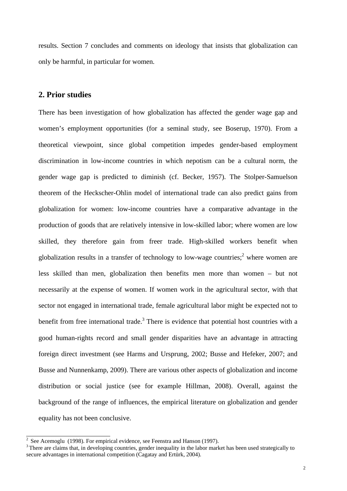results. Section 7 concludes and comments on ideology that insists that globalization can only be harmful, in particular for women.

## **2. Prior studies**

There has been investigation of how globalization has affected the gender wage gap and women's employment opportunities (for a seminal study, see Boserup, 1970). From a theoretical viewpoint, since global competition impedes gender-based employment discrimination in low-income countries in which nepotism can be a cultural norm, the gender wage gap is predicted to diminish (cf. Becker, 1957). The Stolper-Samuelson theorem of the Heckscher-Ohlin model of international trade can also predict gains from globalization for women: low-income countries have a comparative advantage in the production of goods that are relatively intensive in low-skilled labor; where women are low skilled, they therefore gain from freer trade. High-skilled workers benefit when globalization results in a transfer of technology to low-wage countries;<sup>2</sup> where women are less skilled than men, globalization then benefits men more than women – but not necessarily at the expense of women. If women work in the agricultural sector, with that sector not engaged in international trade, female agricultural labor might be expected not to benefit from free international trade.<sup>3</sup> There is evidence that potential host countries with a good human-rights record and small gender disparities have an advantage in attracting foreign direct investment (see Harms and Ursprung, 2002; Busse and Hefeker, 2007; and Busse and Nunnenkamp, 2009). There are various other aspects of globalization and income distribution or social justice (see for example Hillman, 2008). Overall, against the background of the range of influences, the empirical literature on globalization and gender equality has not been conclusive.

 $\sqrt{2}$ 

<sup>&</sup>lt;sup>2</sup> See Acemoglu (1998). For empirical evidence, see Feenstra and Hanson (1997).<br><sup>3</sup> There are claims that, in developing countries, gender inequality in the labor market has been used strategically to secure advantages in international competition (Cagatay and Ertürk, 2004).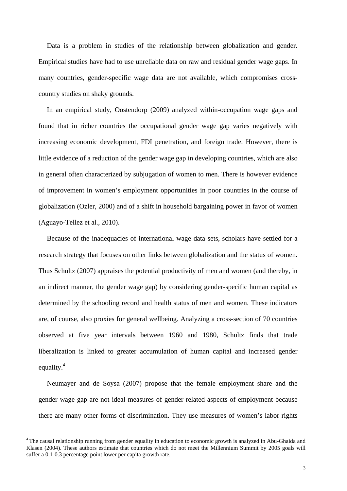Data is a problem in studies of the relationship between globalization and gender. Empirical studies have had to use unreliable data on raw and residual gender wage gaps. In many countries, gender-specific wage data are not available, which compromises crosscountry studies on shaky grounds.

In an empirical study, Oostendorp (2009) analyzed within-occupation wage gaps and found that in richer countries the occupational gender wage gap varies negatively with increasing economic development, FDI penetration, and foreign trade. However, there is little evidence of a reduction of the gender wage gap in developing countries, which are also in general often characterized by subjugation of women to men. There is however evidence of improvement in women's employment opportunities in poor countries in the course of globalization (Ozler, 2000) and of a shift in household bargaining power in favor of women (Aguayo-Tellez et al., 2010).

Because of the inadequacies of international wage data sets, scholars have settled for a research strategy that focuses on other links between globalization and the status of women. Thus Schultz (2007) appraises the potential productivity of men and women (and thereby, in an indirect manner, the gender wage gap) by considering gender-specific human capital as determined by the schooling record and health status of men and women. These indicators are, of course, also proxies for general wellbeing. Analyzing a cross-section of 70 countries observed at five year intervals between 1960 and 1980, Schultz finds that trade liberalization is linked to greater accumulation of human capital and increased gender equality. $4$ 

Neumayer and de Soysa (2007) propose that the female employment share and the gender wage gap are not ideal measures of gender-related aspects of employment because there are many other forms of discrimination. They use measures of women's labor rights

<sup>&</sup>lt;sup>4</sup> The causal relationship running from gender equality in education to economic growth is analyzed in Abu-Ghaida and Klasen (2004). These authors estimate that countries which do not meet the Millennium Summit by 2005 goals will suffer a 0.1-0.3 percentage point lower per capita growth rate.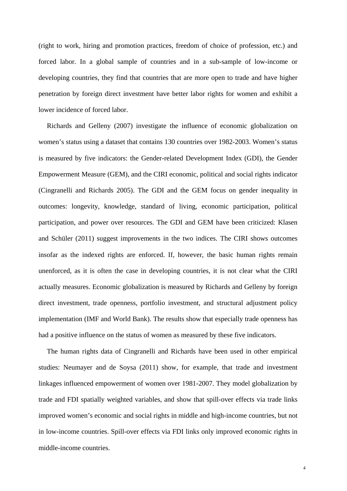(right to work, hiring and promotion practices, freedom of choice of profession, etc.) and forced labor. In a global sample of countries and in a sub-sample of low-income or developing countries, they find that countries that are more open to trade and have higher penetration by foreign direct investment have better labor rights for women and exhibit a lower incidence of forced labor.

Richards and Gelleny (2007) investigate the influence of economic globalization on women's status using a dataset that contains 130 countries over 1982-2003. Women's status is measured by five indicators: the Gender-related Development Index (GDI), the Gender Empowerment Measure (GEM), and the CIRI economic, political and social rights indicator (Cingranelli and Richards 2005). The GDI and the GEM focus on gender inequality in outcomes: longevity, knowledge, standard of living, economic participation, political participation, and power over resources. The GDI and GEM have been criticized: Klasen and Schüler (2011) suggest improvements in the two indices. The CIRI shows outcomes insofar as the indexed rights are enforced. If, however, the basic human rights remain unenforced, as it is often the case in developing countries, it is not clear what the CIRI actually measures. Economic globalization is measured by Richards and Gelleny by foreign direct investment, trade openness, portfolio investment, and structural adjustment policy implementation (IMF and World Bank). The results show that especially trade openness has had a positive influence on the status of women as measured by these five indicators.

The human rights data of Cingranelli and Richards have been used in other empirical studies: Neumayer and de Soysa (2011) show, for example, that trade and investment linkages influenced empowerment of women over 1981-2007. They model globalization by trade and FDI spatially weighted variables, and show that spill-over effects via trade links improved women's economic and social rights in middle and high-income countries, but not in low-income countries. Spill-over effects via FDI links only improved economic rights in middle-income countries.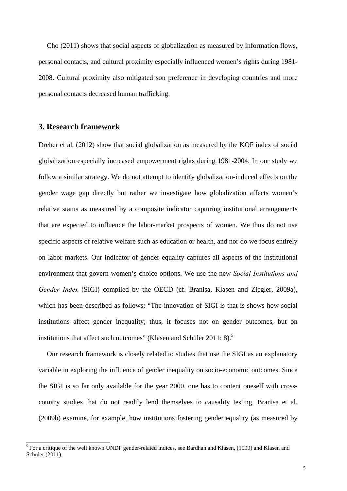Cho (2011) shows that social aspects of globalization as measured by information flows, personal contacts, and cultural proximity especially influenced women's rights during 1981- 2008. Cultural proximity also mitigated son preference in developing countries and more personal contacts decreased human trafficking.

## **3. Research framework**

Dreher et al. (2012) show that social globalization as measured by the KOF index of social globalization especially increased empowerment rights during 1981-2004. In our study we follow a similar strategy. We do not attempt to identify globalization-induced effects on the gender wage gap directly but rather we investigate how globalization affects women's relative status as measured by a composite indicator capturing institutional arrangements that are expected to influence the labor-market prospects of women. We thus do not use specific aspects of relative welfare such as education or health, and nor do we focus entirely on labor markets. Our indicator of gender equality captures all aspects of the institutional environment that govern women's choice options. We use the new *Social Institutions and Gender Index* (SIGI) compiled by the OECD (cf. Branisa, Klasen and Ziegler, 2009a), which has been described as follows: "The innovation of SIGI is that is shows how social institutions affect gender inequality; thus, it focuses not on gender outcomes, but on institutions that affect such outcomes" (Klasen and Schüler 2011: 8).<sup>5</sup>

Our research framework is closely related to studies that use the SIGI as an explanatory variable in exploring the influence of gender inequality on socio-economic outcomes. Since the SIGI is so far only available for the year 2000, one has to content oneself with crosscountry studies that do not readily lend themselves to causality testing. Branisa et al. (2009b) examine, for example, how institutions fostering gender equality (as measured by

<sup>&</sup>lt;sup>5</sup> For a critique of the well known UNDP gender-related indices, see Bardhan and Klasen, (1999) and Klasen and Schüler (2011).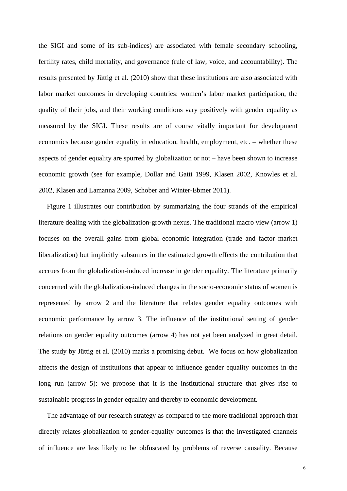the SIGI and some of its sub-indices) are associated with female secondary schooling, fertility rates, child mortality, and governance (rule of law, voice, and accountability). The results presented by Jüttig et al. (2010) show that these institutions are also associated with labor market outcomes in developing countries: women's labor market participation, the quality of their jobs, and their working conditions vary positively with gender equality as measured by the SIGI. These results are of course vitally important for development economics because gender equality in education, health, employment, etc. – whether these aspects of gender equality are spurred by globalization or not – have been shown to increase economic growth (see for example, Dollar and Gatti 1999, Klasen 2002, Knowles et al. 2002, Klasen and Lamanna 2009, Schober and Winter-Ebmer 2011).

 Figure 1 illustrates our contribution by summarizing the four strands of the empirical literature dealing with the globalization-growth nexus. The traditional macro view (arrow 1) focuses on the overall gains from global economic integration (trade and factor market liberalization) but implicitly subsumes in the estimated growth effects the contribution that accrues from the globalization-induced increase in gender equality. The literature primarily concerned with the globalization-induced changes in the socio-economic status of women is represented by arrow 2 and the literature that relates gender equality outcomes with economic performance by arrow 3. The influence of the institutional setting of gender relations on gender equality outcomes (arrow 4) has not yet been analyzed in great detail. The study by Jüttig et al. (2010) marks a promising debut. We focus on how globalization affects the design of institutions that appear to influence gender equality outcomes in the long run (arrow 5): we propose that it is the institutional structure that gives rise to sustainable progress in gender equality and thereby to economic development.

The advantage of our research strategy as compared to the more traditional approach that directly relates globalization to gender-equality outcomes is that the investigated channels of influence are less likely to be obfuscated by problems of reverse causality. Because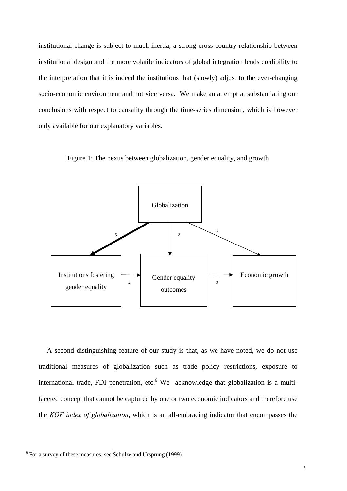institutional change is subject to much inertia, a strong cross-country relationship between institutional design and the more volatile indicators of global integration lends credibility to the interpretation that it is indeed the institutions that (slowly) adjust to the ever-changing socio-economic environment and not vice versa. We make an attempt at substantiating our conclusions with respect to causality through the time-series dimension, which is however only available for our explanatory variables.

Figure 1: The nexus between globalization, gender equality, and growth



 A second distinguishing feature of our study is that, as we have noted, we do not use traditional measures of globalization such as trade policy restrictions, exposure to international trade, FDI penetration, etc.<sup>6</sup> We acknowledge that globalization is a multifaceted concept that cannot be captured by one or two economic indicators and therefore use the *KOF index of globalization*, which is an all-embracing indicator that encompasses the

 $\overline{\phantom{a}}^6$  For a survey of these measures, see Schulze and Ursprung (1999).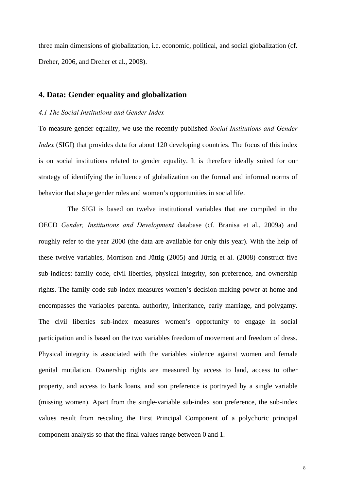three main dimensions of globalization, i.e. economic, political, and social globalization (cf. Dreher, 2006, and Dreher et al., 2008).

## **4. Data: Gender equality and globalization**

#### *4.1 The Social Institutions and Gender Index*

To measure gender equality, we use the recently published *Social Institutions and Gender Index* (SIGI) that provides data for about 120 developing countries. The focus of this index is on social institutions related to gender equality. It is therefore ideally suited for our strategy of identifying the influence of globalization on the formal and informal norms of behavior that shape gender roles and women's opportunities in social life.

 The SIGI is based on twelve institutional variables that are compiled in the OECD *Gender, Institutions and Development* database (cf. Branisa et al., 2009a) and roughly refer to the year 2000 (the data are available for only this year). With the help of these twelve variables, Morrison and Jüttig (2005) and Jüttig et al. (2008) construct five sub-indices: family code, civil liberties, physical integrity, son preference, and ownership rights. The family code sub-index measures women's decision-making power at home and encompasses the variables parental authority, inheritance, early marriage, and polygamy. The civil liberties sub-index measures women's opportunity to engage in social participation and is based on the two variables freedom of movement and freedom of dress. Physical integrity is associated with the variables violence against women and female genital mutilation. Ownership rights are measured by access to land, access to other property, and access to bank loans, and son preference is portrayed by a single variable (missing women). Apart from the single-variable sub-index son preference, the sub-index values result from rescaling the First Principal Component of a polychoric principal component analysis so that the final values range between 0 and 1.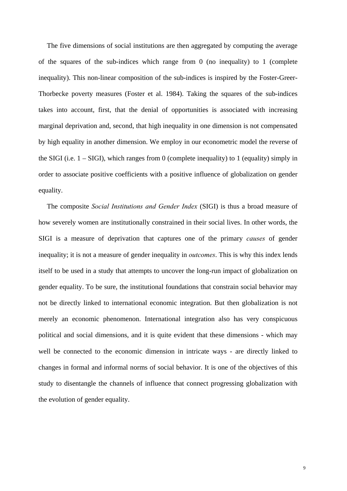The five dimensions of social institutions are then aggregated by computing the average of the squares of the sub-indices which range from 0 (no inequality) to 1 (complete inequality). This non-linear composition of the sub-indices is inspired by the Foster-Greer-Thorbecke poverty measures (Foster et al. 1984). Taking the squares of the sub-indices takes into account, first, that the denial of opportunities is associated with increasing marginal deprivation and, second, that high inequality in one dimension is not compensated by high equality in another dimension. We employ in our econometric model the reverse of the SIGI (i.e.  $1 - SIGI$ ), which ranges from 0 (complete inequality) to 1 (equality) simply in order to associate positive coefficients with a positive influence of globalization on gender equality.

 The composite *Social Institutions and Gender Index* (SIGI) is thus a broad measure of how severely women are institutionally constrained in their social lives. In other words, the SIGI is a measure of deprivation that captures one of the primary *causes* of gender inequality; it is not a measure of gender inequality in *outcomes*. This is why this index lends itself to be used in a study that attempts to uncover the long-run impact of globalization on gender equality. To be sure, the institutional foundations that constrain social behavior may not be directly linked to international economic integration. But then globalization is not merely an economic phenomenon. International integration also has very conspicuous political and social dimensions, and it is quite evident that these dimensions - which may well be connected to the economic dimension in intricate ways - are directly linked to changes in formal and informal norms of social behavior. It is one of the objectives of this study to disentangle the channels of influence that connect progressing globalization with the evolution of gender equality.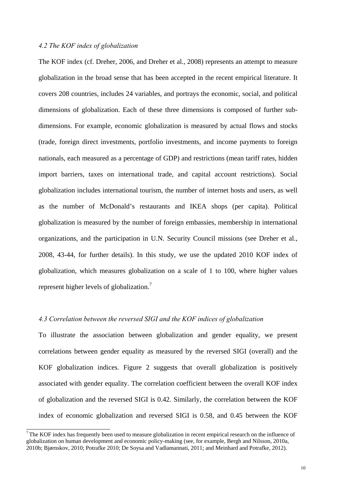#### *4.2 The KOF index of globalization*

The KOF index (cf. Dreher, 2006, and Dreher et al., 2008) represents an attempt to measure globalization in the broad sense that has been accepted in the recent empirical literature. It covers 208 countries, includes 24 variables, and portrays the economic, social, and political dimensions of globalization. Each of these three dimensions is composed of further subdimensions. For example, economic globalization is measured by actual flows and stocks (trade, foreign direct investments, portfolio investments, and income payments to foreign nationals, each measured as a percentage of GDP) and restrictions (mean tariff rates, hidden import barriers, taxes on international trade, and capital account restrictions). Social globalization includes international tourism, the number of internet hosts and users, as well as the number of McDonald's restaurants and IKEA shops (per capita). Political globalization is measured by the number of foreign embassies, membership in international organizations, and the participation in U.N. Security Council missions (see Dreher et al., 2008, 43-44, for further details). In this study, we use the updated 2010 KOF index of globalization, which measures globalization on a scale of 1 to 100, where higher values represent higher levels of globalization.<sup>7</sup>

#### *4.3 Correlation between the reversed SIGI and the KOF indices of globalization*

To illustrate the association between globalization and gender equality, we present correlations between gender equality as measured by the reversed SIGI (overall) and the KOF globalization indices. Figure 2 suggests that overall globalization is positively associated with gender equality. The correlation coefficient between the overall KOF index of globalization and the reversed SIGI is 0.42. Similarly, the correlation between the KOF index of economic globalization and reversed SIGI is 0.58, and 0.45 between the KOF

<sup>&</sup>lt;sup>7</sup>The KOF index has frequently been used to measure globalization in recent empirical research on the influence of globalization on human development and economic policy-making (see, for example, Bergh and Nilsson, 2010a, 2010b; Bjørnskov, 2010; Potrafke 2010; De Soysa and Vadlamannati, 2011; and Meinhard and Potrafke, 2012).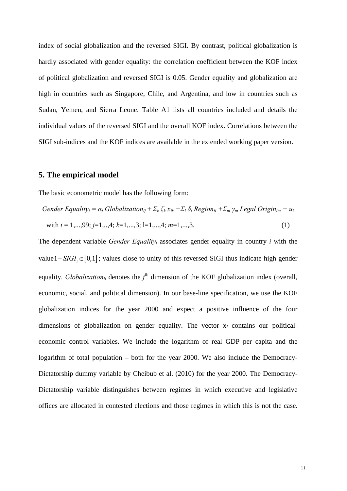index of social globalization and the reversed SIGI. By contrast, political globalization is hardly associated with gender equality: the correlation coefficient between the KOF index of political globalization and reversed SIGI is 0.05. Gender equality and globalization are high in countries such as Singapore, Chile, and Argentina, and low in countries such as Sudan, Yemen, and Sierra Leone. Table A1 lists all countries included and details the individual values of the reversed SIGI and the overall KOF index. Correlations between the SIGI sub-indices and the KOF indices are available in the extended working paper version.

#### **5. The empirical model**

The basic econometric model has the following form:

$$
Gender Equality_i = \alpha_j Globalization_{ij} + \sum_k \zeta_k x_{ik} + \sum_l \delta_l Region_{il} + \sum_m \gamma_m Legal Origin_{im} + u_i
$$
\nwith  $i = 1, \ldots, 99; j = 1, \ldots, 4; k = 1, \ldots, 3; l = 1, \ldots, 4; m = 1, \ldots, 3.$ \n
$$
(1)
$$

The dependent variable *Gender Equalityi* associates gender equality in country *i* with the value  $1 - SIGI_i \in [0,1]$ ; values close to unity of this reversed SIGI thus indicate high gender equality. *Globalization*<sub>ij</sub> denotes the  $j^{\text{th}}$  dimension of the KOF globalization index (overall, economic, social, and political dimension). In our base-line specification, we use the KOF globalization indices for the year 2000 and expect a positive influence of the four dimensions of globalization on gender equality. The vector  $x_i$  contains our politicaleconomic control variables. We include the logarithm of real GDP per capita and the logarithm of total population – both for the year 2000. We also include the Democracy-Dictatorship dummy variable by Cheibub et al. (2010) for the year 2000. The Democracy-Dictatorship variable distinguishes between regimes in which executive and legislative offices are allocated in contested elections and those regimes in which this is not the case.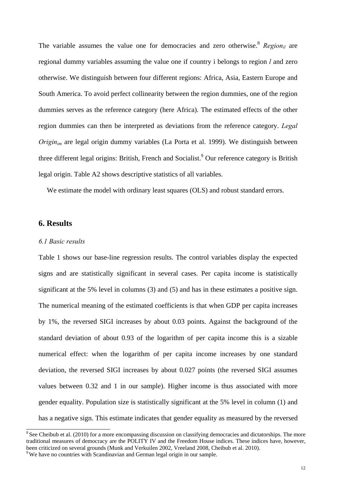The variable assumes the value one for democracies and zero otherwise.<sup>8</sup> *Region*<sub>il</sub> are regional dummy variables assuming the value one if country i belongs to region *l* and zero otherwise. We distinguish between four different regions: Africa, Asia, Eastern Europe and South America. To avoid perfect collinearity between the region dummies, one of the region dummies serves as the reference category (here Africa). The estimated effects of the other region dummies can then be interpreted as deviations from the reference category. *Legal Origin<sub>im</sub>* are legal origin dummy variables (La Porta et al. 1999). We distinguish between three different legal origins: British, French and Socialist.<sup>9</sup> Our reference category is British legal origin. Table A2 shows descriptive statistics of all variables.

We estimate the model with ordinary least squares (OLS) and robust standard errors.

## **6. Results**

#### *6.1 Basic results*

Table 1 shows our base-line regression results. The control variables display the expected signs and are statistically significant in several cases. Per capita income is statistically significant at the 5% level in columns (3) and (5) and has in these estimates a positive sign. The numerical meaning of the estimated coefficients is that when GDP per capita increases by 1%, the reversed SIGI increases by about 0.03 points. Against the background of the standard deviation of about 0.93 of the logarithm of per capita income this is a sizable numerical effect: when the logarithm of per capita income increases by one standard deviation, the reversed SIGI increases by about 0.027 points (the reversed SIGI assumes values between 0.32 and 1 in our sample). Higher income is thus associated with more gender equality. Population size is statistically significant at the 5% level in column (1) and has a negative sign. This estimate indicates that gender equality as measured by the reversed

 $\frac{8}{8}$  See Cheibub et al. (2010) for a more encompassing discussion on classifying democracies and dictatorships. The more traditional measures of democracy are the POLITY IV and the Freedom House indices. These indices have, however, been criticized on several grounds (Munk and Verkuilen 2002, Vreeland 2008, Cheibub et al. 2010).

<sup>&</sup>lt;sup>9</sup>We have no countries with Scandinavian and German legal origin in our sample.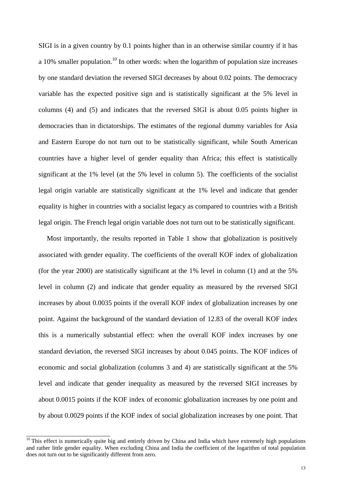SIGI is in a given country by 0.1 points higher than in an otherwise similar country if it has a 10% smaller population.<sup>10</sup> In other words: when the logarithm of population size increases by one standard deviation the reversed SIGI decreases by about 0.02 points. The democracy variable has the expected positive sign and is statistically significant at the 5% level in columns (4) and (5) and indicates that the reversed SIGI is about 0.05 points higher in democracies than in dictatorships. The estimates of the regional dummy variables for Asia and Eastern Europe do not turn out to be statistically significant, while South American countries have a higher level of gender equality than Africa; this effect is statistically significant at the 1% level (at the 5% level in column 5). The coefficients of the socialist legal origin variable are statistically significant at the 1% level and indicate that gender equality is higher in countries with a socialist legacy as compared to countries with a British legal origin. The French legal origin variable does not turn out to be statistically significant.

 Most importantly, the results reported in Table 1 show that globalization is positively associated with gender equality. The coefficients of the overall KOF index of globalization (for the year 2000) are statistically significant at the 1% level in column (1) and at the 5% level in column (2) and indicate that gender equality as measured by the reversed SIGI increases by about 0.0035 points if the overall KOF index of globalization increases by one point. Against the background of the standard deviation of 12.83 of the overall KOF index this is a numerically substantial effect: when the overall KOF index increases by one standard deviation, the reversed SIGI increases by about 0.045 points. The KOF indices of economic and social globalization (columns 3 and 4) are statistically significant at the 5% level and indicate that gender inequality as measured by the reversed SIGI increases by about 0.0015 points if the KOF index of economic globalization increases by one point and by about 0.0029 points if the KOF index of social globalization increases by one point. That

<sup>&</sup>lt;sup>10</sup> This effect is numerically quite big and entirely driven by China and India which have extremely high populations and rather little gender equality. When excluding China and India the coefficient of the logarithm of total population does not turn out to be significantly different from zero.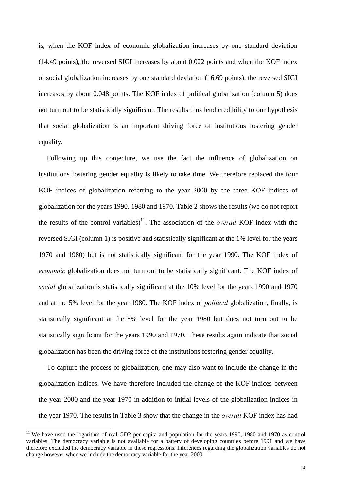is, when the KOF index of economic globalization increases by one standard deviation (14.49 points), the reversed SIGI increases by about 0.022 points and when the KOF index of social globalization increases by one standard deviation (16.69 points), the reversed SIGI increases by about 0.048 points. The KOF index of political globalization (column 5) does not turn out to be statistically significant. The results thus lend credibility to our hypothesis that social globalization is an important driving force of institutions fostering gender equality.

 Following up this conjecture, we use the fact the influence of globalization on institutions fostering gender equality is likely to take time. We therefore replaced the four KOF indices of globalization referring to the year 2000 by the three KOF indices of globalization for the years 1990, 1980 and 1970. Table 2 shows the results (we do not report the results of the control variables)<sup>11</sup>. The association of the *overall* KOF index with the reversed SIGI (column 1) is positive and statistically significant at the 1% level for the years 1970 and 1980) but is not statistically significant for the year 1990. The KOF index of *economic* globalization does not turn out to be statistically significant. The KOF index of *social* globalization is statistically significant at the 10% level for the years 1990 and 1970 and at the 5% level for the year 1980. The KOF index of *political* globalization, finally, is statistically significant at the 5% level for the year 1980 but does not turn out to be statistically significant for the years 1990 and 1970. These results again indicate that social globalization has been the driving force of the institutions fostering gender equality.

 To capture the process of globalization, one may also want to include the change in the globalization indices. We have therefore included the change of the KOF indices between the year 2000 and the year 1970 in addition to initial levels of the globalization indices in the year 1970. The results in Table 3 show that the change in the *overall* KOF index has had

<sup>&</sup>lt;sup>11</sup> We have used the logarithm of real GDP per capita and population for the years 1990, 1980 and 1970 as control variables. The democracy variable is not available for a battery of developing countries before 1991 and we have therefore excluded the democracy variable in these regressions. Inferences regarding the globalization variables do not change however when we include the democracy variable for the year 2000.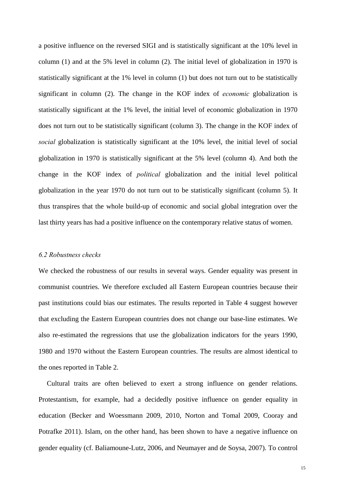a positive influence on the reversed SIGI and is statistically significant at the 10% level in column (1) and at the 5% level in column (2). The initial level of globalization in 1970 is statistically significant at the 1% level in column (1) but does not turn out to be statistically significant in column (2). The change in the KOF index of *economic* globalization is statistically significant at the 1% level, the initial level of economic globalization in 1970 does not turn out to be statistically significant (column 3). The change in the KOF index of *social* globalization is statistically significant at the 10% level, the initial level of social globalization in 1970 is statistically significant at the 5% level (column 4). And both the change in the KOF index of *political* globalization and the initial level political globalization in the year 1970 do not turn out to be statistically significant (column 5). It thus transpires that the whole build-up of economic and social global integration over the last thirty years has had a positive influence on the contemporary relative status of women.

#### *6.2 Robustness checks*

We checked the robustness of our results in several ways. Gender equality was present in communist countries. We therefore excluded all Eastern European countries because their past institutions could bias our estimates. The results reported in Table 4 suggest however that excluding the Eastern European countries does not change our base-line estimates. We also re-estimated the regressions that use the globalization indicators for the years 1990, 1980 and 1970 without the Eastern European countries. The results are almost identical to the ones reported in Table 2.

 Cultural traits are often believed to exert a strong influence on gender relations. Protestantism, for example, had a decidedly positive influence on gender equality in education (Becker and Woessmann 2009, 2010, Norton and Tomal 2009, Cooray and Potrafke 2011). Islam, on the other hand, has been shown to have a negative influence on gender equality (cf. Baliamoune-Lutz, 2006, and Neumayer and de Soysa, 2007). To control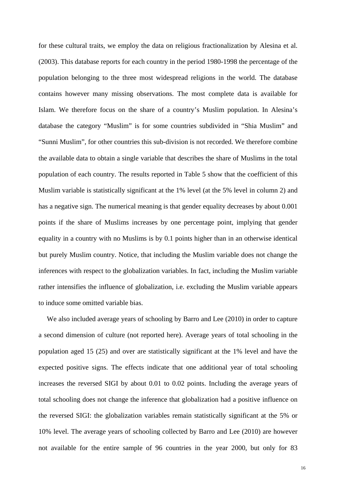for these cultural traits, we employ the data on religious fractionalization by Alesina et al. (2003). This database reports for each country in the period 1980-1998 the percentage of the population belonging to the three most widespread religions in the world. The database contains however many missing observations. The most complete data is available for Islam. We therefore focus on the share of a country's Muslim population. In Alesina's database the category "Muslim" is for some countries subdivided in "Shia Muslim" and "Sunni Muslim", for other countries this sub-division is not recorded. We therefore combine the available data to obtain a single variable that describes the share of Muslims in the total population of each country. The results reported in Table 5 show that the coefficient of this Muslim variable is statistically significant at the 1% level (at the 5% level in column 2) and has a negative sign. The numerical meaning is that gender equality decreases by about 0.001 points if the share of Muslims increases by one percentage point, implying that gender equality in a country with no Muslims is by 0.1 points higher than in an otherwise identical but purely Muslim country. Notice, that including the Muslim variable does not change the inferences with respect to the globalization variables. In fact, including the Muslim variable rather intensifies the influence of globalization, i.e. excluding the Muslim variable appears to induce some omitted variable bias.

 We also included average years of schooling by Barro and Lee (2010) in order to capture a second dimension of culture (not reported here). Average years of total schooling in the population aged 15 (25) and over are statistically significant at the 1% level and have the expected positive signs. The effects indicate that one additional year of total schooling increases the reversed SIGI by about 0.01 to 0.02 points. Including the average years of total schooling does not change the inference that globalization had a positive influence on the reversed SIGI: the globalization variables remain statistically significant at the 5% or 10% level. The average years of schooling collected by Barro and Lee (2010) are however not available for the entire sample of 96 countries in the year 2000, but only for 83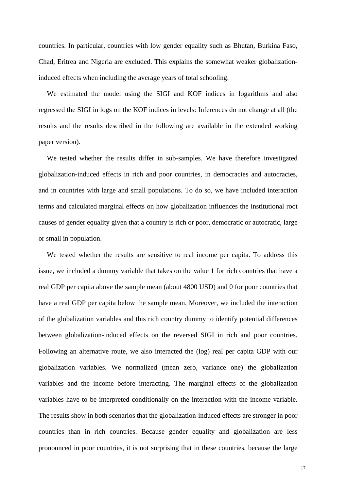countries. In particular, countries with low gender equality such as Bhutan, Burkina Faso, Chad, Eritrea and Nigeria are excluded. This explains the somewhat weaker globalizationinduced effects when including the average years of total schooling.

 We estimated the model using the SIGI and KOF indices in logarithms and also regressed the SIGI in logs on the KOF indices in levels: Inferences do not change at all (the results and the results described in the following are available in the extended working paper version).

We tested whether the results differ in sub-samples. We have therefore investigated globalization-induced effects in rich and poor countries, in democracies and autocracies, and in countries with large and small populations. To do so, we have included interaction terms and calculated marginal effects on how globalization influences the institutional root causes of gender equality given that a country is rich or poor, democratic or autocratic, large or small in population.

We tested whether the results are sensitive to real income per capita. To address this issue, we included a dummy variable that takes on the value 1 for rich countries that have a real GDP per capita above the sample mean (about 4800 USD) and 0 for poor countries that have a real GDP per capita below the sample mean. Moreover, we included the interaction of the globalization variables and this rich country dummy to identify potential differences between globalization-induced effects on the reversed SIGI in rich and poor countries. Following an alternative route, we also interacted the (log) real per capita GDP with our globalization variables. We normalized (mean zero, variance one) the globalization variables and the income before interacting. The marginal effects of the globalization variables have to be interpreted conditionally on the interaction with the income variable. The results show in both scenarios that the globalization-induced effects are stronger in poor countries than in rich countries. Because gender equality and globalization are less pronounced in poor countries, it is not surprising that in these countries, because the large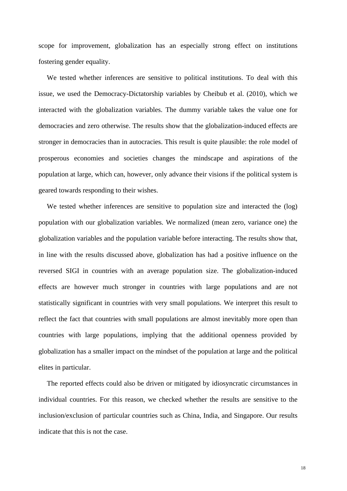scope for improvement, globalization has an especially strong effect on institutions fostering gender equality.

We tested whether inferences are sensitive to political institutions. To deal with this issue, we used the Democracy-Dictatorship variables by Cheibub et al. (2010), which we interacted with the globalization variables. The dummy variable takes the value one for democracies and zero otherwise. The results show that the globalization-induced effects are stronger in democracies than in autocracies. This result is quite plausible: the role model of prosperous economies and societies changes the mindscape and aspirations of the population at large, which can, however, only advance their visions if the political system is geared towards responding to their wishes.

We tested whether inferences are sensitive to population size and interacted the (log) population with our globalization variables. We normalized (mean zero, variance one) the globalization variables and the population variable before interacting. The results show that, in line with the results discussed above, globalization has had a positive influence on the reversed SIGI in countries with an average population size. The globalization-induced effects are however much stronger in countries with large populations and are not statistically significant in countries with very small populations. We interpret this result to reflect the fact that countries with small populations are almost inevitably more open than countries with large populations, implying that the additional openness provided by globalization has a smaller impact on the mindset of the population at large and the political elites in particular.

 The reported effects could also be driven or mitigated by idiosyncratic circumstances in individual countries. For this reason, we checked whether the results are sensitive to the inclusion/exclusion of particular countries such as China, India, and Singapore. Our results indicate that this is not the case.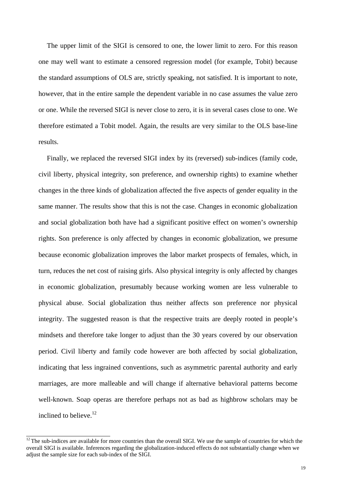The upper limit of the SIGI is censored to one, the lower limit to zero. For this reason one may well want to estimate a censored regression model (for example, Tobit) because the standard assumptions of OLS are, strictly speaking, not satisfied. It is important to note, however, that in the entire sample the dependent variable in no case assumes the value zero or one. While the reversed SIGI is never close to zero, it is in several cases close to one. We therefore estimated a Tobit model. Again, the results are very similar to the OLS base-line results.

 Finally, we replaced the reversed SIGI index by its (reversed) sub-indices (family code, civil liberty, physical integrity, son preference, and ownership rights) to examine whether changes in the three kinds of globalization affected the five aspects of gender equality in the same manner. The results show that this is not the case. Changes in economic globalization and social globalization both have had a significant positive effect on women's ownership rights. Son preference is only affected by changes in economic globalization, we presume because economic globalization improves the labor market prospects of females, which, in turn, reduces the net cost of raising girls. Also physical integrity is only affected by changes in economic globalization, presumably because working women are less vulnerable to physical abuse. Social globalization thus neither affects son preference nor physical integrity. The suggested reason is that the respective traits are deeply rooted in people's mindsets and therefore take longer to adjust than the 30 years covered by our observation period. Civil liberty and family code however are both affected by social globalization, indicating that less ingrained conventions, such as asymmetric parental authority and early marriages, are more malleable and will change if alternative behavioral patterns become well-known. Soap operas are therefore perhaps not as bad as highbrow scholars may be inclined to believe. $12$ 

 $\frac{12}{12}$  The sub-indices are available for more countries than the overall SIGI. We use the sample of countries for which the overall SIGI is available. Inferences regarding the globalization-induced effects do not substantially change when we adjust the sample size for each sub-index of the SIGI.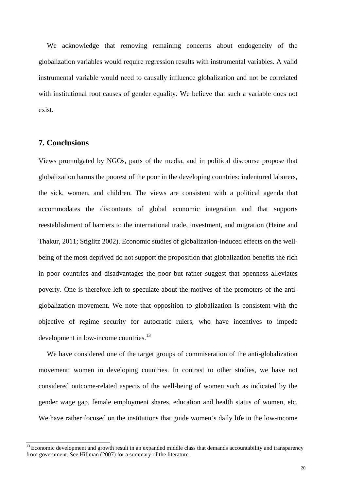We acknowledge that removing remaining concerns about endogeneity of the globalization variables would require regression results with instrumental variables. A valid instrumental variable would need to causally influence globalization and not be correlated with institutional root causes of gender equality. We believe that such a variable does not exist.

#### **7. Conclusions**

Views promulgated by NGOs, parts of the media, and in political discourse propose that globalization harms the poorest of the poor in the developing countries: indentured laborers, the sick, women, and children. The views are consistent with a political agenda that accommodates the discontents of global economic integration and that supports reestablishment of barriers to the international trade, investment, and migration (Heine and Thakur, 2011; Stiglitz 2002). Economic studies of globalization-induced effects on the wellbeing of the most deprived do not support the proposition that globalization benefits the rich in poor countries and disadvantages the poor but rather suggest that openness alleviates poverty. One is therefore left to speculate about the motives of the promoters of the antiglobalization movement. We note that opposition to globalization is consistent with the objective of regime security for autocratic rulers, who have incentives to impede development in low-income countries.<sup>13</sup>

 We have considered one of the target groups of commiseration of the anti-globalization movement: women in developing countries. In contrast to other studies, we have not considered outcome-related aspects of the well-being of women such as indicated by the gender wage gap, female employment shares, education and health status of women, etc. We have rather focused on the institutions that guide women's daily life in the low-income

<sup>&</sup>lt;sup>13</sup> Economic development and growth result in an expanded middle class that demands accountability and transparency from government. See Hillman (2007) for a summary of the literature.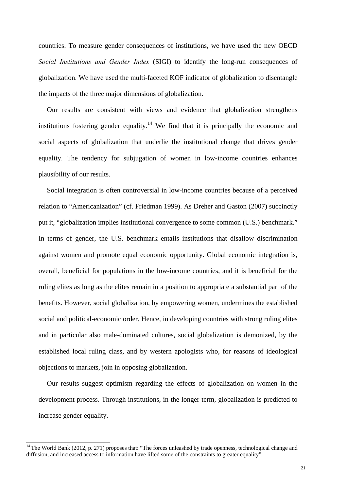countries. To measure gender consequences of institutions, we have used the new OECD *Social Institutions and Gender Index* (SIGI) to identify the long-run consequences of globalization. We have used the multi-faceted KOF indicator of globalization to disentangle the impacts of the three major dimensions of globalization.

 Our results are consistent with views and evidence that globalization strengthens institutions fostering gender equality.<sup>14</sup> We find that it is principally the economic and social aspects of globalization that underlie the institutional change that drives gender equality. The tendency for subjugation of women in low-income countries enhances plausibility of our results.

Social integration is often controversial in low-income countries because of a perceived relation to "Americanization" (cf. Friedman 1999). As Dreher and Gaston (2007) succinctly put it, "globalization implies institutional convergence to some common (U.S.) benchmark." In terms of gender, the U.S. benchmark entails institutions that disallow discrimination against women and promote equal economic opportunity. Global economic integration is, overall, beneficial for populations in the low-income countries, and it is beneficial for the ruling elites as long as the elites remain in a position to appropriate a substantial part of the benefits. However, social globalization, by empowering women, undermines the established social and political-economic order. Hence, in developing countries with strong ruling elites and in particular also male-dominated cultures, social globalization is demonized, by the established local ruling class, and by western apologists who, for reasons of ideological objections to markets, join in opposing globalization.

 Our results suggest optimism regarding the effects of globalization on women in the development process. Through institutions, in the longer term, globalization is predicted to increase gender equality.

<sup>&</sup>lt;sup>14</sup> The World Bank (2012, p. 271) proposes that: "The forces unleashed by trade openness, technological change and diffusion, and increased access to information have lifted some of the constraints to greater equality".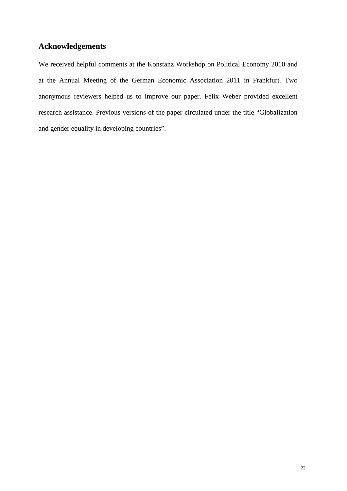## **Acknowledgements**

We received helpful comments at the Konstanz Workshop on Political Economy 2010 and at the Annual Meeting of the German Economic Association 2011 in Frankfurt. Two anonymous reviewers helped us to improve our paper. Felix Weber provided excellent research assistance. Previous versions of the paper circulated under the title "Globalization and gender equality in developing countries".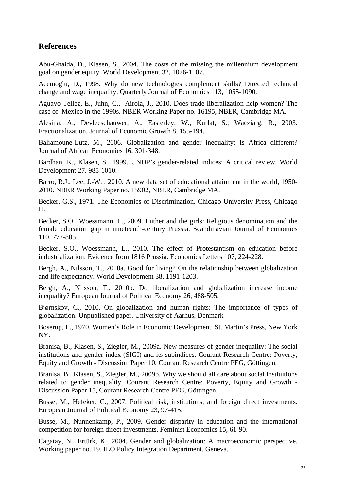## **References**

Abu-Ghaida, D., Klasen, S., 2004. The costs of the missing the millennium development goal on gender equity. World Development 32, 1076-1107.

Acemoglu, D., 1998. Why do new technologies complement skills? Directed technical change and wage inequality. Quarterly Journal of Economics 113, 1055-1090.

Aguayo-Tellez, E., Juhn, C., Airola, J., 2010. Does trade liberalization help women? The case of Mexico in the 1990s. NBER Working Paper no. 16195, NBER, Cambridge MA.

Alesina, A., Devleeschauwer, A., Easterley, W., Kurlat, S., Wacziarg, R., 2003. Fractionalization. Journal of Economic Growth 8, 155-194.

Baliamoune-Lutz, M., 2006. Globalization and gender inequality: Is Africa different? Journal of African Economies 16, 301-348.

Bardhan, K., Klasen, S., 1999. UNDP's gender-related indices: A critical review. World Development 27, 985-1010.

Barro, R.J., Lee, J.-W. , 2010. A new data set of educational attainment in the world, 1950- 2010. NBER Working Paper no. 15902, NBER, Cambridge MA.

Becker, G.S., 1971. The Economics of Discrimination. Chicago University Press, Chicago  $\Pi$ .

Becker, S.O., Woessmann, L., 2009. Luther and the girls: Religious denomination and the female education gap in nineteenth-century Prussia. Scandinavian Journal of Economics 110, 777-805.

Becker, S.O., Woessmann, L., 2010. The effect of Protestantism on education before industrialization: Evidence from 1816 Prussia. Economics Letters 107, 224-228.

Bergh, A., Nilsson, T., 2010a. Good for living? On the relationship between globalization and life expectancy. World Development 38, 1191-1203.

Bergh, A., Nilsson, T., 2010b. Do liberalization and globalization increase income inequality? European Journal of Political Economy 26, 488-505.

Bjørnskov, C., 2010. On globalization and human rights: The importance of types of globalization. Unpublished paper. University of Aarhus, Denmark*.* 

Boserup, E., 1970. Women's Role in Economic Development. St. Martin's Press, New York NY.

Branisa, B., Klasen, S., Ziegler, M., 2009a. New measures of gender inequality: The social institutions and gender index (SIGI) and its subindices. Courant Research Centre: Poverty, Equity and Growth - Discussion Paper 10, Courant Research Centre PEG, Göttingen.

Branisa, B., Klasen, S., Ziegler, M., 2009b. Why we should all care about social institutions related to gender inequality. Courant Research Centre: Poverty, Equity and Growth - Discussion Paper 15, Courant Research Centre PEG, Göttingen.

Busse, M., Hefeker, C., 2007. Political risk, institutions, and foreign direct investments. European Journal of Political Economy 23, 97-415.

Busse, M., Nunnenkamp, P., 2009. Gender disparity in education and the international competition for foreign direct investments. Feminist Economics 15, 61-90.

Cagatay, N., Ertürk, K., 2004. Gender and globalization: A macroeconomic perspective. Working paper no. 19, ILO Policy Integration Department. Geneva.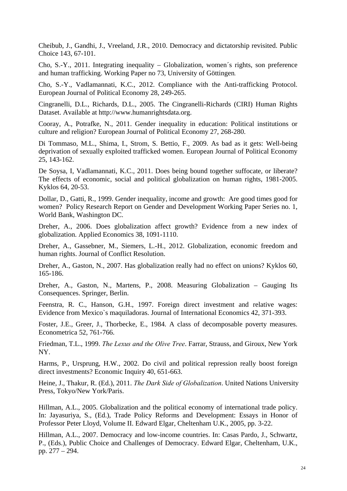Cheibub, J., Gandhi, J., Vreeland, J.R., 2010. Democracy and dictatorship revisited. Public Choice 143, 67-101.

Cho, S.-Y., 2011. Integrating inequality – Globalization, women´s rights, son preference and human trafficking. Working Paper no 73, University of Göttingen*.* 

Cho, S.-Y., Vadlamannati, K.C., 2012. Compliance with the Anti-trafficking Protocol. European Journal of Political Economy 28, 249-265.

Cingranelli, D.L., Richards, D.L., 2005. The Cingranelli-Richards (CIRI) Human Rights Dataset. Available at http://www.humanrightsdata.org.

Cooray, A., Potrafke, N., 2011. Gender inequality in education: Political institutions or culture and religion? European Journal of Political Economy 27, 268-280.

Di Tommaso, M.L., Shima, I., Strom, S. Bettio, F., 2009. As bad as it gets: Well-being deprivation of sexually exploited trafficked women. European Journal of Political Economy 25, 143-162.

De Soysa, I, Vadlamannati, K.C., 2011. Does being bound together suffocate, or liberate? The effects of economic, social and political globalization on human rights, 1981-2005. Kyklos 64, 20-53.

Dollar, D., Gatti, R., 1999. Gender inequality, income and growth: Are good times good for women? Policy Research Report on Gender and Development Working Paper Series no. 1, World Bank, Washington DC.

Dreher, A., 2006. Does globalization affect growth? Evidence from a new index of globalization. Applied Economics 38, 1091-1110.

Dreher, A., Gassebner, M., Siemers, L.-H., 2012. Globalization, economic freedom and human rights. Journal of Conflict Resolution.

Dreher, A., Gaston, N., 2007. Has globalization really had no effect on unions? Kyklos 60, 165-186.

Dreher, A., Gaston, N., Martens, P., 2008. Measuring Globalization – Gauging Its Consequences. Springer, Berlin.

Feenstra, R. C., Hanson, G.H., 1997. Foreign direct investment and relative wages: Evidence from Mexico`s maquiladoras. Journal of International Economics 42, 371-393.

Foster, J.E., Greer, J., Thorbecke, E., 1984. A class of decomposable poverty measures. Econometrica 52, 761-766.

Friedman, T.L., 1999. *The Lexus and the Olive Tree*. Farrar, Strauss, and Giroux, New York NY.

Harms, P., Ursprung, H.W., 2002. Do civil and political repression really boost foreign direct investments? Economic Inquiry 40, 651-663.

Heine, J., Thakur, R. (Ed.), 2011. *The Dark Side of Globalization*. United Nations University Press, Tokyo/New York/Paris.

Hillman, A.L., 2005. Globalization and the political economy of international trade policy. In: Jayasuriya, S., (Ed.), Trade Policy Reforms and Development: Essays in Honor of Professor Peter Lloyd, Volume II. Edward Elgar, Cheltenham U.K., 2005, pp. 3-22.

Hillman, A.L., 2007. Democracy and low-income countries. In: Casas Pardo, J., Schwartz, P., (Eds.), Public Choice and Challenges of Democracy. Edward Elgar, Cheltenham, U.K., pp. 277 – 294.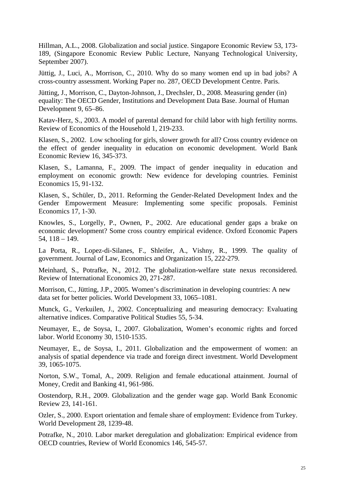Hillman, A.L., 2008. Globalization and social justice. Singapore Economic Review 53, 173- 189, (Singapore Economic Review Public Lecture, Nanyang Technological University, September 2007).

Jüttig, J., Luci, A., Morrison, C., 2010. Why do so many women end up in bad jobs? A cross-country assessment. Working Paper no. 287, OECD Development Centre. Paris.

Jütting, J., Morrison, C., Dayton-Johnson, J., Drechsler, D., 2008. Measuring gender (in) equality: The OECD Gender, Institutions and Development Data Base. Journal of Human Development 9, 65–86.

Katav-Herz, S., 2003. A model of parental demand for child labor with high fertility norms. Review of Economics of the Household 1, 219-233.

Klasen, S., 2002. Low schooling for girls, slower growth for all? Cross country evidence on the effect of gender inequality in education on economic development. World Bank Economic Review 16, 345-373.

Klasen, S., Lamanna, F., 2009. The impact of gender inequality in education and employment on economic growth: New evidence for developing countries. Feminist Economics 15, 91-132.

Klasen, S., Schüler, D., 2011. Reforming the Gender-Related Development Index and the Gender Empowerment Measure: Implementing some specific proposals. Feminist Economics 17, 1-30.

Knowles, S., Lorgelly, P., Ownen, P., 2002. Are educational gender gaps a brake on economic development? Some cross country empirical evidence. Oxford Economic Papers 54, 118 – 149.

La Porta, R., Lopez-di-Silanes, F., Shleifer, A., Vishny, R., 1999. The quality of government. Journal of Law, Economics and Organization 15, 222-279.

Meinhard, S., Potrafke, N., 2012. The globalization-welfare state nexus reconsidered. Review of International Economics 20, 271-287.

Morrison, C., Jütting, J.P., 2005. Women's discrimination in developing countries: A new data set for better policies. World Development 33, 1065–1081.

Munck, G., Verkuilen, J., 2002. Conceptualizing and measuring democracy: Evaluating alternative indices. Comparative Political Studies 55, 5-34.

Neumayer, E., de Soysa, I., 2007. Globalization, Women's economic rights and forced labor. World Economy 30, 1510-1535.

Neumayer, E., de Soysa, I., 2011. Globalization and the empowerment of women: an analysis of spatial dependence via trade and foreign direct investment. World Development 39, 1065-1075.

Norton, S.W., Tomal, A., 2009. Religion and female educational attainment. Journal of Money, Credit and Banking 41, 961-986.

Oostendorp, R.H., 2009. Globalization and the gender wage gap. World Bank Economic Review 23, 141-161.

Ozler, S., 2000. Export orientation and female share of employment: Evidence from Turkey. World Development 28, 1239-48.

Potrafke, N., 2010. Labor market deregulation and globalization: Empirical evidence from OECD countries, Review of World Economics 146, 545-57.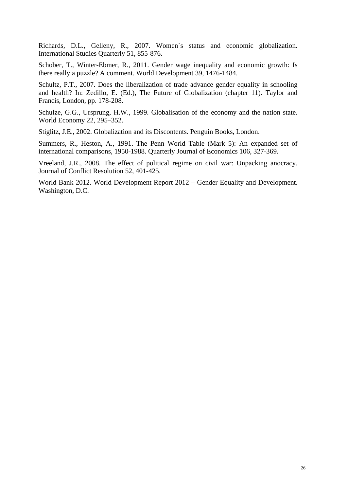Richards, D.L., Gelleny, R., 2007. Women´s status and economic globalization. International Studies Quarterly 51, 855-876.

Schober, T., Winter-Ebmer, R., 2011. Gender wage inequality and economic growth: Is there really a puzzle? A comment. World Development 39, 1476-1484.

Schultz, P.T., 2007. Does the liberalization of trade advance gender equality in schooling and health? In: Zedillo, E. (Ed.), The Future of Globalization (chapter 11). Taylor and Francis, London, pp. 178-208.

Schulze, G.G., Ursprung, H.W., 1999. Globalisation of the economy and the nation state. World Economy 22, 295–352.

Stiglitz, J.E., 2002. Globalization and its Discontents. Penguin Books, London.

Summers, R., Heston, A., 1991. The Penn World Table (Mark 5): An expanded set of international comparisons, 1950-1988. Quarterly Journal of Economics 106, 327-369.

Vreeland, J.R., 2008. The effect of political regime on civil war: Unpacking anocracy. Journal of Conflict Resolution 52, 401-425.

World Bank 2012. World Development Report 2012 – Gender Equality and Development. Washington, D.C.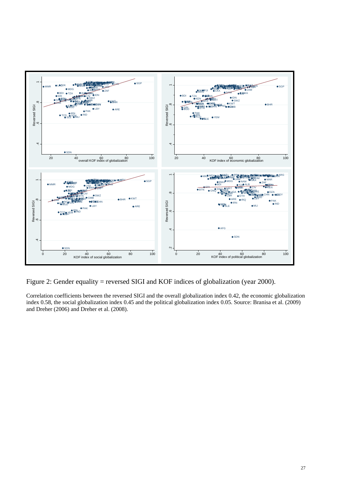

Figure 2: Gender equality = reversed SIGI and KOF indices of globalization (year 2000).

Correlation coefficients between the reversed SIGI and the overall globalization index 0.42, the economic globalization index 0.58, the social globalization index 0.45 and the political globalization index 0.05. Source: Branisa et al. (2009) and Dreher (2006) and Dreher et al. (2008).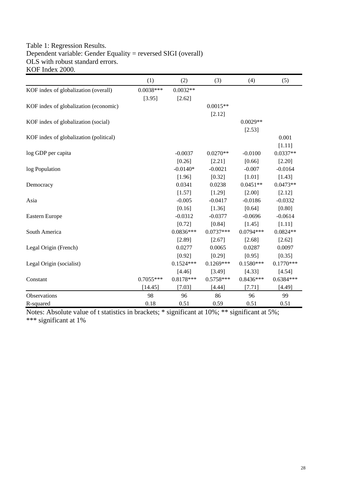## Table 1: Regression Results. Dependent variable: Gender Equality = reversed SIGI (overall) OLS with robust standard errors. KOF Index 2000.

|                                        | (1)         | (2)         | (3)         | (4)         | (5)         |
|----------------------------------------|-------------|-------------|-------------|-------------|-------------|
| KOF index of globalization (overall)   | $0.0038***$ | $0.0032**$  |             |             |             |
|                                        | [3.95]      | [2.62]      |             |             |             |
| KOF index of globalization (economic)  |             |             | $0.0015**$  |             |             |
|                                        |             |             | [2.12]      |             |             |
| KOF index of globalization (social)    |             |             |             | $0.0029**$  |             |
|                                        |             |             |             | [2.53]      |             |
| KOF index of globalization (political) |             |             |             |             | 0.001       |
|                                        |             |             |             |             | [1.11]      |
| log GDP per capita                     |             | $-0.0037$   | $0.0270**$  | $-0.0100$   | $0.0337**$  |
|                                        |             | [0.26]      | [2.21]      | [0.66]      | [2.20]      |
| log Population                         |             | $-0.0140*$  | $-0.0021$   | $-0.007$    | $-0.0164$   |
|                                        |             | [1.96]      | [0.32]      | [1.01]      | [1.43]      |
| Democracy                              |             | 0.0341      | 0.0238      | $0.0451**$  | $0.0473**$  |
|                                        |             | [1.57]      | [1.29]      | [2.00]      | [2.12]      |
| Asia                                   |             | $-0.005$    | $-0.0417$   | $-0.0186$   | $-0.0332$   |
|                                        |             | [0.16]      | [1.36]      | [0.64]      | [0.80]      |
| Eastern Europe                         |             | $-0.0312$   | $-0.0377$   | $-0.0696$   | $-0.0614$   |
|                                        |             | [0.72]      | [0.84]      | [1.45]      | [1.11]      |
| South America                          |             | $0.0836***$ | $0.0737***$ | 0.0794 ***  | $0.0824**$  |
|                                        |             | [2.89]      | [2.67]      | [2.68]      | [2.62]      |
| Legal Origin (French)                  |             | 0.0277      | 0.0065      | 0.0287      | 0.0097      |
|                                        |             | [0.92]      | [0.29]      | [0.95]      | [0.35]      |
| Legal Origin (socialist)               |             | $0.1524***$ | $0.1269***$ | $0.1580***$ | $0.1770***$ |
|                                        |             | [4.46]      | [3.49]      | [4.33]      | [4.54]      |
| Constant                               | $0.7055***$ | $0.8178***$ | 0.5758***   | $0.8436***$ | $0.6384***$ |
|                                        | [14.45]     | [7.03]      | [4.44]      | $[7.71]$    | [4.49]      |
| Observations                           | 98          | 96          | 86          | 96          | 99          |
| R-squared                              | 0.18        | 0.51        | 0.59        | 0.51        | 0.51        |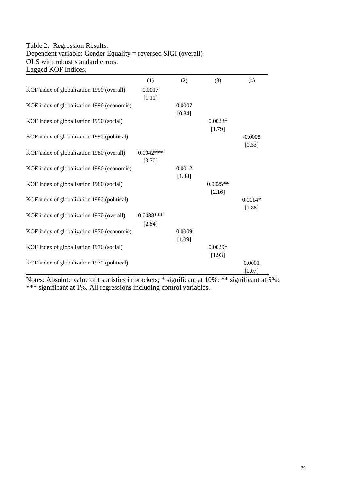#### Table 2: Regression Results. Dependent variable: Gender Equality = reversed SIGI (overall) OLS with robust standard errors. Lagged KOF Indices.

| Lagged KOT munes.                           |             |        |            |           |
|---------------------------------------------|-------------|--------|------------|-----------|
|                                             | (1)         | (2)    | (3)        | (4)       |
| KOF index of globalization 1990 (overall)   | 0.0017      |        |            |           |
|                                             | [1.11]      |        |            |           |
| KOF index of globalization 1990 (economic)  |             | 0.0007 |            |           |
|                                             |             | [0.84] |            |           |
| KOF index of globalization 1990 (social)    |             |        | $0.0023*$  |           |
|                                             |             |        | [1.79]     |           |
| KOF index of globalization 1990 (political) |             |        |            | $-0.0005$ |
|                                             |             |        |            |           |
|                                             |             |        |            | [0.53]    |
| KOF index of globalization 1980 (overall)   | $0.0042***$ |        |            |           |
|                                             | [3.70]      |        |            |           |
| KOF index of globalization 1980 (economic)  |             | 0.0012 |            |           |
|                                             |             | [1.38] |            |           |
| KOF index of globalization 1980 (social)    |             |        | $0.0025**$ |           |
|                                             |             |        | [2.16]     |           |
| KOF index of globalization 1980 (political) |             |        |            | $0.0014*$ |
|                                             |             |        |            | [1.86]    |
| KOF index of globalization 1970 (overall)   | $0.0038***$ |        |            |           |
|                                             | [2.84]      |        |            |           |
| KOF index of globalization 1970 (economic)  |             | 0.0009 |            |           |
|                                             |             | [1.09] |            |           |
| KOF index of globalization 1970 (social)    |             |        | $0.0029*$  |           |
|                                             |             |        | [1.93]     |           |
| KOF index of globalization 1970 (political) |             |        |            | 0.0001    |
|                                             |             |        |            | [0.07]    |
|                                             |             |        |            |           |

Notes: Absolute value of t statistics in brackets; \* significant at 10%; \*\* significant at 5%; \*\*\* significant at 1%. All regressions including control variables.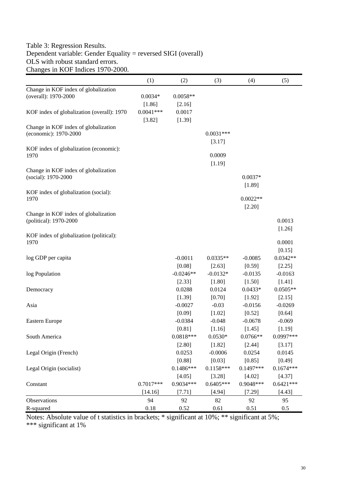## Table 3: Regression Results. Dependent variable: Gender Equality = reversed SIGI (overall) OLS with robust standard errors. Changes in KOF Indices 1970-2000.

|                                                 | (1)         | (2)         | (3)         | (4)         | (5)         |
|-------------------------------------------------|-------------|-------------|-------------|-------------|-------------|
| Change in KOF index of globalization            |             |             |             |             |             |
| (overall): 1970-2000                            | $0.0034*$   | $0.0058**$  |             |             |             |
|                                                 | [1.86]      | [2.16]      |             |             |             |
| KOF index of globalization (overall): 1970      | $0.0041***$ | 0.0017      |             |             |             |
|                                                 | [3.82]      | [1.39]      |             |             |             |
| Change in KOF index of globalization            |             |             |             |             |             |
| (economic): 1970-2000                           |             |             | $0.0031***$ |             |             |
|                                                 |             |             | [3.17]      |             |             |
| KOF index of globalization (economic):<br>1970  |             |             | 0.0009      |             |             |
|                                                 |             |             | [1.19]      |             |             |
| Change in KOF index of globalization            |             |             |             |             |             |
| (social): 1970-2000                             |             |             |             | $0.0037*$   |             |
|                                                 |             |             |             | [1.89]      |             |
| KOF index of globalization (social):            |             |             |             |             |             |
| 1970                                            |             |             |             | $0.0022**$  |             |
|                                                 |             |             |             | [2.20]      |             |
| Change in KOF index of globalization            |             |             |             |             |             |
| (political): 1970-2000                          |             |             |             |             | 0.0013      |
|                                                 |             |             |             |             | [1.26]      |
| KOF index of globalization (political):<br>1970 |             |             |             |             | 0.0001      |
|                                                 |             |             |             |             | [0.15]      |
| log GDP per capita                              |             | $-0.0011$   | $0.0335**$  | $-0.0085$   | $0.0342**$  |
|                                                 |             | [0.08]      | [2.63]      | [0.59]      | [2.25]      |
|                                                 |             | $-0.0246**$ | $-0.0132*$  | $-0.0135$   | $-0.0163$   |
| log Population                                  |             | [2.33]      | $[1.80]$    | $[1.50]$    | [1.41]      |
|                                                 |             | 0.0288      | 0.0124      | $0.0433*$   | $0.0505**$  |
| Democracy                                       |             | [1.39]      | [0.70]      | [1.92]      | [2.15]      |
| Asia                                            |             | $-0.0027$   | $-0.03$     | $-0.0156$   | $-0.0269$   |
|                                                 |             | [0.09]      | $[1.02]$    | [0.52]      | [0.64]      |
| Eastern Europe                                  |             | $-0.0384$   | $-0.048$    | $-0.0678$   | $-0.069$    |
|                                                 |             | [0.81]      | [1.16]      | [1.45]      | [1.19]      |
| South America                                   |             | $0.0818***$ | $0.0530*$   | $0.0766**$  | 0.0997***   |
|                                                 |             | [2.80]      | [1.82]      | [2.44]      | [3.17]      |
| Legal Origin (French)                           |             | 0.0253      | $-0.0006$   | 0.0254      | 0.0145      |
|                                                 |             | [0.88]      | [0.03]      | [0.85]      | [0.49]      |
| Legal Origin (socialist)                        |             | $0.1486***$ | $0.1158***$ | $0.1497***$ | $0.1674***$ |
|                                                 |             | [4.05]      | [3.28]      | [4.02]      | [4.37]      |
| Constant                                        | 0.7017***   | 0.9034 ***  | $0.6405***$ | 0.9048***   | $0.6421***$ |
|                                                 | [14.16]     | [7.71]      | [4.94]      | [7.29]      | [4.43]      |
| Observations                                    | 94          | 92          | 82          | 92          | 95          |
| R-squared                                       | 0.18        | 0.52        | 0.61        | 0.51        | 0.5         |
|                                                 |             |             |             |             |             |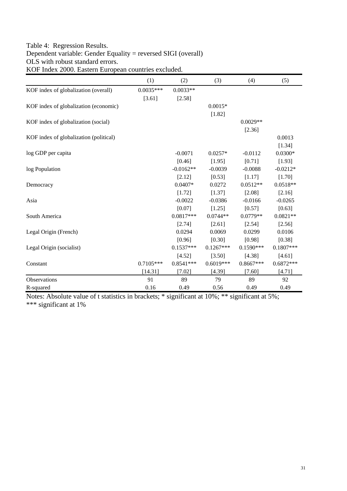#### Table 4: Regression Results. Dependent variable: Gender Equality = reversed SIGI (overall) OLS with robust standard errors. KOF Index 2000. Eastern European countries excluded.

|                                        | (1)         | (2)         | (3)         | (4)         | (5)         |
|----------------------------------------|-------------|-------------|-------------|-------------|-------------|
| KOF index of globalization (overall)   | $0.0035***$ | $0.0033**$  |             |             |             |
|                                        | [3.61]      | [2.58]      |             |             |             |
| KOF index of globalization (economic)  |             |             | $0.0015*$   |             |             |
|                                        |             |             | [1.82]      |             |             |
| KOF index of globalization (social)    |             |             |             | $0.0029**$  |             |
|                                        |             |             |             | [2.36]      |             |
| KOF index of globalization (political) |             |             |             |             | 0.0013      |
|                                        |             |             |             |             | [1.34]      |
| log GDP per capita                     |             | $-0.0071$   | $0.0257*$   | $-0.0112$   | $0.0300*$   |
|                                        |             | [0.46]      | [1.95]      | [0.71]      | [1.93]      |
| log Population                         |             | $-0.0162**$ | $-0.0039$   | $-0.0088$   | $-0.0212*$  |
|                                        |             | [2.12]      | [0.53]      | [1.17]      | [1.70]      |
| Democracy                              |             | $0.0407*$   | 0.0272      | $0.0512**$  | $0.0518**$  |
|                                        |             | [1.72]      | [1.37]      | [2.08]      | [2.16]      |
| Asia                                   |             | $-0.0022$   | $-0.0386$   | $-0.0166$   | $-0.0265$   |
|                                        |             | [0.07]      | [1.25]      | [0.57]      | [0.63]      |
| South America                          |             | $0.0817***$ | $0.0744**$  | $0.0779**$  | $0.0821**$  |
|                                        |             | [2.74]      | [2.61]      | [2.54]      | [2.56]      |
| Legal Origin (French)                  |             | 0.0294      | 0.0069      | 0.0299      | 0.0106      |
|                                        |             | [0.96]      | [0.30]      | [0.98]      | [0.38]      |
| Legal Origin (socialist)               |             | $0.1537***$ | $0.1267***$ | $0.1590***$ | $0.1807***$ |
|                                        |             | [4.52]      | [3.50]      | [4.38]      | [4.61]      |
| Constant                               | $0.7105***$ | $0.8541***$ | $0.6019***$ | $0.8667***$ | $0.6872***$ |
|                                        | [14.31]     | $[7.02]$    | [4.39]      | $[7.60]$    | [4.71]      |
| Observations                           | 91          | 89          | 79          | 89          | 92          |
| R-squared                              | 0.16        | 0.49        | 0.56        | 0.49        | 0.49        |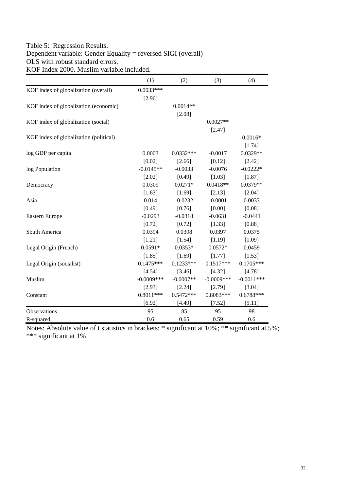## Table 5: Regression Results. Dependent variable: Gender Equality = reversed SIGI (overall) OLS with robust standard errors. KOF Index 2000. Muslim variable included.

|                                        | (1)           | (2)         | (3)           | (4)          |
|----------------------------------------|---------------|-------------|---------------|--------------|
| KOF index of globalization (overall)   | $0.0033***$   |             |               |              |
|                                        | [2.96]        |             |               |              |
| KOF index of globalization (economic)  |               | $0.0014**$  |               |              |
|                                        |               | [2.08]      |               |              |
| KOF index of globalization (social)    |               |             | $0.0027**$    |              |
|                                        |               |             | [2.47]        |              |
| KOF index of globalization (political) |               |             |               | $0.0016*$    |
|                                        |               |             |               | $[1.74]$     |
| log GDP per capita                     | 0.0003        | $0.0332***$ | $-0.0017$     | $0.0329**$   |
|                                        | [0.02]        | [2.66]      | [0.12]        | $[2.42]$     |
| log Population                         | $-0.0145**$   | $-0.0033$   | $-0.0076$     | $-0.0222*$   |
|                                        | [2.02]        | [0.49]      | [1.03]        | $[1.87]$     |
| Democracy                              | 0.0309        | $0.0271*$   | $0.0418**$    | $0.0379**$   |
|                                        | [1.63]        | [1.69]      | [2.13]        | [2.04]       |
| Asia                                   | 0.014         | $-0.0232$   | $-0.0001$     | 0.0033       |
|                                        | [0.49]        | [0.76]      | [0.00]        | [0.08]       |
| Eastern Europe                         | $-0.0293$     | $-0.0318$   | $-0.0631$     | $-0.0441$    |
|                                        | [0.72]        | [0.72]      | [1.33]        | [0.88]       |
| South America                          | 0.0394        | 0.0398      | 0.0397        | 0.0375       |
|                                        | [1.21]        | [1.54]      | [1.19]        | [1.09]       |
| Legal Origin (French)                  | $0.0591*$     | $0.0353*$   | $0.0572*$     | 0.0459       |
|                                        | [1.85]        | [1.69]      | [1.77]        | [1.53]       |
| Legal Origin (socialist)               | $0.1475***$   | $0.1233***$ | $0.1517***$   | $0.1705***$  |
|                                        | [4.54]        | [3.46]      | [4.32]        | [4.78]       |
| Muslim                                 | $-0.0009$ *** | $-0.0007**$ | $-0.0009$ *** | $-0.0011***$ |
|                                        | [2.93]        | [2.24]      | [2.79]        | [3.04]       |
| Constant                               | $0.8011***$   | $0.5472***$ | 0.8083***     | $0.6788***$  |
|                                        | [6.92]        | [4.49]      | [7.52]        | [5.11]       |
| Observations                           | 95            | 85          | 95            | 98           |
| R-squared                              | 0.6           | 0.65        | 0.59          | 0.6          |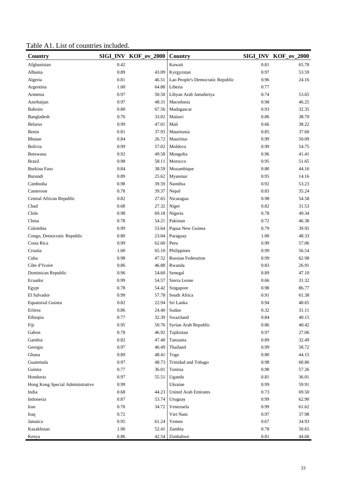Table A1. List of countries included.

| Country                          |      | SIGI_INV KOF_ov_2000 | Country                          |      | SIGI_INV KOF_ov_2000 |
|----------------------------------|------|----------------------|----------------------------------|------|----------------------|
| Afghanistan                      | 0.42 |                      | Kuwait                           | 0.81 | 65.78                |
| Albania                          | 0.89 | 43.09                | Kyrgyzstan                       | 0.97 | 53.59                |
| Algeria                          | 0.81 | 46.51                | Lao People's Democratic Republic | 0.96 | 24.16                |
| Argentina                        | 1.00 | 64.88                | Liberia                          | 0.77 |                      |
| Armenia                          | 0.97 | 50.50                | Libyan Arab Jamahiriya           | 0.74 | 53.65                |
| Azerbaijan                       | 0.97 | 48.31                | Macedonia                        | 0.98 | 46.25                |
| Bahrain                          | 0.80 | 67.56                | Madagascar                       | 0.93 | 32.35                |
| Bangladesh                       | 0.76 | 33.02                | Malawi                           | 0.86 | 38.70                |
| <b>Belarus</b>                   | 0.99 | 47.01                | Mali                             | 0.66 | 38.22                |
| Benin                            | 0.81 | 37.93                | Mauritania                       | 0.85 | 37.60                |
| Bhutan                           | 0.84 | 26.72                | Mauritius                        | 0.99 | 50.09                |
| Bolivia                          | 0.99 | 57.02                | Moldova                          | 0.99 | 54.75                |
| Botswana                         | 0.92 | 49.58                | Mongolia                         | 0.96 | 41.41                |
| <b>Brazil</b>                    | 0.98 | 58.11                | Morocco                          | 0.95 | 51.65                |
| Burkina Faso                     | 0.84 | 38.59                | Mozambique                       | 0.80 | 44.16                |
| Burundi                          | 0.89 | 25.62                | Myanmar                          | 0.95 | 14.16                |
| Cambodia                         | 0.98 | 39.59                | Namibia                          | 0.92 | 53.23                |
| Cameroon                         | 0.78 | 39.37                | Nepal                            | 0.83 | 35.24                |
| Central African Republic         | 0.82 | 27.65                | Nicaragua                        | 0.98 | 54.58                |
| Chad                             | 0.68 | 27.32                | Niger                            | 0.82 | 31.53                |
| Chile                            | 0.98 | 69.18                | Nigeria                          | 0.78 | 49.34                |
| China                            | 0.78 | 54.21                | Pakistan                         | 0.72 | 46.38                |
| Colombia                         | 0.99 | 53.64                | Papua New Guinea                 | 0.79 | 39.95                |
| Congo, Democratic Republic       | 0.80 | 23.04                | Paraguay                         | 1.00 | 48.33                |
| Costa Rica                       | 0.99 | 62.60                | Peru                             | 0.99 | 57.06                |
| Croatia                          | 1.00 | 65.10                | Philippines                      | 0.99 | 56.54                |
| Cuba                             | 0.98 | 47.52                | <b>Russian Federation</b>        | 0.99 | 62.98                |
| Côte d'Ivoire                    | 0.86 | 46.88                | Rwanda                           | 0.83 | 26.91                |
| Dominican Republic               | 0.96 | 54.60                | Senegal                          | 0.89 | 47.10                |
| Ecuador                          | 0.99 | 54.57                | Sierra Leone                     | 0.66 | 31.32                |
| Egypt                            | 0.78 | 54.42                | Singapore                        | 0.98 | 86.77                |
| El Salvador                      | 0.99 | 57.78                | South Africa                     | 0.91 | 61.38                |
| <b>Equatorial Guinea</b>         | 0.82 | 22.94                | Sri Lanka                        | 0.94 | 48.65                |
| Eritrea                          | 0.86 | 24.40                | Sudan                            | 0.32 | 31.11                |
| Ethiopia                         | 0.77 | 32.39                | Swaziland                        | 0.84 | 49.15                |
| Fiji                             | 0.95 | 50.76                | Syrian Arab Republic             | 0.86 | 40.42                |
| Gabon                            | 0.78 | 46.92                | Tajikistan                       | 0.97 | 27.06                |
| Gambia                           | 0.82 | 47.40                | Tanzania                         | 0.89 | 32.49                |
| Georgia                          | 0.97 | 46.49                | Thailand                         | 0.99 | 58.72                |
| Ghana                            | 0.89 | 48.41                | Togo                             | 0.80 | 44.15                |
| Guatemala                        | 0.97 | 48.73                | Trinidad and Tobago              | 0.98 | 60.86                |
| Guinea                           | 0.77 | 36.01                | Tunisia                          | 0.98 | 57.26                |
| Honduras                         | 0.97 | 55.51                | Uganda                           | 0.81 | 36.01                |
| Hong Kong Special Administrative | 0.99 |                      | Ukraine                          | 0.99 | 59.91                |
| India                            | 0.68 | 44.23                | <b>United Arab Emirates</b>      | 0.73 | 69.50                |
| Indonesia                        | 0.87 | 53.74                | Uruguay                          | 0.99 | 62.90                |
| Iran                             | 0.70 | 34.72                | Venezuela                        | 0.99 | 61.62                |
| Iraq                             | 0.72 |                      | Viet Nam                         | 0.97 | 37.98                |
| Jamaica                          | 0.95 | 61.24                | Yemen                            | 0.67 | 34.93                |
| Kazakhstan                       | 1.00 | 52.41                | Zambia                           | 0.78 | 50.65                |
| Kenya                            | 0.86 | 42.54                | Zimbabwe                         | 0.81 | 44.68                |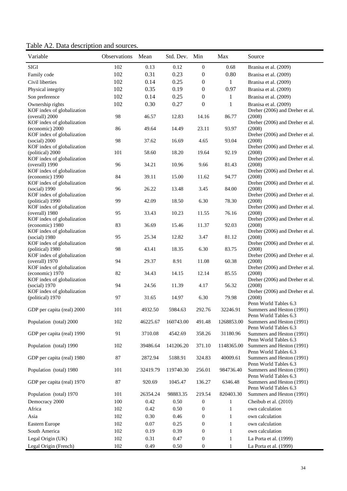Table A2. Data description and sources.

| Variable                                       | Observations Mean |          | Std. Dev. Min |                  | Max          | Source                                             |
|------------------------------------------------|-------------------|----------|---------------|------------------|--------------|----------------------------------------------------|
| SIGI                                           | 102               | 0.13     | 0.12          | $\boldsymbol{0}$ | 0.68         | Branisa et al. (2009)                              |
| Family code                                    | 102               | 0.31     | 0.23          | $\boldsymbol{0}$ | 0.80         | Branisa et al. (2009)                              |
| Civil liberties                                | 102               | 0.14     | 0.25          | $\boldsymbol{0}$ | $\mathbf{1}$ | Branisa et al. (2009)                              |
| Physical integrity                             | 102               | 0.35     | 0.19          | $\boldsymbol{0}$ | 0.97         | Branisa et al. (2009)                              |
| Son preference                                 | 102               | 0.14     | 0.25          | $\boldsymbol{0}$ | 1            | Branisa et al. (2009)                              |
| Ownership rights                               | 102               | 0.30     | 0.27          | $\boldsymbol{0}$ | 1            | Branisa et al. (2009)                              |
| KOF index of globalization                     |                   |          |               |                  |              | Dreher (2006) and Dreher et al.                    |
| (overall) 2000                                 | 98                | 46.57    | 12.83         | 14.16            | 86.77        | (2008)                                             |
| KOF index of globalization<br>(economic) 2000  | 86                | 49.64    | 14.49         | 23.11            | 93.97        | Dreher (2006) and Dreher et al.<br>(2008)          |
| KOF index of globalization                     |                   |          |               |                  |              | Dreher (2006) and Dreher et al.                    |
| (social) 2000                                  | 98                | 37.62    | 16.69         | 4.65             | 93.04        | (2008)                                             |
| KOF index of globalization                     |                   |          |               |                  |              | Dreher (2006) and Dreher et al.                    |
| (political) 2000                               | 101               | 58.60    | 18.20         | 19.64            | 92.19        | (2008)                                             |
| KOF index of globalization<br>(overall) 1990   | 96                | 34.21    | 10.96         | 9.66             | 81.43        | Dreher (2006) and Dreher et al.<br>(2008)          |
| KOF index of globalization                     |                   |          |               |                  |              | Dreher (2006) and Dreher et al.                    |
| (economic) 1990                                | 84                | 39.11    | 15.00         | 11.62            | 94.77        | (2008)                                             |
| KOF index of globalization                     |                   |          |               |                  |              | Dreher (2006) and Dreher et al.                    |
| (social) 1990                                  | 96                | 26.22    | 13.48         | 3.45             | 84.00        | (2008)                                             |
| KOF index of globalization<br>(political) 1990 | 99                | 42.09    | 18.50         | 6.30             | 78.30        | Dreher (2006) and Dreher et al.<br>(2008)          |
| KOF index of globalization                     |                   |          |               |                  |              | Dreher (2006) and Dreher et al.                    |
| (overall) 1980                                 | 95                | 33.43    | 10.23         | 11.55            | 76.16        | (2008)                                             |
| KOF index of globalization                     |                   |          |               |                  |              | Dreher (2006) and Dreher et al.                    |
| (economic) 1980                                | 83                | 36.69    | 15.46         | 11.37            | 92.03        | (2008)                                             |
| KOF index of globalization                     |                   |          |               |                  |              | Dreher (2006) and Dreher et al.                    |
| (social) 1980<br>KOF index of globalization    | 95                | 25.34    | 12.82         | 3.47             | 81.12        | (2008)<br>Dreher (2006) and Dreher et al.          |
| (political) 1980                               | 98                | 43.41    | 18.35         | 6.30             | 83.75        | (2008)                                             |
| KOF index of globalization                     |                   |          |               |                  |              | Dreher (2006) and Dreher et al.                    |
| (overall) 1970                                 | 94                | 29.37    | 8.91          | 11.08            | 60.38        | (2008)                                             |
| KOF index of globalization                     |                   |          |               |                  |              | Dreher (2006) and Dreher et al.                    |
| (economic) 1970<br>KOF index of globalization  | 82                | 34.43    | 14.15         | 12.14            | 85.55        | (2008)<br>Dreher (2006) and Dreher et al.          |
| (social) 1970                                  | 94                | 24.56    | 11.39         | 4.17             | 56.32        | (2008)                                             |
| KOF index of globalization                     |                   |          |               |                  |              | Dreher (2006) and Dreher et al.                    |
| (political) 1970                               | 97                | 31.65    | 14.97         | 6.30             | 79.98        | (2008)                                             |
| GDP per capita (real) 2000                     | 101               | 4932.50  | 5984.63       | 292.76           | 32246.91     | Penn World Tables 6.3                              |
|                                                |                   |          |               |                  |              | Summers and Heston (1991)<br>Penn World Tables 6.3 |
| Population (total) 2000                        | 102               | 46225.67 | 160743.00     | 491.48           | 1268853.00   | Summers and Heston (1991)                          |
|                                                |                   |          |               |                  |              | Penn World Tables 6.3                              |
| GDP per capita (real) 1990                     | 91                | 3710.08  | 4542.69       | 358.26           | 31180.96     | Summers and Heston (1991)                          |
| Population (total) 1990                        | 102               | 39486.64 | 141206.20     | 371.10           | 1148365.00   | Penn World Tables 6.3<br>Summers and Heston (1991) |
|                                                |                   |          |               |                  |              | Penn World Tables 6.3                              |
| GDP per capita (real) 1980                     | 87                | 2872.94  | 5188.91       | 324.83           | 40009.61     | Summers and Heston (1991)                          |
|                                                |                   |          |               |                  |              | Penn World Tables 6.3                              |
| Population (total) 1980                        | 101               | 32419.79 | 119740.30     | 256.01           | 984736.40    | Summers and Heston (1991)                          |
| GDP per capita (real) 1970                     |                   |          |               |                  |              | Penn World Tables 6.3                              |
|                                                | 87                | 920.69   | 1045.47       | 136.27           | 6346.48      | Summers and Heston (1991)<br>Penn World Tables 6.3 |
| Population (total) 1970                        | 101               | 26354.24 | 98883.35      | 219.54           | 820403.30    | Summers and Heston (1991)                          |
| Democracy 2000                                 | 100               | 0.42     | 0.50          | $\boldsymbol{0}$ | 1            | Cheibub et al. (2010)                              |
| Africa                                         | 102               | 0.42     | 0.50          | $\boldsymbol{0}$ | $\mathbf{1}$ | own calculation                                    |
| Asia                                           | 102               | 0.30     | 0.46          | 0                | $\mathbf{1}$ | own calculation                                    |
| Eastern Europe                                 | 102               | 0.07     | 0.25          | 0                | 1            | own calculation                                    |
| South America                                  | 102               | 0.19     | 0.39          | $\boldsymbol{0}$ | 1            | own calculation                                    |
| Legal Origin (UK)                              | 102               | 0.31     | 0.47          | $\boldsymbol{0}$ | $\mathbf{1}$ | La Porta et al. (1999)                             |
| Legal Origin (French)                          | 102               | 0.49     | 0.50          | $\boldsymbol{0}$ | 1            | La Porta et al. (1999)                             |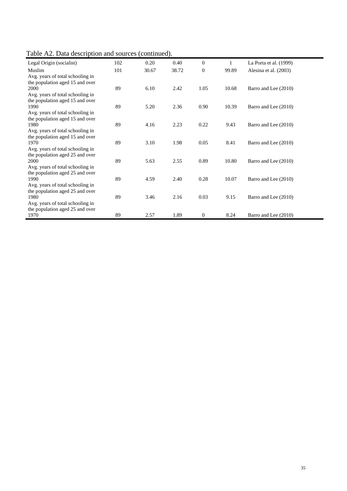Table A2. Data description and sources (continued).

| Legal Origin (socialist)                                                    | 102 | 0.20  | 0.40  | $\overline{0}$   |       | La Porta et al. $(1999)$ |
|-----------------------------------------------------------------------------|-----|-------|-------|------------------|-------|--------------------------|
| Muslim                                                                      | 101 | 30.67 | 38.72 | $\boldsymbol{0}$ | 99.89 | Alesina et al. (2003)    |
| Avg. years of total schooling in<br>the population aged 15 and over         |     |       |       |                  |       |                          |
| 2000                                                                        | 89  | 6.10  | 2.42  | 1.05             | 10.68 | Barro and Lee (2010)     |
| Avg. years of total schooling in<br>the population aged 15 and over         |     |       |       |                  |       |                          |
| 1990                                                                        | 89  | 5.20  | 2.36  | 0.90             | 10.39 | Barro and Lee (2010)     |
| Avg. years of total schooling in<br>the population aged 15 and over<br>1980 | 89  | 4.16  | 2.23  | 0.22             | 9.43  | Barro and Lee (2010)     |
| Avg. years of total schooling in<br>the population aged 15 and over         |     |       |       |                  |       |                          |
| 1970                                                                        | 89  | 3.10  | 1.98  | 0.05             | 8.41  | Barro and Lee (2010)     |
| Avg. years of total schooling in<br>the population aged 25 and over<br>2000 | 89  | 5.63  | 2.55  | 0.89             | 10.80 | Barro and Lee (2010)     |
| Avg. years of total schooling in<br>the population aged 25 and over<br>1990 | 89  | 4.59  | 2.40  | 0.28             | 10.07 | Barro and Lee (2010)     |
| Avg. years of total schooling in<br>the population aged 25 and over         |     |       |       |                  |       |                          |
| 1980                                                                        | 89  | 3.46  | 2.16  | 0.03             | 9.15  | Barro and Lee (2010)     |
| Avg. years of total schooling in<br>the population aged 25 and over         |     |       |       |                  |       |                          |
| 1970                                                                        | 89  | 2.57  | 1.89  | $\overline{0}$   | 8.24  | Barro and Lee (2010)     |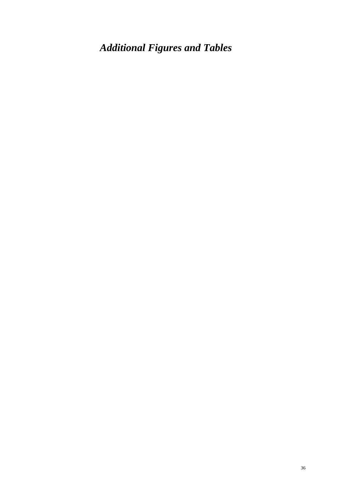*Additional Figures and Tables*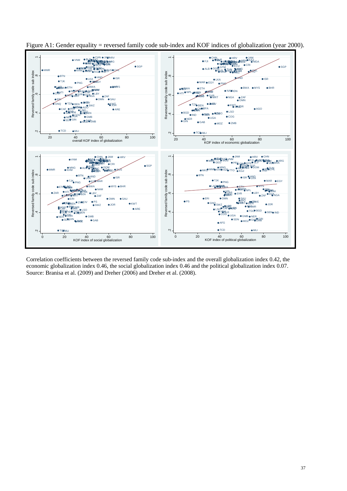

Figure A1: Gender equality = reversed family code sub-index and KOF indices of globalization (year 2000).

Correlation coefficients between the reversed family code sub-index and the overall globalization index 0.42, the economic globalization index 0.46, the social globalization index 0.46 and the political globalization index 0.07. Source: Branisa et al. (2009) and Dreher (2006) and Dreher et al. (2008).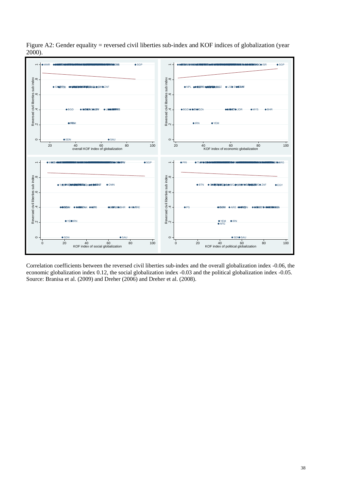

Figure A2: Gender equality = reversed civil liberties sub-index and KOF indices of globalization (year 2000).

Correlation coefficients between the reversed civil liberties sub-index and the overall globalization index -0.06, the economic globalization index 0.12, the social globalization index -0.03 and the political globalization index -0.05. Source: Branisa et al. (2009) and Dreher (2006) and Dreher et al. (2008).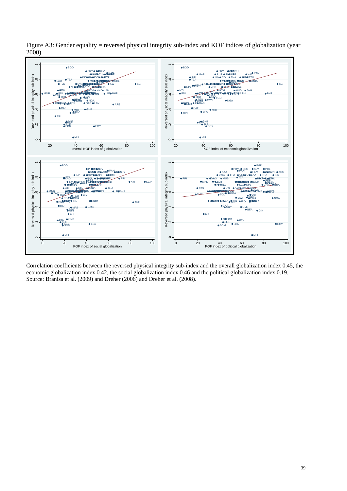

Figure A3: Gender equality = reversed physical integrity sub-index and KOF indices of globalization (year 2000).

Correlation coefficients between the reversed physical integrity sub-index and the overall globalization index 0.45, the economic globalization index 0.42, the social globalization index 0.46 and the political globalization index 0.19. Source: Branisa et al. (2009) and Dreher (2006) and Dreher et al. (2008).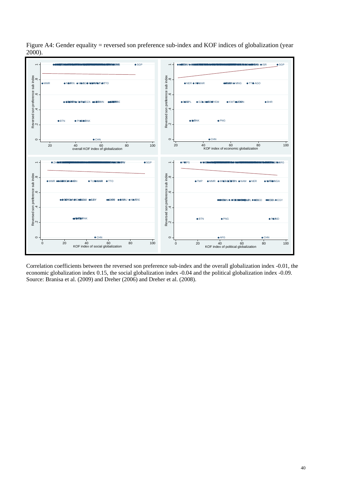

Figure A4: Gender equality = reversed son preference sub-index and KOF indices of globalization (year 2000).

Correlation coefficients between the reversed son preference sub-index and the overall globalization index -0.01, the economic globalization index 0.15, the social globalization index -0.04 and the political globalization index -0.09. Source: Branisa et al. (2009) and Dreher (2006) and Dreher et al. (2008).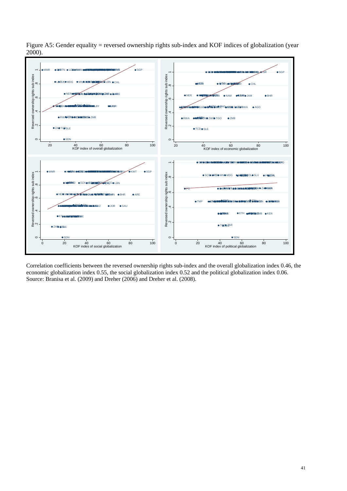

Figure A5: Gender equality = reversed ownership rights sub-index and KOF indices of globalization (year 2000).

Correlation coefficients between the reversed ownership rights sub-index and the overall globalization index 0.46, the economic globalization index 0.55, the social globalization index 0.52 and the political globalization index 0.06. Source: Branisa et al. (2009) and Dreher (2006) and Dreher et al. (2008).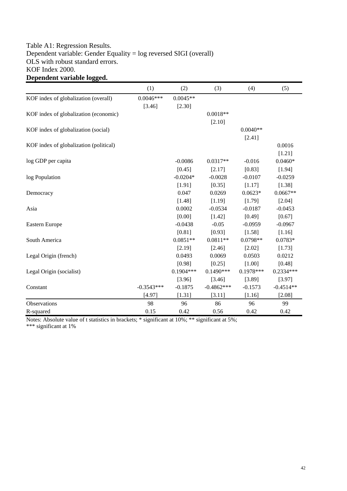#### Table A1: Regression Results. Dependent variable: Gender Equality = log reversed SIGI (overall) OLS with robust standard errors. KOF Index 2000. **Dependent variable logged.**

|                                        | (1)          | (2)         | (3)          | (4)         | (5)         |
|----------------------------------------|--------------|-------------|--------------|-------------|-------------|
| KOF index of globalization (overall)   | $0.0046***$  | $0.0045**$  |              |             |             |
|                                        | [3.46]       | [2.30]      |              |             |             |
| KOF index of globalization (economic)  |              |             | $0.0018**$   |             |             |
|                                        |              |             | [2.10]       |             |             |
| KOF index of globalization (social)    |              |             |              | $0.0040**$  |             |
|                                        |              |             |              | [2.41]      |             |
| KOF index of globalization (political) |              |             |              |             | 0.0016      |
|                                        |              |             |              |             | $[1.21]$    |
| log GDP per capita                     |              | $-0.0086$   | $0.0317**$   | $-0.016$    | $0.0460*$   |
|                                        |              | [0.45]      | [2.17]       | [0.83]      | [1.94]      |
| log Population                         |              | $-0.0204*$  | $-0.0028$    | $-0.0107$   | $-0.0259$   |
|                                        |              | [1.91]      | [0.35]       | [1.17]      | [1.38]      |
| Democracy                              |              | 0.047       | 0.0269       | $0.0623*$   | $0.0667**$  |
|                                        |              | [1.48]      | [1.19]       | [1.79]      | [2.04]      |
| Asia                                   |              | 0.0002      | $-0.0534$    | $-0.0187$   | $-0.0453$   |
|                                        |              | [0.00]      | [1.42]       | [0.49]      | [0.67]      |
| Eastern Europe                         |              | $-0.0438$   | $-0.05$      | $-0.0959$   | $-0.0967$   |
|                                        |              | [0.81]      | [0.93]       | [1.58]      | [1.16]      |
| South America                          |              | $0.0851**$  | $0.0811**$   | $0.0798**$  | $0.0783*$   |
|                                        |              | [2.19]      | [2.46]       | [2.02]      | [1.73]      |
| Legal Origin (french)                  |              | 0.0493      | 0.0069       | 0.0503      | 0.0212      |
|                                        |              | [0.98]      | [0.25]       | [1.00]      | [0.48]      |
| Legal Origin (socialist)               |              | $0.1904***$ | $0.1490***$  | $0.1978***$ | 0.2334***   |
|                                        |              | [3.96]      | [3.46]       | [3.89]      | [3.97]      |
| Constant                               | $-0.3543***$ | $-0.1875$   | $-0.4862***$ | $-0.1573$   | $-0.4514**$ |
|                                        | [4.97]       | [1.31]      | [3.11]       | [1.16]      | [2.08]      |
| Observations                           | 98           | 96          | 86           | 96          | 99          |
| R-squared                              | 0.15         | 0.42        | 0.56         | 0.42        | 0.42        |

Notes: Absolute value of t statistics in brackets; \* significant at 10%; \*\* significant at 5%;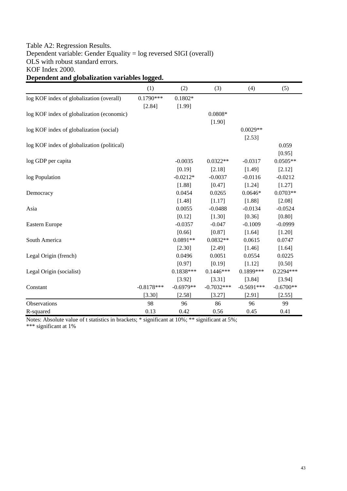# Table A2: Regression Results. Dependent variable: Gender Equality = log reversed SIGI (overall) OLS with robust standard errors. KOF Index 2000.

# **Dependent and globalization variables logged.**

|                                            | (1)          | (2)         | (3)          | (4)          | (5)         |
|--------------------------------------------|--------------|-------------|--------------|--------------|-------------|
| log KOF index of globalization (overall)   | $0.1790***$  | $0.1802*$   |              |              |             |
|                                            | [2.84]       | [1.99]      |              |              |             |
| log KOF index of globalization (economic)  |              |             | $0.0808*$    |              |             |
|                                            |              |             | [1.90]       |              |             |
| log KOF index of globalization (social)    |              |             |              | $0.0029**$   |             |
|                                            |              |             |              | [2.53]       |             |
| log KOF index of globalization (political) |              |             |              |              | 0.059       |
|                                            |              |             |              |              | [0.95]      |
| log GDP per capita                         |              | $-0.0035$   | $0.0322**$   | $-0.0317$    | $0.0505**$  |
|                                            |              | [0.19]      | [2.18]       | [1.49]       | [2.12]      |
| log Population                             |              | $-0.0212*$  | $-0.0037$    | $-0.0116$    | $-0.0212$   |
|                                            |              | [1.88]      | [0.47]       | [1.24]       | [1.27]      |
| Democracy                                  |              | 0.0454      | 0.0265       | $0.0646*$    | $0.0703**$  |
|                                            |              | [1.48]      | [1.17]       | [1.88]       | [2.08]      |
| Asia                                       |              | 0.0055      | $-0.0488$    | $-0.0134$    | $-0.0524$   |
|                                            |              | [0.12]      | [1.30]       | [0.36]       | [0.80]      |
| Eastern Europe                             |              | $-0.0357$   | $-0.047$     | $-0.1009$    | $-0.0999$   |
|                                            |              | [0.66]      | [0.87]       | [1.64]       | [1.20]      |
| South America                              |              | $0.0891**$  | $0.0832**$   | 0.0615       | 0.0747      |
|                                            |              | [2.30]      | [2.49]       | [1.46]       | [1.64]      |
| Legal Origin (french)                      |              | 0.0496      | 0.0051       | 0.0554       | 0.0225      |
|                                            |              | [0.97]      | [0.19]       | [1.12]       | [0.50]      |
| Legal Origin (socialist)                   |              | $0.1838***$ | $0.1446***$  | 0.1899***    | $0.2294***$ |
|                                            |              | [3.92]      | [3.31]       | [3.84]       | [3.94]      |
| Constant                                   | $-0.8178***$ | $-0.6979**$ | $-0.7032***$ | $-0.5691***$ | $-0.6700**$ |
|                                            | [3.30]       | [2.58]      | [3.27]       | [2.91]       | [2.55]      |
| Observations                               | 98           | 96          | 86           | 96           | 99          |
| R-squared                                  | 0.13         | 0.42        | 0.56         | 0.45         | 0.41        |

Notes: Absolute value of t statistics in brackets; \* significant at 10%; \*\* significant at 5%;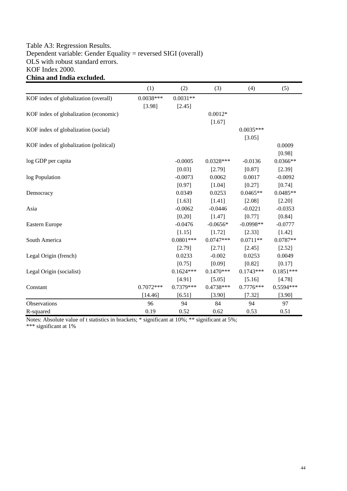#### Table A3: Regression Results. Dependent variable: Gender Equality = reversed SIGI (overall) OLS with robust standard errors. KOF Index 2000. **China and India excluded.**

|                                        | (1)         | (2)         | (3)         | (4)         | (5)         |
|----------------------------------------|-------------|-------------|-------------|-------------|-------------|
| KOF index of globalization (overall)   | $0.0038***$ | $0.0031**$  |             |             |             |
|                                        | [3.98]      | [2.45]      |             |             |             |
| KOF index of globalization (economic)  |             |             | $0.0012*$   |             |             |
|                                        |             |             | [1.67]      |             |             |
| KOF index of globalization (social)    |             |             |             | $0.0035***$ |             |
|                                        |             |             |             | [3.05]      |             |
| KOF index of globalization (political) |             |             |             |             | 0.0009      |
|                                        |             |             |             |             | [0.98]      |
| log GDP per capita                     |             | $-0.0005$   | $0.0328***$ | $-0.0136$   | $0.0366**$  |
|                                        |             | [0.03]      | [2.79]      | [0.87]      | [2.39]      |
| log Population                         |             | $-0.0073$   | 0.0062      | 0.0017      | $-0.0092$   |
|                                        |             | [0.97]      | [1.04]      | [0.27]      | [0.74]      |
| Democracy                              |             | 0.0349      | 0.0253      | $0.0465**$  | $0.0485**$  |
|                                        |             | [1.63]      | [1.41]      | [2.08]      | [2.20]      |
| Asia                                   |             | $-0.0062$   | $-0.0446$   | $-0.0221$   | $-0.0353$   |
|                                        |             | [0.20]      | [1.47]      | [0.77]      | [0.84]      |
| Eastern Europe                         |             | $-0.0476$   | $-0.0656*$  | $-0.0998**$ | $-0.0777$   |
|                                        |             | [1.15]      | [1.72]      | [2.33]      | [1.42]      |
| South America                          |             | $0.0801***$ | $0.0747***$ | $0.0711**$  | $0.0787**$  |
|                                        |             | [2.79]      | [2.71]      | [2.45]      | [2.52]      |
| Legal Origin (french)                  |             | 0.0233      | $-0.002$    | 0.0253      | 0.0049      |
|                                        |             | [0.75]      | [0.09]      | [0.82]      | [0.17]      |
| Legal Origin (socialist)               |             | $0.1624***$ | $0.1470***$ | $0.1743***$ | $0.1851***$ |
|                                        |             | [4.91]      | [5.05]      | [5.16]      | [4.78]      |
| Constant                               | $0.7072***$ | 0.7379***   | $0.4738***$ | $0.7776***$ | 0.5594***   |
|                                        | [14.46]     | $[6.51]$    | [3.90]      | [7.32]      | [3.90]      |
| Observations                           | 96          | 94          | 84          | 94          | 97          |
| R-squared                              | 0.19        | 0.52        | 0.62        | 0.53        | 0.51        |

Notes: Absolute value of t statistics in brackets; \* significant at 10%; \*\* significant at 5%;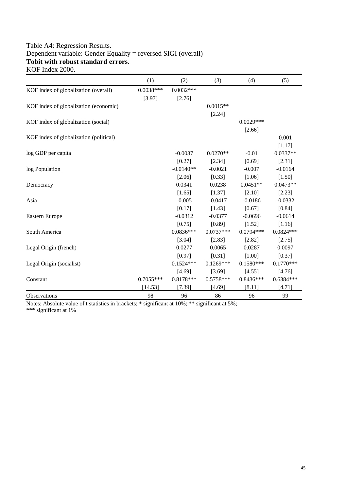#### Table A4: Regression Results. Dependent variable: Gender Equality = reversed SIGI (overall) **Tobit with robust standard errors.**  KOF Index 2000.

|                                        | (1)         | (2)         | (3)         | (4)         | (5)         |
|----------------------------------------|-------------|-------------|-------------|-------------|-------------|
| KOF index of globalization (overall)   | $0.0038***$ | $0.0032***$ |             |             |             |
|                                        | [3.97]      | [2.76]      |             |             |             |
| KOF index of globalization (economic)  |             |             | $0.0015**$  |             |             |
|                                        |             |             | $[2.24]$    |             |             |
| KOF index of globalization (social)    |             |             |             | $0.0029***$ |             |
|                                        |             |             |             | [2.66]      |             |
| KOF index of globalization (political) |             |             |             |             | 0.001       |
|                                        |             |             |             |             | [1.17]      |
| log GDP per capita                     |             | $-0.0037$   | $0.0270**$  | $-0.01$     | $0.0337**$  |
|                                        |             | [0.27]      | [2.34]      | [0.69]      | [2.31]      |
| log Population                         |             | $-0.0140**$ | $-0.0021$   | $-0.007$    | $-0.0164$   |
|                                        |             | [2.06]      | [0.33]      | [1.06]      | [1.50]      |
| Democracy                              |             | 0.0341      | 0.0238      | $0.0451**$  | $0.0473**$  |
|                                        |             | [1.65]      | [1.37]      | [2.10]      | [2.23]      |
| Asia                                   |             | $-0.005$    | $-0.0417$   | $-0.0186$   | $-0.0332$   |
|                                        |             | [0.17]      | [1.43]      | [0.67]      | [0.84]      |
| Eastern Europe                         |             | $-0.0312$   | $-0.0377$   | $-0.0696$   | $-0.0614$   |
|                                        |             | [0.75]      | [0.89]      | [1.52]      | [1.16]      |
| South America                          |             | $0.0836***$ | $0.0737***$ | 0.0794***   | $0.0824***$ |
|                                        |             | [3.04]      | [2.83]      | [2.82]      | [2.75]      |
| Legal Origin (french)                  |             | 0.0277      | 0.0065      | 0.0287      | 0.0097      |
|                                        |             | [0.97]      | [0.31]      | [1.00]      | [0.37]      |
| Legal Origin (socialist)               |             | $0.1524***$ | $0.1269***$ | $0.1580***$ | $0.1770***$ |
|                                        |             | [4.69]      | [3.69]      | [4.55]      | [4.76]      |
| Constant                               | $0.7055***$ | 0.8178***   | $0.5758***$ | $0.8436***$ | $0.6384***$ |
|                                        | [14.53]     | [7.39]      | [4.69]      | [8.11]      | [4.71]      |
| Observations                           | 98          | 96          | 86          | 96          | 99          |

Notes: Absolute value of t statistics in brackets; \* significant at 10%; \*\* significant at 5%;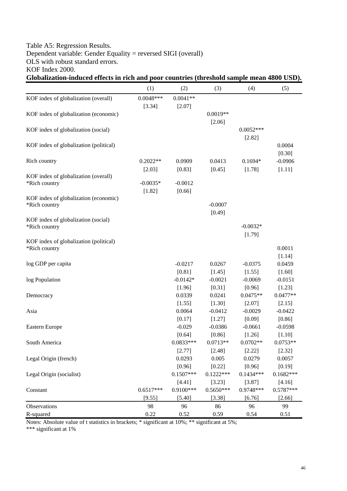# Table A5: Regression Results. Dependent variable: Gender Equality = reversed SIGI (overall) OLS with robust standard errors. KOF Index 2000.

# **Globalization-induced effects in rich and poor countries (threshold sample mean 4800 USD).**

|                                                         | (1)         | (2)         | (3)         | (4)         | (5)         |
|---------------------------------------------------------|-------------|-------------|-------------|-------------|-------------|
| KOF index of globalization (overall)                    | $0.0048***$ | $0.0041**$  |             |             |             |
|                                                         | [3.34]      | [2.07]      |             |             |             |
| KOF index of globalization (economic)                   |             |             | $0.0019**$  |             |             |
|                                                         |             |             | [2.06]      |             |             |
| KOF index of globalization (social)                     |             |             |             | $0.0052***$ |             |
|                                                         |             |             |             | [2.82]      |             |
| KOF index of globalization (political)                  |             |             |             |             | 0.0004      |
|                                                         |             |             |             |             | [0.30]      |
| Rich country                                            | $0.2022**$  | 0.0909      | 0.0413      | $0.1694*$   | $-0.0906$   |
|                                                         | [2.03]      | [0.83]      | [0.45]      | [1.78]      | [1.11]      |
| KOF index of globalization (overall)<br>*Rich country   | $-0.0035*$  | $-0.0012$   |             |             |             |
|                                                         | [1.82]      | [0.66]      |             |             |             |
| KOF index of globalization (economic)                   |             |             |             |             |             |
| *Rich country                                           |             |             | $-0.0007$   |             |             |
|                                                         |             |             | [0.49]      |             |             |
| KOF index of globalization (social)                     |             |             |             |             |             |
| *Rich country                                           |             |             |             | $-0.0032*$  |             |
|                                                         |             |             |             | [1.79]      |             |
| KOF index of globalization (political)<br>*Rich country |             |             |             |             | 0.0011      |
|                                                         |             |             |             |             | [1.14]      |
| log GDP per capita                                      |             | $-0.0217$   | 0.0267      | $-0.0375$   | 0.0459      |
|                                                         |             | [0.81]      | [1.45]      | [1.55]      | [1.60]      |
| log Population                                          |             | $-0.0142*$  | $-0.0021$   | $-0.0069$   | $-0.0151$   |
|                                                         |             | [1.96]      | [0.31]      | [0.96]      | [1.23]      |
| Democracy                                               |             | 0.0339      | 0.0241      | $0.0475**$  | $0.0477**$  |
|                                                         |             | [1.55]      | [1.30]      | [2.07]      | [2.15]      |
| Asia                                                    |             | 0.0064      | $-0.0412$   | $-0.0029$   | $-0.0422$   |
|                                                         |             | [0.17]      | [1.27]      | [0.09]      | [0.86]      |
| Eastern Europe                                          |             | $-0.029$    | $-0.0386$   | $-0.0661$   | $-0.0598$   |
|                                                         |             | [0.64]      | [0.86]      | [1.26]      | [1.10]      |
| South America                                           |             | $0.0833***$ | $0.0713**$  | $0.0702**$  | $0.0753**$  |
|                                                         |             | [2.77]      | [2.48]      | [2.22]      | [2.32]      |
| Legal Origin (french)                                   |             | 0.0293      | 0.005       | 0.0279      | 0.0057      |
|                                                         |             | [0.96]      | [0.22]      | [0.96]      | [0.19]      |
| Legal Origin (socialist)                                |             | $0.1507***$ | $0.1222***$ | $0.1434***$ | $0.1682***$ |
|                                                         |             | [4.41]      | [3.23]      | [3.87]      | [4.16]      |
| Constant                                                | $0.6517***$ | 0.9100***   | $0.5650***$ | 0.9748***   | $0.5787***$ |
|                                                         | [9.55]      | [5.40]      | [3.38]      | $[6.76]$    | $[2.66]$    |
| Observations                                            | 98          | 96          | 86          | 96          | 99          |
| R-squared                                               | 0.22        | 0.52        | 0.59        | 0.54        | 0.51        |

Notes: Absolute value of t statistics in brackets; \* significant at 10%; \*\* significant at 5%;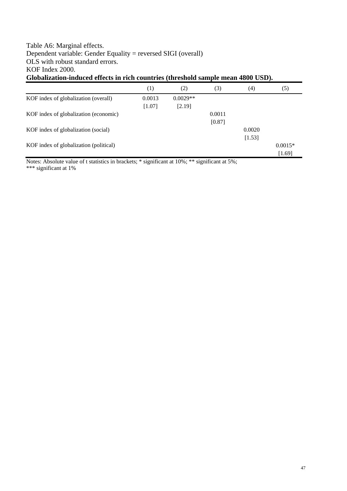# Table A6: Marginal effects. Dependent variable: Gender Equality = reversed SIGI (overall) OLS with robust standard errors. KOF Index 2000. **Globalization-induced effects in rich countries (threshold sample mean 4800 USD).**

|                                        | (1)    | (2)        | (3)    | (4)    | (5)       |
|----------------------------------------|--------|------------|--------|--------|-----------|
| KOF index of globalization (overall)   | 0.0013 | $0.0029**$ |        |        |           |
|                                        | [1.07] | [2.19]     |        |        |           |
| KOF index of globalization (economic)  |        |            | 0.0011 |        |           |
|                                        |        |            | [0.87] |        |           |
| KOF index of globalization (social)    |        |            |        | 0.0020 |           |
|                                        |        |            |        | [1.53] |           |
| KOF index of globalization (political) |        |            |        |        | $0.0015*$ |
|                                        |        |            |        |        | [1.69]    |

Notes: Absolute value of t statistics in brackets; \* significant at 10%; \*\* significant at 5%;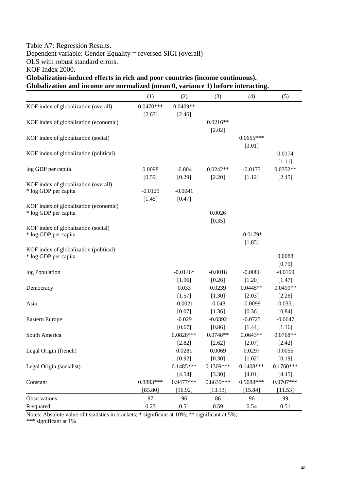# Table A7: Regression Results. Dependent variable: Gender Equality = reversed SIGI (overall) OLS with robust standard errors. KOF Index 2000.

**Globalization-induced effects in rich and poor countries (income continuous).**  Globalization and income are normalized (mean 0, variance 1) before interacting.

|                                                                | (1)         | (2)         | (3)         | (4)         | (5)         |
|----------------------------------------------------------------|-------------|-------------|-------------|-------------|-------------|
| KOF index of globalization (overall)                           | $0.0470***$ | $0.0409**$  |             |             |             |
|                                                                | [2.67]      | [2.46]      |             |             |             |
| KOF index of globalization (economic)                          |             |             | $0.0216**$  |             |             |
|                                                                |             |             | [2.02]      |             |             |
| KOF index of globalization (social)                            |             |             |             | $0.0665***$ |             |
|                                                                |             |             |             | [3.01]      |             |
| KOF index of globalization (political)                         |             |             |             |             | 0.0174      |
|                                                                |             |             |             |             | [1.11]      |
| log GDP per capita                                             | 0.0098      | $-0.004$    | $0.0242**$  | $-0.0173$   | $0.0352**$  |
| KOF index of globalization (overall)                           | [0.59]      | [0.29]      | [2.20]      | [1.12]      | [2.45]      |
| * log GDP per capita                                           | $-0.0125$   | $-0.0041$   |             |             |             |
|                                                                | [1.45]      | [0.47]      |             |             |             |
| KOF index of globalization (economic)                          |             |             |             |             |             |
| * log GDP per capita                                           |             |             | 0.0026      |             |             |
|                                                                |             |             | [0.35]      |             |             |
| KOF index of globalization (social)                            |             |             |             |             |             |
| * log GDP per capita                                           |             |             |             | $-0.0179*$  |             |
|                                                                |             |             |             | [1.85]      |             |
| KOF index of globalization (political)<br>* log GDP per capita |             |             |             |             | 0.0088      |
|                                                                |             |             |             |             | [0.79]      |
| log Population                                                 |             | $-0.0146*$  | $-0.0018$   | $-0.0086$   | $-0.0169$   |
|                                                                |             | [1.96]      | [0.26]      | [1.20]      | [1.47]      |
| Democracy                                                      |             | 0.033       | 0.0239      | $0.0445**$  | 0.0499**    |
|                                                                |             | [1.57]      | [1.30]      | [2.03]      | [2.26]      |
| Asia                                                           |             | $-0.0021$   | $-0.043$    | $-0.0099$   | $-0.0351$   |
|                                                                |             | [0.07]      | [1.36]      | [0.36]      | [0.84]      |
| Eastern Europe                                                 |             | $-0.029$    | $-0.0392$   | $-0.0725$   | $-0.0647$   |
|                                                                |             | [0.67]      | [0.86]      | [1.44]      | [1.16]      |
| South America                                                  |             | $0.0828***$ | $0.0748**$  | $0.0643**$  | $0.0768**$  |
|                                                                |             | [2.82]      | [2.62]      | [2.07]      | [2.42]      |
| Legal Origin (french)                                          |             | 0.0281      | 0.0069      | 0.0297      | 0.0055      |
|                                                                |             | [0.92]      | [0.30]      | [1.02]      | [0.19]      |
| Legal Origin (socialist)                                       |             | $0.1485***$ | $0.1309***$ | $0.1408***$ | $0.1760***$ |
|                                                                |             | [4.54]      | [3.30]      | [4.01]      | [4.45]      |
| Constant                                                       | 0.8893***   | $0.9477***$ | 0.8639***   | 0.9088***   | 0.9707***   |
|                                                                | [83.80]     | [16.92]     | [13.13]     | [15.84]     | [11.53]     |
| Observations                                                   | 97          | 96          | 86          | 96          | 99          |
| R-squared                                                      | 0.23        | 0.51        | 0.59        | 0.54        | 0.51        |

Notes: Absolute value of t statistics in brackets; \* significant at 10%; \*\* significant at 5%;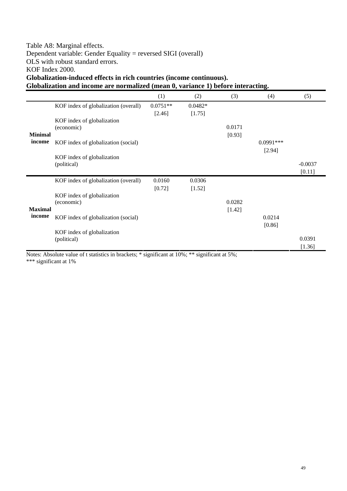# Table A8: Marginal effects. Dependent variable: Gender Equality = reversed SIGI (overall) OLS with robust standard errors. KOF Index 2000.

**Globalization-induced effects in rich countries (income continuous).** 

**Globalization and income are normalized (mean 0, variance 1) before interacting.** 

|                |                                           | (1)                  | (2)                 | (3)              | (4)                   | (5)                 |
|----------------|-------------------------------------------|----------------------|---------------------|------------------|-----------------------|---------------------|
|                | KOF index of globalization (overall)      | $0.0751**$<br>[2.46] | $0.0482*$<br>[1.75] |                  |                       |                     |
| <b>Minimal</b> | KOF index of globalization<br>(economic)  |                      |                     | 0.0171<br>[0.93] |                       |                     |
| income         | KOF index of globalization (social)       |                      |                     |                  | $0.0991***$<br>[2.94] |                     |
|                | KOF index of globalization<br>(political) |                      |                     |                  |                       | $-0.0037$<br>[0.11] |
|                | KOF index of globalization (overall)      | 0.0160<br>$[0.72]$   | 0.0306<br>[1.52]    |                  |                       |                     |
| <b>Maximal</b> | KOF index of globalization<br>(economic)  |                      |                     | 0.0282<br>[1.42] |                       |                     |
| income         | KOF index of globalization (social)       |                      |                     |                  | 0.0214<br>[0.86]      |                     |
|                | KOF index of globalization<br>(political) |                      |                     |                  |                       | 0.0391<br>[1.36]    |

Notes: Absolute value of t statistics in brackets; \* significant at 10%; \*\* significant at 5%; \*\*\* significant at 1%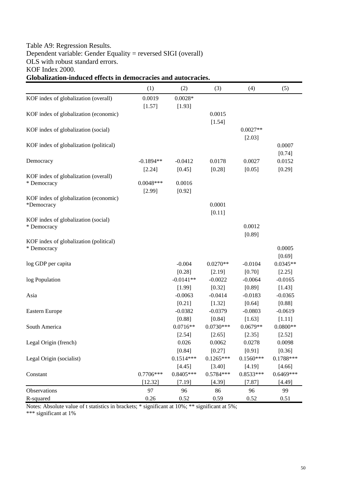#### Table A9: Regression Results. Dependent variable: Gender Equality = reversed SIGI (overall) OLS with robust standard errors. KOF Index 2000. **Globalization-induced effects in democracies and autocracies.**

# (1)  $(2)$   $(3)$   $(4)$   $(5)$ KOF index of globalization (overall) 0.0019 0.0028\*  $[1.57]$   $[1.93]$

|                                                       | [1.57]                | [1.93]                          |                               |                               |                                 |
|-------------------------------------------------------|-----------------------|---------------------------------|-------------------------------|-------------------------------|---------------------------------|
| KOF index of globalization (economic)                 |                       |                                 | 0.0015                        |                               |                                 |
| KOF index of globalization (social)                   |                       |                                 | [1.54]                        | $0.0027**$<br>[2.03]          |                                 |
| KOF index of globalization (political)                |                       |                                 |                               |                               | 0.0007                          |
| Democracy                                             | $-0.1894**$<br>[2.24] | $-0.0412$<br>[0.45]             | 0.0178<br>[0.28]              | 0.0027<br>[0.05]              | [0.74]<br>0.0152<br>[0.29]      |
| KOF index of globalization (overall)<br>* Democracy   | $0.0048***$<br>[2.99] | 0.0016<br>[0.92]                |                               |                               |                                 |
| KOF index of globalization (economic)<br>*Democracy   |                       |                                 | 0.0001<br>[0.11]              |                               |                                 |
| KOF index of globalization (social)<br>* Democracy    |                       |                                 |                               | 0.0012<br>[0.89]              |                                 |
| KOF index of globalization (political)<br>* Democracy |                       |                                 |                               |                               | 0.0005<br>[0.69]                |
| log GDP per capita                                    |                       | $-0.004$                        | $0.0270**$                    | $-0.0104$                     | $0.0345**$                      |
| log Population                                        |                       | [0.28]<br>$-0.0141**$<br>[1.99] | [2.19]<br>$-0.0022$<br>[0.32] | [0.70]<br>$-0.0064$<br>[0.89] | $[2.25]$<br>$-0.0165$<br>[1.43] |
| Asia                                                  |                       | $-0.0063$<br>[0.21]             | $-0.0414$<br>[1.32]           | $-0.0183$<br>[0.64]           | $-0.0365$<br>[0.88]             |
| Eastern Europe                                        |                       | $-0.0382$<br>[0.88]             | $-0.0379$<br>[0.84]           | $-0.0803$<br>[1.63]           | $-0.0619$<br>[1.11]             |
| South America                                         |                       | $0.0716**$<br>[2.54]            | $0.0730***$<br>[2.65]         | $0.0679**$<br>[2.35]          | $0.0800**$<br>[2.52]            |
| Legal Origin (french)                                 |                       | 0.026<br>[0.84]                 | 0.0062<br>[0.27]              | 0.0278<br>[0.91]              | 0.0098<br>[0.36]                |
| Legal Origin (socialist)                              |                       | $0.1514***$<br>[4.45]           | $0.1265***$<br>[3.40]         | $0.1560***$<br>[4.19]         | $0.1788***$<br>[4.66]           |
| Constant                                              | 0.7706***<br>[12.32]  | $0.8405***$<br>[7.19]           | 0.5784***<br>[4.39]           | $0.8533***$<br>[7.87]         | $0.6469***$<br>[4.49]           |
| Observations                                          | 97                    | 96                              | 86                            | 96                            | 99                              |
| R-squared                                             | 0.26                  | 0.52                            | 0.59                          | 0.52                          | 0.51                            |

Notes: Absolute value of t statistics in brackets; \* significant at 10%; \*\* significant at 5%;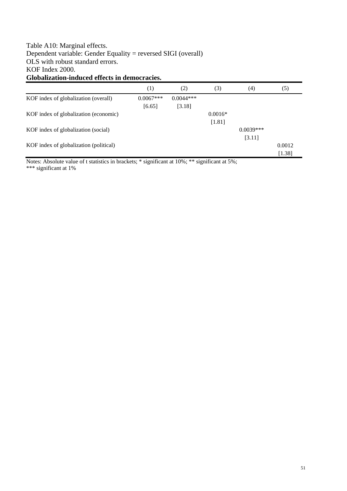#### Table A10: Marginal effects. Dependent variable: Gender Equality = reversed SIGI (overall) OLS with robust standard errors. KOF Index 2000. **Globalization-induced effects in democracies.**

|                                        | (1)         | (2)         | (3)       | (4)         | (5)    |
|----------------------------------------|-------------|-------------|-----------|-------------|--------|
| KOF index of globalization (overall)   | $0.0067***$ | $0.0044***$ |           |             |        |
|                                        | [6.65]      | $[3.18]$    |           |             |        |
| KOF index of globalization (economic)  |             |             | $0.0016*$ |             |        |
|                                        |             |             | [1.81]    |             |        |
| KOF index of globalization (social)    |             |             |           | $0.0039***$ |        |
|                                        |             |             |           | [3.11]      |        |
| KOF index of globalization (political) |             |             |           |             | 0.0012 |
|                                        |             |             |           |             | [1.38] |

Notes: Absolute value of t statistics in brackets; \* significant at 10%; \*\* significant at 5%;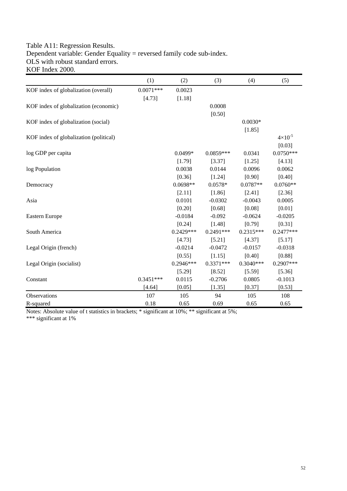#### Table A11: Regression Results. Dependent variable: Gender Equality = reversed family code sub-index. OLS with robust standard errors. KOF Index 2000.

|                                        | (1)         | (2)         | (3)         | (4)         | (5)                |
|----------------------------------------|-------------|-------------|-------------|-------------|--------------------|
| KOF index of globalization (overall)   | $0.0071***$ | 0.0023      |             |             |                    |
|                                        | [4.73]      | [1.18]      |             |             |                    |
| KOF index of globalization (economic)  |             |             | 0.0008      |             |                    |
|                                        |             |             | [0.50]      |             |                    |
| KOF index of globalization (social)    |             |             |             | $0.0030*$   |                    |
|                                        |             |             |             | [1.85]      |                    |
| KOF index of globalization (political) |             |             |             |             | $4 \times 10^{-5}$ |
|                                        |             |             |             |             | [0.03]             |
| log GDP per capita                     |             | $0.0499*$   | $0.0859***$ | 0.0341      | $0.0750***$        |
|                                        |             | [1.79]      | [3.37]      | [1.25]      | [4.13]             |
| log Population                         |             | 0.0038      | 0.0144      | 0.0096      | 0.0062             |
|                                        |             | [0.36]      | [1.24]      | [0.90]      | [0.40]             |
| Democracy                              |             | $0.0698**$  | $0.0578*$   | $0.0787**$  | $0.0760**$         |
|                                        |             | [2.11]      | [1.86]      | [2.41]      | [2.36]             |
| Asia                                   |             | 0.0101      | $-0.0302$   | $-0.0043$   | 0.0005             |
|                                        |             | [0.20]      | [0.68]      | [0.08]      | [0.01]             |
| Eastern Europe                         |             | $-0.0184$   | $-0.092$    | $-0.0624$   | $-0.0205$          |
|                                        |             | [0.24]      | [1.48]      | [0.79]      | $[0.31]$           |
| South America                          |             | $0.2429***$ | $0.2491***$ | $0.2315***$ | $0.2477***$        |
|                                        |             | [4.73]      | [5.21]      | [4.37]      | [5.17]             |
| Legal Origin (french)                  |             | $-0.0214$   | $-0.0472$   | $-0.0157$   | $-0.0318$          |
|                                        |             | [0.55]      | [1.15]      | [0.40]      | [0.88]             |
| Legal Origin (socialist)               |             | $0.2946***$ | $0.3371***$ | $0.3040***$ | 0.2907***          |
|                                        |             | [5.29]      | [8.52]      | [5.59]      | [5.36]             |
| Constant                               | $0.3451***$ | 0.0115      | $-0.2706$   | 0.0805      | $-0.1013$          |
|                                        | [4.64]      | [0.05]      | [1.35]      | [0.37]      | [0.53]             |
| Observations                           | 107         | 105         | 94          | 105         | 108                |
| R-squared                              | 0.18        | 0.65        | 0.69        | 0.65        | 0.65               |

Notes: Absolute value of t statistics in brackets; \* significant at 10%; \*\* significant at 5%;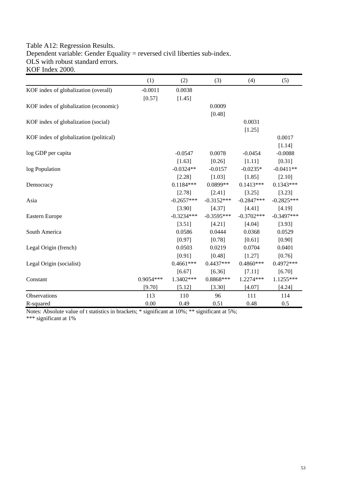#### Table A12: Regression Results. Dependent variable: Gender Equality = reversed civil liberties sub-index. OLS with robust standard errors. KOF Index 2000.

|                                        | (1)       | (2)          | (3)          | (4)          | (5)          |
|----------------------------------------|-----------|--------------|--------------|--------------|--------------|
| KOF index of globalization (overall)   | $-0.0011$ | 0.0038       |              |              |              |
|                                        | [0.57]    | [1.45]       |              |              |              |
| KOF index of globalization (economic)  |           |              | 0.0009       |              |              |
|                                        |           |              | [0.48]       |              |              |
| KOF index of globalization (social)    |           |              |              | 0.0031       |              |
|                                        |           |              |              | [1.25]       |              |
| KOF index of globalization (political) |           |              |              |              | 0.0017       |
|                                        |           |              |              |              | [1.14]       |
| log GDP per capita                     |           | $-0.0547$    | 0.0078       | $-0.0454$    | $-0.0088$    |
|                                        |           | [1.63]       | [0.26]       | [1.11]       | [0.31]       |
| log Population                         |           | $-0.0324**$  | $-0.0157$    | $-0.0235*$   | $-0.0411**$  |
|                                        |           | [2.28]       | [1.03]       | [1.85]       | [2.10]       |
| Democracy                              |           | $0.1184***$  | $0.0899**$   | $0.1413***$  | $0.1343***$  |
|                                        |           | [2.78]       | [2.41]       | [3.25]       | [3.23]       |
| Asia                                   |           | $-0.2657***$ | $-0.3152***$ | $-0.2847***$ | $-0.2825***$ |
|                                        |           | [3.90]       | [4.37]       | [4.41]       | [4.19]       |
| Eastern Europe                         |           | $-0.3234***$ | $-0.3595***$ | $-0.3702***$ | $-0.3497***$ |
|                                        |           | [3.51]       | [4.21]       | [4.04]       | [3.93]       |
| South America                          |           | 0.0586       | 0.0444       | 0.0368       | 0.0529       |
|                                        |           | [0.97]       | [0.78]       | [0.61]       | [0.90]       |
| Legal Origin (french)                  |           | 0.0503       | 0.0219       | 0.0704       | 0.0401       |
|                                        |           | [0.91]       | [0.48]       | [1.27]       | [0.76]       |
| Legal Origin (socialist)               |           | $0.4661***$  | $0.4437***$  | $0.4860***$  | $0.4972***$  |
|                                        |           | $[6.67]$     | [6.36]       | [7.11]       | [6.70]       |
| Constant                               | 0.9054*** | 1.3402***    | $0.8868***$  | 1.2274***    | 1.1255***    |
|                                        | [9.70]    | [5.12]       | [3.30]       | [4.07]       | [4.24]       |
| Observations                           | 113       | 110          | 96           | 111          | 114          |
| R-squared                              | 0.00      | 0.49         | 0.51         | 0.48         | 0.5          |

Notes: Absolute value of t statistics in brackets; \* significant at 10%; \*\* significant at 5%;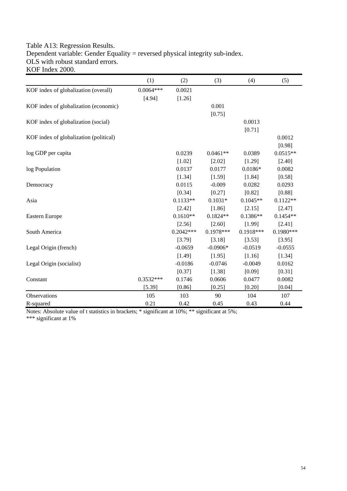#### Table A13: Regression Results. Dependent variable: Gender Equality = reversed physical integrity sub-index. OLS with robust standard errors. KOF Index 2000.

|                                        | (1)         | (2)         | (3)         | (4)         | (5)         |
|----------------------------------------|-------------|-------------|-------------|-------------|-------------|
| KOF index of globalization (overall)   | $0.0064***$ | 0.0021      |             |             |             |
|                                        | [4.94]      | [1.26]      |             |             |             |
| KOF index of globalization (economic)  |             |             | 0.001       |             |             |
|                                        |             |             | [0.75]      |             |             |
| KOF index of globalization (social)    |             |             |             | 0.0013      |             |
|                                        |             |             |             | [0.71]      |             |
| KOF index of globalization (political) |             |             |             |             | 0.0012      |
|                                        |             |             |             |             | [0.98]      |
| log GDP per capita                     |             | 0.0239      | $0.0461**$  | 0.0389      | $0.0515**$  |
|                                        |             | [1.02]      | [2.02]      | [1.29]      | [2.40]      |
| log Population                         |             | 0.0137      | 0.0177      | $0.0186*$   | 0.0082      |
|                                        |             | [1.34]      | [1.59]      | [1.84]      | [0.58]      |
| Democracy                              |             | 0.0115      | $-0.009$    | 0.0282      | 0.0293      |
|                                        |             | [0.34]      | [0.27]      | [0.82]      | [0.88]      |
| Asia                                   |             | $0.1133**$  | $0.1031*$   | $0.1045**$  | $0.1122**$  |
|                                        |             | [2.42]      | [1.86]      | [2.15]      | [2.47]      |
| Eastern Europe                         |             | $0.1610**$  | $0.1824**$  | $0.1386**$  | $0.1454**$  |
|                                        |             | [2.56]      | [2.60]      | [1.99]      | [2.41]      |
| South America                          |             | $0.2042***$ | $0.1978***$ | $0.1918***$ | $0.1980***$ |
|                                        |             | [3.79]      | [3.18]      | [3.53]      | [3.95]      |
| Legal Origin (french)                  |             | $-0.0659$   | $-0.0906*$  | $-0.0519$   | $-0.0555$   |
|                                        |             | [1.49]      | [1.95]      | [1.16]      | [1.34]      |
| Legal Origin (socialist)               |             | $-0.0186$   | $-0.0746$   | $-0.0049$   | 0.0162      |
|                                        |             | [0.37]      | [1.38]      | [0.09]      | [0.31]      |
| Constant                               | $0.3532***$ | 0.1746      | 0.0606      | 0.0477      | 0.0082      |
|                                        | [5.39]      | [0.86]      | [0.25]      | [0.20]      | [0.04]      |
| Observations                           | 105         | 103         | 90          | 104         | 107         |
| R-squared                              | 0.21        | 0.42        | 0.45        | 0.43        | 0.44        |

Notes: Absolute value of t statistics in brackets; \* significant at 10%; \*\* significant at 5%;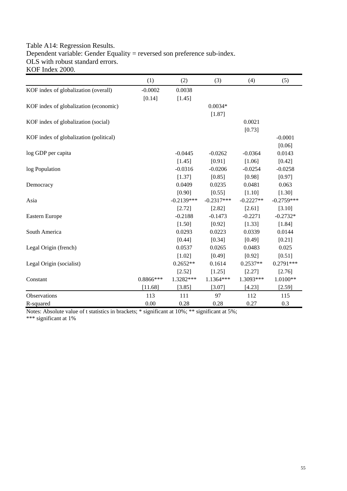#### Table A14: Regression Results. Dependent variable: Gender Equality = reversed son preference sub-index. OLS with robust standard errors. KOF Index 2000.

|                                        | (1)       | (2)          | (3)          | (4)         | (5)          |
|----------------------------------------|-----------|--------------|--------------|-------------|--------------|
| KOF index of globalization (overall)   | $-0.0002$ | 0.0038       |              |             |              |
|                                        | [0.14]    | [1.45]       |              |             |              |
| KOF index of globalization (economic)  |           |              | $0.0034*$    |             |              |
|                                        |           |              | [1.87]       |             |              |
| KOF index of globalization (social)    |           |              |              | 0.0021      |              |
|                                        |           |              |              | [0.73]      |              |
| KOF index of globalization (political) |           |              |              |             | $-0.0001$    |
|                                        |           |              |              |             | [0.06]       |
| log GDP per capita                     |           | $-0.0445$    | $-0.0262$    | $-0.0364$   | 0.0143       |
|                                        |           | [1.45]       | [0.91]       | [1.06]      | [0.42]       |
| log Population                         |           | $-0.0316$    | $-0.0206$    | $-0.0254$   | $-0.0258$    |
|                                        |           | [1.37]       | [0.85]       | [0.98]      | [0.97]       |
| Democracy                              |           | 0.0409       | 0.0235       | 0.0481      | 0.063        |
|                                        |           | [0.90]       | [0.55]       | [1.10]      | [1.30]       |
| Asia                                   |           | $-0.2139***$ | $-0.2317***$ | $-0.2227**$ | $-0.2759***$ |
|                                        |           | [2.72]       | [2.82]       | [2.61]      | [3.10]       |
| Eastern Europe                         |           | $-0.2188$    | $-0.1473$    | $-0.2271$   | $-0.2732*$   |
|                                        |           | [1.50]       | [0.92]       | [1.33]      | [1.84]       |
| South America                          |           | 0.0293       | 0.0223       | 0.0339      | 0.0144       |
|                                        |           | [0.44]       | [0.34]       | [0.49]      | [0.21]       |
| Legal Origin (french)                  |           | 0.0537       | 0.0265       | 0.0483      | 0.025        |
|                                        |           | [1.02]       | [0.49]       | [0.92]      | [0.51]       |
| Legal Origin (socialist)               |           | $0.2652**$   | 0.1614       | $0.2537**$  | $0.2791***$  |
|                                        |           | [2.52]       | [1.25]       | [2.27]      | [2.76]       |
| Constant                               | 0.8866*** | 1.3282***    | $1.1364***$  | 1.3093***   | 1.0100**     |
|                                        | [11.68]   | [3.85]       | [3.07]       | [4.23]      | [2.59]       |
| Observations                           | 113       | 111          | 97           | 112         | 115          |
| R-squared                              | 0.00      | 0.28         | 0.28         | 0.27        | 0.3          |

Notes: Absolute value of t statistics in brackets; \* significant at 10%; \*\* significant at 5%;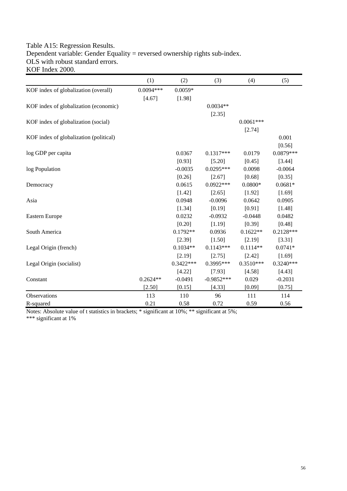#### Table A15: Regression Results. Dependent variable: Gender Equality = reversed ownership rights sub-index. OLS with robust standard errors. KOF Index 2000.

|                                        | (1)         | (2)         | (3)          | (4)         | (5)         |
|----------------------------------------|-------------|-------------|--------------|-------------|-------------|
| KOF index of globalization (overall)   | $0.0094***$ | $0.0059*$   |              |             |             |
|                                        | [4.67]      | [1.98]      |              |             |             |
| KOF index of globalization (economic)  |             |             | $0.0034**$   |             |             |
|                                        |             |             | [2.35]       |             |             |
| KOF index of globalization (social)    |             |             |              | $0.0061***$ |             |
|                                        |             |             |              | [2.74]      |             |
| KOF index of globalization (political) |             |             |              |             | 0.001       |
|                                        |             |             |              |             | [0.56]      |
| log GDP per capita                     |             | 0.0367      | $0.1317***$  | 0.0179      | 0.0879***   |
|                                        |             | [0.93]      | [5.20]       | [0.45]      | [3.44]      |
| log Population                         |             | $-0.0035$   | $0.0295***$  | 0.0098      | $-0.0064$   |
|                                        |             | [0.26]      | [2.67]       | [0.68]      | [0.35]      |
| Democracy                              |             | 0.0615      | $0.0922***$  | $0.0800*$   | $0.0681*$   |
|                                        |             | [1.42]      | [2.65]       | [1.92]      | [1.69]      |
| Asia                                   |             | 0.0948      | $-0.0096$    | 0.0642      | 0.0905      |
|                                        |             | [1.34]      | [0.19]       | [0.91]      | [1.48]      |
| Eastern Europe                         |             | 0.0232      | $-0.0932$    | $-0.0448$   | 0.0482      |
|                                        |             | [0.20]      | [1.19]       | [0.39]      | [0.48]      |
| South America                          |             | $0.1792**$  | 0.0936       | $0.1622**$  | $0.2128***$ |
|                                        |             | [2.39]      | [1.50]       | [2.19]      | [3.31]      |
| Legal Origin (french)                  |             | $0.1034**$  | $0.1143***$  | $0.1114**$  | $0.0741*$   |
|                                        |             | [2.19]      | [2.75]       | [2.42]      | [1.69]      |
| Legal Origin (socialist)               |             | $0.3422***$ | $0.3995***$  | $0.3510***$ | $0.3240***$ |
|                                        |             | [4.22]      | [7.93]       | [4.58]      | [4.43]      |
| Constant                               | $0.2624**$  | $-0.0491$   | $-0.9852***$ | 0.029       | $-0.2031$   |
|                                        | [2.50]      | [0.15]      | [4.33]       | [0.09]      | [0.75]      |
| Observations                           | 113         | 110         | 96           | 111         | 114         |
| R-squared                              | 0.21        | 0.58        | 0.72         | 0.59        | 0.56        |

Notes: Absolute value of t statistics in brackets; \* significant at 10%; \*\* significant at 5%;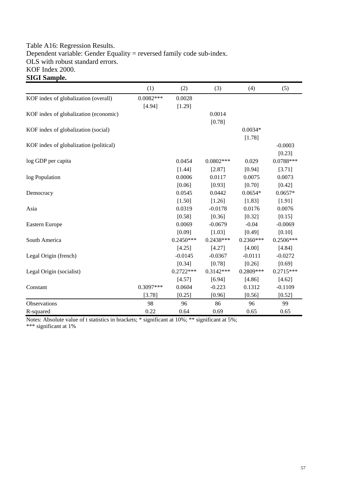#### Table A16: Regression Results. Dependent variable: Gender Equality = reversed family code sub-index. OLS with robust standard errors. KOF Index 2000. **SIGI Sample.**

|                                        | (1)         | (2)         | (3)         | (4)         | (5)         |
|----------------------------------------|-------------|-------------|-------------|-------------|-------------|
| KOF index of globalization (overall)   | $0.0082***$ | 0.0028      |             |             |             |
|                                        | [4.94]      | [1.29]      |             |             |             |
| KOF index of globalization (economic)  |             |             | 0.0014      |             |             |
|                                        |             |             | [0.78]      |             |             |
| KOF index of globalization (social)    |             |             |             | $0.0034*$   |             |
|                                        |             |             |             | [1.78]      |             |
| KOF index of globalization (political) |             |             |             |             | $-0.0003$   |
|                                        |             |             |             |             | [0.23]      |
| log GDP per capita                     |             | 0.0454      | $0.0802***$ | 0.029       | $0.0788***$ |
|                                        |             | [1.44]      | [2.87]      | [0.94]      | [3.71]      |
| log Population                         |             | 0.0006      | 0.0117      | 0.0075      | 0.0073      |
|                                        |             | [0.06]      | [0.93]      | [0.70]      | [0.42]      |
| Democracy                              |             | 0.0545      | 0.0442      | $0.0654*$   | $0.0657*$   |
|                                        |             | [1.50]      | [1.26]      | [1.83]      | [1.91]      |
| Asia                                   |             | 0.0319      | $-0.0178$   | 0.0176      | 0.0076      |
|                                        |             | [0.58]      | [0.36]      | [0.32]      | [0.15]      |
| Eastern Europe                         |             | 0.0069      | $-0.0679$   | $-0.04$     | $-0.0069$   |
|                                        |             | [0.09]      | [1.03]      | [0.49]      | [0.10]      |
| South America                          |             | $0.2450***$ | $0.2438***$ | $0.2360***$ | 0.2506***   |
|                                        |             | [4.25]      | [4.27]      | [4.00]      | [4.84]      |
| Legal Origin (french)                  |             | $-0.0145$   | $-0.0367$   | $-0.0111$   | $-0.0272$   |
|                                        |             | [0.34]      | [0.78]      | [0.26]      | [0.69]      |
| Legal Origin (socialist)               |             | $0.2722***$ | $0.3142***$ | 0.2809***   | $0.2715***$ |
|                                        |             | [4.57]      | [6.94]      | [4.86]      | [4.62]      |
| Constant                               | $0.3097***$ | 0.0604      | $-0.223$    | 0.1312      | $-0.1109$   |
|                                        | [3.78]      | [0.25]      | [0.96]      | [0.56]      | [0.52]      |
| Observations                           | 98          | 96          | 86          | 96          | 99          |
| R-squared                              | 0.22        | 0.64        | 0.69        | 0.65        | 0.65        |

Notes: Absolute value of t statistics in brackets; \* significant at 10%; \*\* significant at 5%;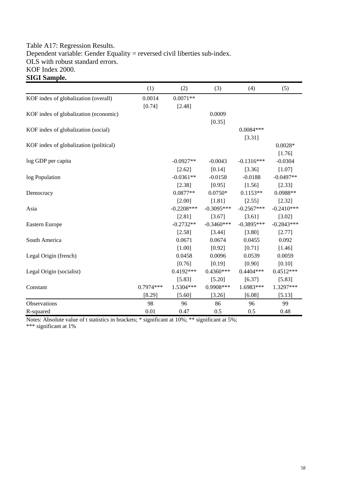# Table A17: Regression Results. Dependent variable: Gender Equality = reversed civil liberties sub-index. OLS with robust standard errors. KOF Index 2000. **SIGI Sample.**

|                                        | (1)         | (2)          | (3)          | (4)          | (5)          |
|----------------------------------------|-------------|--------------|--------------|--------------|--------------|
| KOF index of globalization (overall)   | 0.0014      | $0.0071**$   |              |              |              |
|                                        | [0.74]      | [2.48]       |              |              |              |
| KOF index of globalization (economic)  |             |              | 0.0009       |              |              |
|                                        |             |              | [0.35]       |              |              |
| KOF index of globalization (social)    |             |              |              | $0.0084***$  |              |
|                                        |             |              |              | [3.31]       |              |
| KOF index of globalization (political) |             |              |              |              | $0.0028*$    |
|                                        |             |              |              |              | [1.76]       |
| log GDP per capita                     |             | $-0.0927**$  | $-0.0043$    | $-0.1316***$ | $-0.0304$    |
|                                        |             | [2.62]       | [0.14]       | [3.36]       | [1.07]       |
| log Population                         |             | $-0.0361**$  | $-0.0158$    | $-0.0188$    | $-0.0497**$  |
|                                        |             | [2.38]       | [0.95]       | [1.56]       | [2.33]       |
| Democracy                              |             | $0.0877**$   | $0.0750*$    | $0.1153**$   | $0.0988**$   |
|                                        |             | [2.00]       | [1.81]       | [2.55]       | [2.32]       |
| Asia                                   |             | $-0.2208***$ | $-0.3095***$ | $-0.2567***$ | $-0.2410***$ |
|                                        |             | [2.81]       | [3.67]       | [3.61]       | [3.02]       |
| Eastern Europe                         |             | $-0.2732**$  | $-0.3460***$ | $-0.3895***$ | $-0.2843***$ |
|                                        |             | [2.58]       | [3.44]       | [3.80]       | [2.77]       |
| South America                          |             | 0.0671       | 0.0674       | 0.0455       | 0.092        |
|                                        |             | $[1.00]$     | [0.92]       | $[0.71]$     | [1.46]       |
| Legal Origin (french)                  |             | 0.0458       | 0.0096       | 0.0539       | 0.0059       |
|                                        |             | [0.76]       | [0.19]       | [0.90]       | [0.10]       |
| Legal Origin (socialist)               |             | $0.4192***$  | $0.4360***$  | $0.4404***$  | $0.4512***$  |
|                                        |             | [5.83]       | [5.20]       | [6.37]       | [5.83]       |
| Constant                               | $0.7974***$ | $1.5304***$  | 0.9908 ***   | 1.6983***    | 1.3297***    |
|                                        | [8.29]      | [5.60]       | [3.26]       | [6.08]       | [5.13]       |
| Observations                           | 98          | 96           | 86           | 96           | 99           |
| R-squared                              | 0.01        | 0.47         | 0.5          | 0.5          | 0.48         |

Notes: Absolute value of t statistics in brackets; \* significant at 10%; \*\* significant at 5%;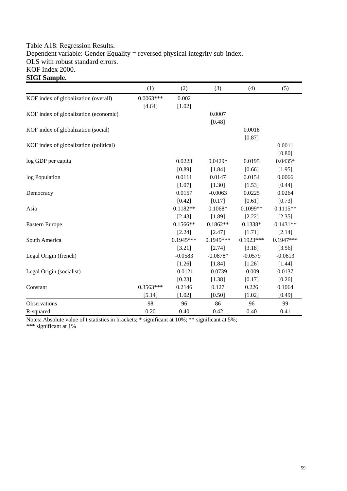# Table A18: Regression Results. Dependent variable: Gender Equality = reversed physical integrity sub-index. OLS with robust standard errors. KOF Index 2000. **SIGI Sample.**

|                                        | (1)         | (2)         | (3)         | (4)         | (5)         |
|----------------------------------------|-------------|-------------|-------------|-------------|-------------|
| KOF index of globalization (overall)   | $0.0063***$ | 0.002       |             |             |             |
|                                        | [4.64]      | [1.02]      |             |             |             |
| KOF index of globalization (economic)  |             |             | 0.0007      |             |             |
|                                        |             |             | [0.48]      |             |             |
| KOF index of globalization (social)    |             |             |             | 0.0018      |             |
|                                        |             |             |             | [0.87]      |             |
| KOF index of globalization (political) |             |             |             |             | 0.0011      |
|                                        |             |             |             |             | [0.80]      |
| log GDP per capita                     |             | 0.0223      | $0.0429*$   | 0.0195      | $0.0435*$   |
|                                        |             | [0.89]      | [1.84]      | [0.66]      | [1.95]      |
| log Population                         |             | 0.0111      | 0.0147      | 0.0154      | 0.0066      |
|                                        |             | [1.07]      | [1.30]      | [1.53]      | [0.44]      |
| Democracy                              |             | 0.0157      | $-0.0063$   | 0.0225      | 0.0264      |
|                                        |             | [0.42]      | [0.17]      | [0.61]      | [0.73]      |
| Asia                                   |             | $0.1182**$  | $0.1068*$   | $0.1099**$  | $0.1115**$  |
|                                        |             | [2.43]      | [1.89]      | $[2.22]$    | [2.35]      |
| Eastern Europe                         |             | $0.1566**$  | $0.1862**$  | $0.1338*$   | $0.1431**$  |
|                                        |             | [2.24]      | [2.47]      | [1.71]      | [2.14]      |
| South America                          |             | $0.1945***$ | $0.1949***$ | $0.1923***$ | $0.1947***$ |
|                                        |             | [3.21]      | [2.74]      | [3.18]      | [3.56]      |
| Legal Origin (french)                  |             | $-0.0583$   | $-0.0878*$  | $-0.0579$   | $-0.0613$   |
|                                        |             | [1.26]      | [1.84]      | [1.26]      | [1.44]      |
| Legal Origin (socialist)               |             | $-0.0121$   | $-0.0739$   | $-0.009$    | 0.0137      |
|                                        |             | [0.23]      | [1.38]      | [0.17]      | [0.26]      |
| Constant                               | $0.3563***$ | 0.2146      | 0.127       | 0.226       | 0.1064      |
|                                        | [5.14]      | [1.02]      | [0.50]      | [1.02]      | [0.49]      |
| Observations                           | 98          | 96          | 86          | 96          | 99          |
| R-squared                              | 0.20        | 0.40        | 0.42        | 0.40        | 0.41        |

Notes: Absolute value of t statistics in brackets; \* significant at 10%; \*\* significant at 5%;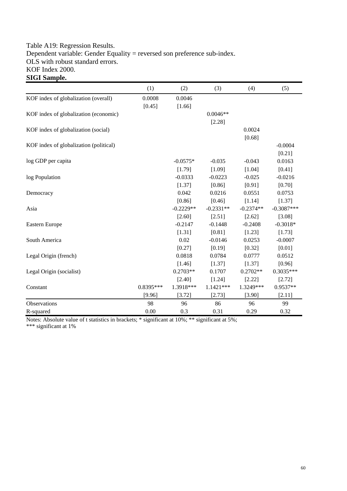# Table A19: Regression Results. Dependent variable: Gender Equality = reversed son preference sub-index. OLS with robust standard errors. KOF Index 2000. **SIGI Sample.**

|                                        | (1)         | (2)         | (3)         | (4)         | (5)          |
|----------------------------------------|-------------|-------------|-------------|-------------|--------------|
| KOF index of globalization (overall)   | 0.0008      | 0.0046      |             |             |              |
|                                        | [0.45]      | [1.66]      |             |             |              |
| KOF index of globalization (economic)  |             |             | $0.0046**$  |             |              |
|                                        |             |             | [2.28]      |             |              |
| KOF index of globalization (social)    |             |             |             | 0.0024      |              |
|                                        |             |             |             | [0.68]      |              |
| KOF index of globalization (political) |             |             |             |             | $-0.0004$    |
|                                        |             |             |             |             | [0.21]       |
| log GDP per capita                     |             | $-0.0575*$  | $-0.035$    | $-0.043$    | 0.0163       |
|                                        |             | [1.79]      | [1.09]      | [1.04]      | [0.41]       |
| log Population                         |             | $-0.0333$   | $-0.0223$   | $-0.025$    | $-0.0216$    |
|                                        |             | [1.37]      | [0.86]      | [0.91]      | [0.70]       |
| Democracy                              |             | 0.042       | 0.0216      | 0.0551      | 0.0753       |
|                                        |             | [0.86]      | [0.46]      | [1.14]      | [1.37]       |
| Asia                                   |             | $-0.2229**$ | $-0.2331**$ | $-0.2374**$ | $-0.3087***$ |
|                                        |             | [2.60]      | [2.51]      | [2.62]      | [3.08]       |
| Eastern Europe                         |             | $-0.2147$   | $-0.1448$   | $-0.2408$   | $-0.3018*$   |
|                                        |             | [1.31]      | [0.81]      | [1.23]      | [1.73]       |
| South America                          |             | 0.02        | $-0.0146$   | 0.0253      | $-0.0007$    |
|                                        |             | [0.27]      | [0.19]      | [0.32]      | [0.01]       |
| Legal Origin (french)                  |             | 0.0818      | 0.0784      | 0.0777      | 0.0512       |
|                                        |             | [1.46]      | [1.37]      | [1.37]      | [0.96]       |
| Legal Origin (socialist)               |             | $0.2703**$  | 0.1707      | $0.2702**$  | $0.3035***$  |
|                                        |             | [2.40]      | [1.24]      | [2.22]      | [2.72]       |
| Constant                               | $0.8395***$ | 1.3918***   | $1.1421***$ | 1.3249***   | 0.9537**     |
|                                        | [9.96]      | [3.72]      | [2.73]      | [3.90]      | [2.11]       |
| Observations                           | 98          | 96          | 86          | 96          | 99           |
| R-squared                              | 0.00        | 0.3         | 0.31        | 0.29        | 0.32         |

Notes: Absolute value of t statistics in brackets; \* significant at 10%; \*\* significant at 5%;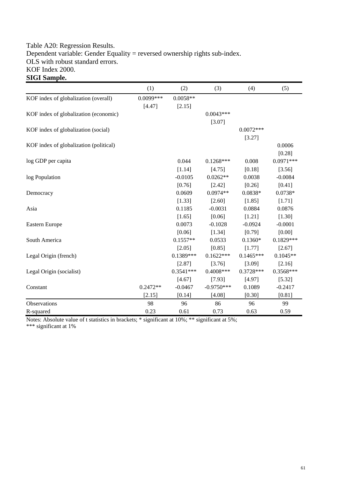# Table A20: Regression Results. Dependent variable: Gender Equality = reversed ownership rights sub-index. OLS with robust standard errors. KOF Index 2000. **SIGI Sample.**

|                                        | (1)         | (2)         | (3)          | (4)         | (5)         |
|----------------------------------------|-------------|-------------|--------------|-------------|-------------|
| KOF index of globalization (overall)   | $0.0099***$ | $0.0058**$  |              |             |             |
|                                        | [4.47]      | [2.15]      |              |             |             |
| KOF index of globalization (economic)  |             |             | $0.0043***$  |             |             |
|                                        |             |             | [3.07]       |             |             |
| KOF index of globalization (social)    |             |             |              | $0.0072***$ |             |
|                                        |             |             |              | [3.27]      |             |
| KOF index of globalization (political) |             |             |              |             | 0.0006      |
|                                        |             |             |              |             | [0.28]      |
| log GDP per capita                     |             | 0.044       | $0.1268***$  | 0.008       | $0.0971***$ |
|                                        |             | [1.14]      | [4.75]       | [0.18]      | [3.56]      |
| log Population                         |             | $-0.0105$   | $0.0262**$   | 0.0038      | $-0.0084$   |
|                                        |             | [0.76]      | [2.42]       | [0.26]      | [0.41]      |
| Democracy                              |             | 0.0609      | $0.0974**$   | $0.0838*$   | 0.0738*     |
|                                        |             | [1.33]      | [2.60]       | [1.85]      | [1.71]      |
| Asia                                   |             | 0.1185      | $-0.0031$    | 0.0884      | 0.0876      |
|                                        |             | [1.65]      | [0.06]       | [1.21]      | [1.30]      |
| Eastern Europe                         |             | 0.0073      | $-0.1028$    | $-0.0924$   | $-0.0001$   |
|                                        |             | [0.06]      | [1.34]       | [0.79]      | [0.00]      |
| South America                          |             | $0.1557**$  | 0.0533       | $0.1360*$   | $0.1829***$ |
|                                        |             | [2.05]      | [0.85]       | [1.77]      | [2.67]      |
| Legal Origin (french)                  |             | 0.1389***   | $0.1622***$  | $0.1465***$ | $0.1045**$  |
|                                        |             | [2.87]      | [3.76]       | [3.09]      | [2.16]      |
| Legal Origin (socialist)               |             | $0.3541***$ | $0.4008***$  | $0.3728***$ | 0.3568***   |
|                                        |             | [4.67]      | [7.93]       | [4.97]      | [5.32]      |
| Constant                               | $0.2472**$  | $-0.0467$   | $-0.9750***$ | 0.1089      | $-0.2417$   |
|                                        | [2.15]      | [0.14]      | [4.08]       | [0.30]      | $[0.81]$    |
| Observations                           | 98          | 96          | 86           | 96          | 99          |
| R-squared                              | 0.23        | 0.61        | 0.73         | 0.63        | 0.59        |

Notes: Absolute value of t statistics in brackets; \* significant at 10%; \*\* significant at 5%;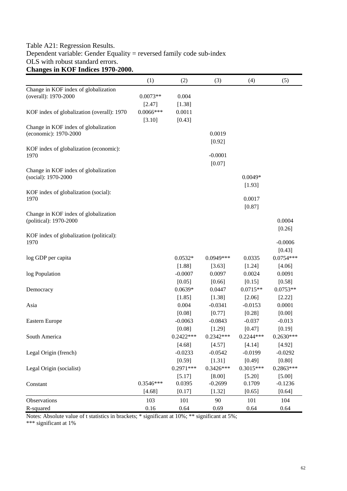# Table A21: Regression Results. Dependent variable: Gender Equality = reversed family code sub-index OLS with robust standard errors. **Changes in KOF Indices 1970-2000.**

|                                            | (1)         | (2)         | (3)         | (4)         | (5)         |
|--------------------------------------------|-------------|-------------|-------------|-------------|-------------|
| Change in KOF index of globalization       |             |             |             |             |             |
| (overall): 1970-2000                       | $0.0073**$  | 0.004       |             |             |             |
|                                            | [2.47]      | [1.38]      |             |             |             |
| KOF index of globalization (overall): 1970 | $0.0066***$ | 0.0011      |             |             |             |
|                                            | [3.10]      | [0.43]      |             |             |             |
| Change in KOF index of globalization       |             |             |             |             |             |
| (economic): 1970-2000                      |             |             | 0.0019      |             |             |
|                                            |             |             | [0.92]      |             |             |
| KOF index of globalization (economic):     |             |             |             |             |             |
| 1970                                       |             |             | $-0.0001$   |             |             |
|                                            |             |             | [0.07]      |             |             |
| Change in KOF index of globalization       |             |             |             | $0.0049*$   |             |
| (social): 1970-2000                        |             |             |             |             |             |
| KOF index of globalization (social):       |             |             |             | [1.93]      |             |
| 1970                                       |             |             |             | 0.0017      |             |
|                                            |             |             |             | [0.87]      |             |
| Change in KOF index of globalization       |             |             |             |             |             |
| (political): 1970-2000                     |             |             |             |             | 0.0004      |
|                                            |             |             |             |             | [0.26]      |
| KOF index of globalization (political):    |             |             |             |             |             |
| 1970                                       |             |             |             |             | $-0.0006$   |
|                                            |             |             |             |             | [0.43]      |
| log GDP per capita                         |             | $0.0532*$   | $0.0949***$ | 0.0335      | $0.0754***$ |
|                                            |             | [1.88]      | [3.63]      | [1.24]      | [4.06]      |
| log Population                             |             | $-0.0007$   | 0.0097      | 0.0024      | 0.0091      |
|                                            |             | [0.05]      | [0.66]      | [0.15]      | [0.58]      |
| Democracy                                  |             | $0.0639*$   | 0.0447      | $0.0715**$  | $0.0753**$  |
|                                            |             | [1.85]      | [1.38]      | [2.06]      | [2.22]      |
| Asia                                       |             | 0.004       | $-0.0341$   | $-0.0153$   | 0.0001      |
|                                            |             | [0.08]      | [0.77]      | [0.28]      | [0.00]      |
| Eastern Europe                             |             | $-0.0063$   | $-0.0843$   | $-0.037$    | $-0.013$    |
|                                            |             | [0.08]      | [1.29]      | [0.47]      | [0.19]      |
| South America                              |             | $0.2422***$ | $0.2342***$ | $0.2244***$ | $0.2630***$ |
|                                            |             | [4.68]      | [4.57]      | [4.14]      | [4.92]      |
| Legal Origin (french)                      |             | $-0.0233$   | $-0.0542$   | $-0.0199$   | $-0.0292$   |
|                                            |             | [0.59]      | [1.31]      | [0.49]      | [0.80]      |
| Legal Origin (socialist)                   |             | $0.2971***$ | $0.3426***$ | $0.3015***$ | $0.2863***$ |
|                                            |             | [5.17]      | [8.00]      | [5.20]      | [5.00]      |
| Constant                                   | 0.3546***   | 0.0395      | $-0.2699$   | 0.1709      | $-0.1236$   |
|                                            | [4.68]      | [0.17]      | [1.32]      | [0.65]      | [0.64]      |
| Observations                               | 103         | 101         | 90          | 101         | 104         |
| R-squared                                  | 0.16        | 0.64        | 0.69        | 0.64        | 0.64        |
|                                            |             |             |             |             |             |

Notes: Absolute value of t statistics in brackets; \* significant at 10%; \*\* significant at 5%;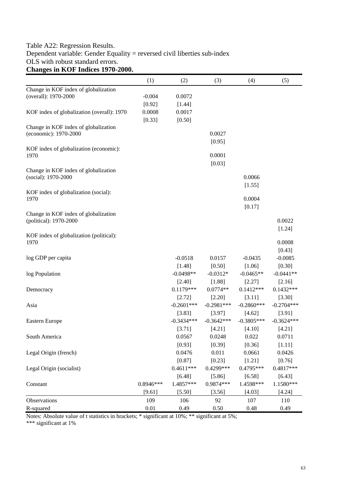#### Table A22: Regression Results. Dependent variable: Gender Equality = reversed civil liberties sub-index OLS with robust standard errors. **Changes in KOF Indices 1970-2000.**

|                                                 | (1)       | (2)          | (3)          | (4)          | (5)          |
|-------------------------------------------------|-----------|--------------|--------------|--------------|--------------|
| Change in KOF index of globalization            |           |              |              |              |              |
| (overall): 1970-2000                            | $-0.004$  | 0.0072       |              |              |              |
|                                                 | [0.92]    | $[1.44]$     |              |              |              |
| KOF index of globalization (overall): 1970      | 0.0008    | 0.0017       |              |              |              |
|                                                 | [0.33]    | [0.50]       |              |              |              |
| Change in KOF index of globalization            |           |              |              |              |              |
| (economic): 1970-2000                           |           |              | 0.0027       |              |              |
|                                                 |           |              | [0.95]       |              |              |
| KOF index of globalization (economic):<br>1970  |           |              | 0.0001       |              |              |
|                                                 |           |              | [0.03]       |              |              |
| Change in KOF index of globalization            |           |              |              |              |              |
| (social): 1970-2000                             |           |              |              | 0.0066       |              |
|                                                 |           |              |              | [1.55]       |              |
| KOF index of globalization (social):            |           |              |              |              |              |
| 1970                                            |           |              |              | 0.0004       |              |
|                                                 |           |              |              | [0.17]       |              |
| Change in KOF index of globalization            |           |              |              |              |              |
| (political): 1970-2000                          |           |              |              |              | 0.0022       |
|                                                 |           |              |              |              | [1.24]       |
| KOF index of globalization (political):<br>1970 |           |              |              |              | 0.0008       |
|                                                 |           |              |              |              | [0.43]       |
| log GDP per capita                              |           | $-0.0518$    | 0.0157       | $-0.0435$    | $-0.0085$    |
|                                                 |           | [1.48]       | [0.50]       | [1.06]       | [0.30]       |
| log Population                                  |           | $-0.0498**$  | $-0.0312*$   | $-0.0465**$  | $-0.0441**$  |
|                                                 |           | [2.40]       | [1.88]       | [2.27]       | [2.16]       |
| Democracy                                       |           | $0.1179***$  | $0.0774**$   | $0.1412***$  | $0.1432***$  |
|                                                 |           | [2.72]       | $[2.20]$     | [3.11]       | [3.30]       |
| Asia                                            |           | $-0.2601***$ | $-0.2981***$ | $-0.2860***$ | $-0.2704***$ |
|                                                 |           | [3.83]       | [3.97]       | [4.62]       | [3.91]       |
| Eastern Europe                                  |           | $-0.3434***$ | $-0.3642***$ | $-0.3805***$ | $-0.3624***$ |
|                                                 |           | [3.71]       | [4.21]       | [4.10]       | [4.21]       |
| South America                                   |           | 0.0567       | 0.0248       | 0.022        | 0.0711       |
|                                                 |           | [0.93]       | [0.39]       | [0.36]       | [1.11]       |
| Legal Origin (french)                           |           | 0.0476       | 0.011        | 0.0661       | 0.0426       |
|                                                 |           | [0.87]       | [0.23]       | [1.21]       | [0.76]       |
| Legal Origin (socialist)                        |           | $0.4611***$  | 0.4299***    | 0.4795***    | 0.4817***    |
|                                                 |           | [6.48]       | [5.86]       | [6.58]       | [6.43]       |
| Constant                                        | 0.8946*** | 1.4857***    | 0.9874 ***   | 1.4598***    | 1.1580***    |
|                                                 | [9.61]    | [5.50]       | [3.56]       | [4.03]       | [4.24]       |
| Observations                                    | 109       | 106          | 92           | 107          | 110          |
| R-squared                                       | 0.01      | 0.49         | 0.50         | 0.48         | 0.49         |

Notes: Absolute value of t statistics in brackets; \* significant at 10%; \*\* significant at 5%;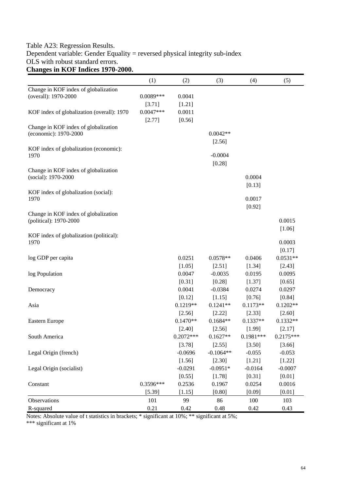#### Table A23: Regression Results. Dependent variable: Gender Equality = reversed physical integrity sub-index OLS with robust standard errors. **Changes in KOF Indices 1970-2000.**

|                                                             | (1)         | (2)         | (3)         | (4)         | (5)         |
|-------------------------------------------------------------|-------------|-------------|-------------|-------------|-------------|
| Change in KOF index of globalization                        |             |             |             |             |             |
| (overall): 1970-2000                                        | $0.0089***$ | 0.0041      |             |             |             |
|                                                             | [3.71]      | [1.21]      |             |             |             |
| KOF index of globalization (overall): 1970                  | $0.0047***$ | 0.0011      |             |             |             |
|                                                             | [2.77]      | [0.56]      |             |             |             |
| Change in KOF index of globalization                        |             |             |             |             |             |
| (economic): 1970-2000                                       |             |             | $0.0042**$  |             |             |
|                                                             |             |             | [2.56]      |             |             |
| KOF index of globalization (economic):                      |             |             |             |             |             |
| 1970                                                        |             |             | $-0.0004$   |             |             |
|                                                             |             |             | [0.28]      |             |             |
| Change in KOF index of globalization<br>(social): 1970-2000 |             |             |             | 0.0004      |             |
|                                                             |             |             |             | [0.13]      |             |
| KOF index of globalization (social):                        |             |             |             |             |             |
| 1970                                                        |             |             |             | 0.0017      |             |
|                                                             |             |             |             | [0.92]      |             |
| Change in KOF index of globalization                        |             |             |             |             |             |
| (political): 1970-2000                                      |             |             |             |             | 0.0015      |
|                                                             |             |             |             |             | [1.06]      |
| KOF index of globalization (political):                     |             |             |             |             |             |
| 1970                                                        |             |             |             |             | 0.0003      |
|                                                             |             |             |             |             | [0.17]      |
| log GDP per capita                                          |             | 0.0251      | $0.0578**$  | 0.0406      | $0.0531**$  |
|                                                             |             | [1.05]      | [2.51]      | [1.34]      | [2.43]      |
| log Population                                              |             | 0.0047      | $-0.0035$   | 0.0195      | 0.0095      |
|                                                             |             | [0.31]      | $[0.28]$    | [1.37]      | [0.65]      |
| Democracy                                                   |             | 0.0041      | $-0.0384$   | 0.0274      | 0.0297      |
|                                                             |             | [0.12]      | [1.15]      | [0.76]      | [0.84]      |
| Asia                                                        |             | $0.1219**$  | $0.1241**$  | $0.1173**$  | $0.1202**$  |
|                                                             |             | [2.56]      | $[2.22]$    | [2.33]      | [2.60]      |
| Eastern Europe                                              |             | $0.1470**$  | $0.1684**$  | $0.1337**$  | $0.1332**$  |
|                                                             |             | [2.40]      | [2.56]      | [1.99]      | [2.17]      |
| South America                                               |             | $0.2072***$ | $0.1627**$  | $0.1981***$ | $0.2175***$ |
|                                                             |             | [3.78]      | [2.55]      | [3.50]      | [3.66]      |
| Legal Origin (french)                                       |             | $-0.0696$   | $-0.1064**$ | $-0.055$    | $-0.053$    |
|                                                             |             | [1.56]      | [2.30]      | [1.21]      | [1.22]      |
| Legal Origin (socialist)                                    |             | $-0.0291$   | $-0.0951*$  | $-0.0164$   | $-0.0007$   |
|                                                             |             | [0.55]      | [1.78]      | [0.31]      | [0.01]      |
| Constant                                                    | 0.3596***   | 0.2536      | 0.1967      | 0.0254      | 0.0016      |
|                                                             | [5.39]      | [1.15]      | [0.80]      | [0.09]      | [0.01]      |
| Observations                                                | 101         | 99          | 86          | 100         | 103         |
| R-squared                                                   | 0.21        | 0.42        | 0.48        | 0.42        | 0.43        |

Notes: Absolute value of t statistics in brackets; \* significant at 10%; \*\* significant at 5%;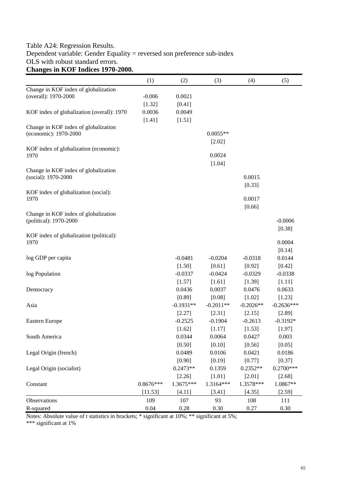# Table A24: Regression Results. Dependent variable: Gender Equality = reversed son preference sub-index OLS with robust standard errors. **Changes in KOF Indices 1970-2000.**

|                                                             | (1)         | (2)         | (3)         | (4)         | (5)          |
|-------------------------------------------------------------|-------------|-------------|-------------|-------------|--------------|
| Change in KOF index of globalization                        |             |             |             |             |              |
| (overall): 1970-2000                                        | $-0.006$    | 0.0021      |             |             |              |
|                                                             | [1.32]      | [0.41]      |             |             |              |
| KOF index of globalization (overall): 1970                  | 0.0036      | 0.0049      |             |             |              |
|                                                             | [1.41]      | [1.51]      |             |             |              |
| Change in KOF index of globalization                        |             |             |             |             |              |
| (economic): 1970-2000                                       |             |             | $0.0055**$  |             |              |
|                                                             |             |             | [2.02]      |             |              |
| KOF index of globalization (economic):                      |             |             |             |             |              |
| 1970                                                        |             |             | 0.0024      |             |              |
|                                                             |             |             | [1.04]      |             |              |
| Change in KOF index of globalization<br>(social): 1970-2000 |             |             |             | 0.0015      |              |
|                                                             |             |             |             | [0.33]      |              |
| KOF index of globalization (social):                        |             |             |             |             |              |
| 1970                                                        |             |             |             | 0.0017      |              |
|                                                             |             |             |             | [0.66]      |              |
| Change in KOF index of globalization                        |             |             |             |             |              |
| (political): 1970-2000                                      |             |             |             |             | $-0.0006$    |
|                                                             |             |             |             |             | [0.38]       |
| KOF index of globalization (political):                     |             |             |             |             |              |
| 1970                                                        |             |             |             |             | 0.0004       |
|                                                             |             |             |             |             | [0.14]       |
| log GDP per capita                                          |             | $-0.0481$   | $-0.0204$   | $-0.0318$   | 0.0144       |
|                                                             |             | $[1.50]$    | [0.61]      | [0.92]      | [0.42]       |
| log Population                                              |             | $-0.0337$   | $-0.0424$   | $-0.0329$   | $-0.0338$    |
|                                                             |             | [1.57]      | $[1.61]$    | [1.39]      | [1.11]       |
| Democracy                                                   |             | 0.0436      | 0.0037      | 0.0476      | 0.0633       |
|                                                             |             | [0.89]      | [0.08]      | [1.02]      | [1.23]       |
| Asia                                                        |             | $-0.1931**$ | $-0.2011**$ | $-0.2026**$ | $-0.2636***$ |
|                                                             |             | [2.27]      | [2.31]      | [2.15]      | [2.89]       |
| Eastern Europe                                              |             | $-0.2525$   | $-0.1904$   | $-0.2613$   | $-0.3192*$   |
|                                                             |             | [1.62]      | [1.17]      | [1.53]      | [1.97]       |
| South America                                               |             | 0.0344      | 0.0064      | 0.0427      | 0.003        |
|                                                             |             | [0.50]      | [0.10]      | [0.56]      | [0.05]       |
| Legal Origin (french)                                       |             | 0.0489      | 0.0106      | 0.0421      | 0.0186       |
|                                                             |             | [0.90]      | [0.19]      | [0.77]      | [0.37]       |
| Legal Origin (socialist)                                    |             | $0.2473**$  | 0.1359      | $0.2352**$  | $0.2700***$  |
|                                                             |             | $[2.26]$    | [1.01]      | [2.01]      | [2.68]       |
| Constant                                                    | $0.8676***$ | 1.3675***   | 1.3164***   | 1.3578***   | 1.0867**     |
|                                                             | [11.53]     | [4.11]      | [3.41]      | [4.35]      | [2.59]       |
| Observations                                                | 109         | 107         | 93          | 108         | 111          |
| R-squared                                                   | 0.04        | 0.28        | 0.30        | 0.27        | 0.30         |

Notes: Absolute value of t statistics in brackets; \* significant at 10%; \*\* significant at 5%;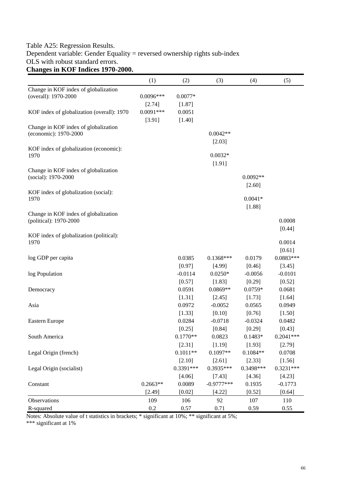#### Table A25: Regression Results. Dependent variable: Gender Equality = reversed ownership rights sub-index OLS with robust standard errors. **Changes in KOF Indices 1970-2000.**

|                                                                | (1)                   | (2)                   | (3)                    | (4)                  | (5)                               |
|----------------------------------------------------------------|-----------------------|-----------------------|------------------------|----------------------|-----------------------------------|
| Change in KOF index of globalization<br>(overall): 1970-2000   | $0.0096***$<br>[2.74] | $0.0077*$<br>[1.87]   |                        |                      |                                   |
| KOF index of globalization (overall): 1970                     | $0.0091***$<br>[3.91] | 0.0051<br>[1.40]      |                        |                      |                                   |
| Change in KOF index of globalization<br>(economic): 1970-2000  |                       |                       | $0.0042**$<br>[2.03]   |                      |                                   |
| KOF index of globalization (economic):<br>1970                 |                       |                       | $0.0032*$<br>[1.91]    |                      |                                   |
| Change in KOF index of globalization<br>(social): 1970-2000    |                       |                       |                        | $0.0092**$<br>[2.60] |                                   |
| KOF index of globalization (social):<br>1970                   |                       |                       |                        | $0.0041*$<br>[1.88]  |                                   |
| Change in KOF index of globalization<br>(political): 1970-2000 |                       |                       |                        |                      | 0.0008<br>[0.44]                  |
| KOF index of globalization (political):<br>1970                |                       |                       |                        |                      | 0.0014                            |
| log GDP per capita                                             |                       | 0.0385<br>[0.97]      | $0.1368***$<br>[4.99]  | 0.0179<br>[0.46]     | $[0.61]$<br>$0.0883***$<br>[3.45] |
| log Population                                                 |                       | $-0.0114$<br>[0.57]   | $0.0250*$<br>[1.83]    | $-0.0056$<br>[0.29]  | $-0.0101$<br>[0.52]               |
| Democracy                                                      |                       | 0.0591<br>[1.31]      | $0.0869**$<br>[2.45]   | $0.0759*$<br>[1.73]  | 0.0681<br>[1.64]                  |
| Asia                                                           |                       | 0.0972<br>[1.33]      | $-0.0052$<br>$[0.10]$  | 0.0565<br>[0.76]     | 0.0949<br>[1.50]                  |
| Eastern Europe                                                 |                       | 0.0284<br>[0.25]      | $-0.0718$<br>[0.84]    | $-0.0324$<br>[0.29]  | 0.0482<br>[0.43]                  |
| South America                                                  |                       | $0.1770**$<br>[2.31]  | 0.0823<br>[1.19]       | $0.1483*$<br>[1.93]  | $0.2041***$<br>[2.79]             |
| Legal Origin (french)                                          |                       | $0.1011**$<br>[2.10]  | $0.1097**$<br>[2.61]   | $0.1084**$<br>[2.33] | 0.0708<br>[1.56]                  |
| Legal Origin (socialist)                                       |                       | $0.3391***$<br>[4.06] | 0.3935***<br>[7.43]    | 0.3498***<br>[4.36]  | $0.3231***$<br>[4.23]             |
| Constant                                                       | $0.2663**$<br>[2.49]  | 0.0089<br>[0.02]      | $-0.9777***$<br>[4.22] | 0.1935<br>[0.52]     | $-0.1773$<br>[0.64]               |
| Observations<br>R-squared                                      | 109<br>$0.2\,$        | 106<br>0.57           | 92<br>0.71             | 107<br>0.59          | 110<br>0.55                       |

Notes: Absolute value of t statistics in brackets; \* significant at 10%; \*\* significant at 5%;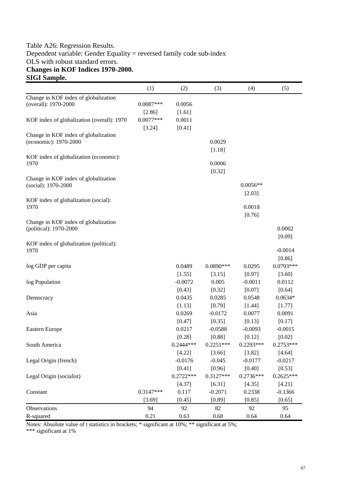#### Table A26: Regression Results. Dependent variable: Gender Equality = reversed family code sub-index OLS with robust standard errors. **Changes in KOF Indices 1970-2000. SIGI Sample.**

|                                                | (1)         | (2)                   | (3)                 | (4)                   | (5)                 |
|------------------------------------------------|-------------|-----------------------|---------------------|-----------------------|---------------------|
| Change in KOF index of globalization           |             |                       |                     |                       |                     |
| (overall): 1970-2000                           | $0.0087***$ | 0.0056                |                     |                       |                     |
|                                                | [2.86]      | [1.61]                |                     |                       |                     |
| KOF index of globalization (overall): 1970     | $0.0077***$ | 0.0011                |                     |                       |                     |
|                                                | [3.24]      | [0.41]                |                     |                       |                     |
| Change in KOF index of globalization           |             |                       |                     |                       |                     |
| (economic): 1970-2000                          |             |                       | 0.0029              |                       |                     |
|                                                |             |                       | [1.18]              |                       |                     |
| KOF index of globalization (economic):<br>1970 |             |                       | 0.0006              |                       |                     |
|                                                |             |                       | [0.32]              |                       |                     |
| Change in KOF index of globalization           |             |                       |                     |                       |                     |
| (social): 1970-2000                            |             |                       |                     | $0.0056**$            |                     |
|                                                |             |                       |                     | [2.03]                |                     |
| KOF index of globalization (social):           |             |                       |                     |                       |                     |
| 1970                                           |             |                       |                     | 0.0018                |                     |
|                                                |             |                       |                     | [0.76]                |                     |
| Change in KOF index of globalization           |             |                       |                     |                       |                     |
| (political): 1970-2000                         |             |                       |                     |                       | 0.0002              |
|                                                |             |                       |                     |                       | [0.09]              |
| KOF index of globalization (political):        |             |                       |                     |                       | $-0.0014$           |
| 1970                                           |             |                       |                     |                       | [0.86]              |
| log GDP per capita                             |             | 0.0489                | $0.0890***$         | 0.0295                | $0.0793***$         |
|                                                |             |                       |                     |                       |                     |
|                                                |             | [1.55]<br>$-0.0072$   | [3.15]<br>0.005     | $[0.97]$<br>$-0.0011$ | [3.60]<br>0.0112    |
| log Population                                 |             | [0.43]                | [0.32]              | [0.07]                | [0.64]              |
|                                                |             | 0.0435                | 0.0285              | 0.0548                | $0.0634*$           |
| Democracy                                      |             |                       | [0.79]              |                       | [1.77]              |
|                                                |             | [1.13]<br>0.0269      |                     | [1.44]<br>0.0077      | 0.0091              |
| Asia                                           |             |                       | $-0.0172$           |                       |                     |
|                                                |             | [0.47]<br>0.0217      | [0.35]              | [0.13]                | [0.17]              |
| Eastern Europe                                 |             |                       | $-0.0588$<br>[0.88] | $-0.0093$             | $-0.0015$           |
|                                                |             | [0.28]<br>$0.2444***$ |                     | [0.12]                | [0.02]              |
| South America                                  |             |                       | $0.2251***$         | $0.2293***$           | $0.2753***$         |
|                                                |             | [4.22]                | [3.66]              | [3.82]                | [4.64]<br>$-0.0217$ |
| Legal Origin (french)                          |             | $-0.0176$             | $-0.045$            | $-0.0177$             |                     |
|                                                |             | [0.41]<br>$0.2722***$ | [0.96]              | [0.40]                | [0.53]              |
| Legal Origin (socialist)                       |             |                       | $0.3127***$         | $0.2736***$           | $0.2625***$         |
|                                                |             | [4.37]                | [6.31]              | [4.35]                | [4.21]              |
| Constant                                       | $0.3147***$ | 0.117                 | $-0.2071$           | 0.2338                | $-0.1366$           |
|                                                | [3.69]      | [0.45]                | [0.89]              | [0.85]                | [0.65]              |
| Observations                                   | 94          | 92                    | 82                  | 92                    | 95                  |
| R-squared                                      | 0.21        | 0.63                  | 0.68                | 0.64                  | 0.64                |

Notes: Absolute value of t statistics in brackets; \* significant at 10%; \*\* significant at 5%;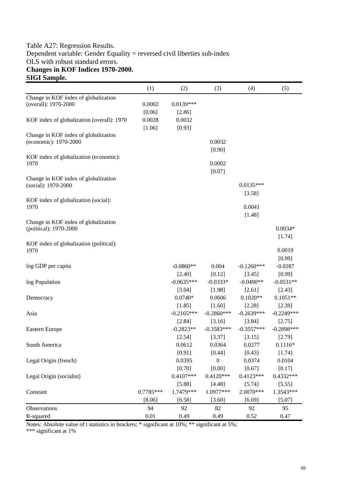#### Table A27: Regression Results. Dependent variable: Gender Equality = reversed civil liberties sub-index OLS with robust standard errors. **Changes in KOF Indices 1970-2000. SIGI Sample.**

|                                                                | (1)                 | (2)                    | (3)                        | (4)                    | (5)                    |
|----------------------------------------------------------------|---------------------|------------------------|----------------------------|------------------------|------------------------|
| Change in KOF index of globalization<br>(overall): 1970-2000   | 0.0002<br>[0.06]    | $0.0139***$<br>[2.86]  |                            |                        |                        |
| KOF index of globalization (overall): 1970                     | 0.0028<br>[1.06]    | 0.0032<br>[0.93]       |                            |                        |                        |
| Change in KOF index of globalization<br>(economic): 1970-2000  |                     |                        | 0.0032                     |                        |                        |
| KOF index of globalization (economic):<br>1970                 |                     |                        | [0.90]<br>0.0002<br>[0.07] |                        |                        |
| Change in KOF index of globalization<br>(social): 1970-2000    |                     |                        |                            | $0.0135***$<br>[3.58]  |                        |
| KOF index of globalization (social):<br>1970                   |                     |                        |                            | 0.0041<br>[1.48]       |                        |
| Change in KOF index of globalization<br>(political): 1970-2000 |                     |                        |                            |                        | $0.0034*$<br>[1.74]    |
| KOF index of globalization (political):<br>1970                |                     |                        |                            |                        | 0.0019<br>[0.99]       |
| log GDP per capita                                             |                     | $-0.0860**$<br>[2.40]  | 0.004<br>[0.12]            | $-0.1260***$<br>[3.45] | $-0.0287$<br>[0.99]    |
| log Population                                                 |                     | $-0.0635***$<br>[3.04] | $-0.0333*$<br>[1.98]       | $-0.0490**$<br>[2.61]  | $-0.0531**$<br>[2.43]  |
| Democracy                                                      |                     | $0.0740*$<br>[1.85]    | 0.0606<br>[1.60]           | $0.1020**$<br>[2.28]   | $0.1051**$<br>[2.39]   |
| Asia                                                           |                     | $-0.2165***$<br>[2.84] | $-0.2860***$<br>[3.16]     | $-0.2639***$<br>[3.84] | $-0.2249***$<br>[2.75] |
| Eastern Europe                                                 |                     | $-0.2823**$<br>[2.54]  | $-0.3583***$<br>[3.37]     | $-0.3557***$<br>[3.15] | $-0.2898***$<br>[2.79] |
| South America                                                  |                     | 0.0612<br>[0.91]       | 0.0364<br>[0.44]           | 0.0277<br>[0.43]       | $0.1116*$<br>[1.74]    |
| Legal Origin (french)                                          |                     | 0.0395<br>[0.70]       | $\boldsymbol{0}$<br>[0.00] | 0.0374<br>[0.67]       | 0.0104<br>[0.17]       |
| Legal Origin (socialist)                                       |                     | $0.4107***$<br>[5.88]  | $0.4120***$<br>[4.48]      | $0.4123***$<br>[5.74]  | 0.4332***<br>[5.55]    |
| Constant                                                       | 0.7785***<br>[8.06] | 1.7479***<br>[6.58]    | 1.0977***<br>[3.60]        | 2.0070***<br>[6.69]    | 1.3543***<br>[5.07]    |
| Observations                                                   | 94                  | 92                     | 82                         | 92                     | 95                     |
| R-squared                                                      | 0.01                | 0.49                   | 0.49                       | 0.52                   | 0.47                   |

Notes: Absolute value of t statistics in brackets; \* significant at 10%; \*\* significant at 5%;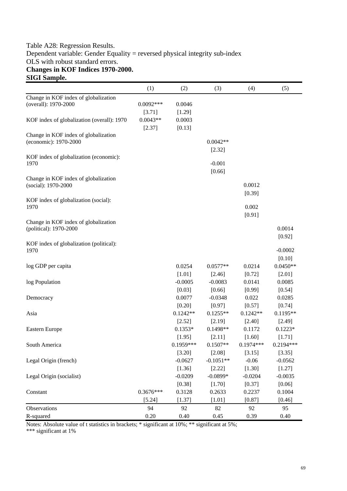#### Table A28: Regression Results. Dependent variable: Gender Equality = reversed physical integrity sub-index OLS with robust standard errors. **Changes in KOF Indices 1970-2000. SIGI Sample.**

|                                              | (1)         | (2)         | (3)         | (4)         | (5)         |
|----------------------------------------------|-------------|-------------|-------------|-------------|-------------|
| Change in KOF index of globalization         |             |             |             |             |             |
| (overall): 1970-2000                         | $0.0092***$ | 0.0046      |             |             |             |
|                                              | [3.71]      | [1.29]      |             |             |             |
| KOF index of globalization (overall): 1970   | $0.0043**$  | 0.0003      |             |             |             |
|                                              | [2.37]      | [0.13]      |             |             |             |
| Change in KOF index of globalization         |             |             |             |             |             |
| (economic): 1970-2000                        |             |             | $0.0042**$  |             |             |
|                                              |             |             | [2.32]      |             |             |
| KOF index of globalization (economic):       |             |             |             |             |             |
| 1970                                         |             |             | $-0.001$    |             |             |
|                                              |             |             | [0.66]      |             |             |
| Change in KOF index of globalization         |             |             |             |             |             |
| (social): 1970-2000                          |             |             |             | 0.0012      |             |
|                                              |             |             |             | [0.39]      |             |
| KOF index of globalization (social):<br>1970 |             |             |             | 0.002       |             |
|                                              |             |             |             | [0.91]      |             |
| Change in KOF index of globalization         |             |             |             |             |             |
| (political): 1970-2000                       |             |             |             |             | 0.0014      |
|                                              |             |             |             |             | [0.92]      |
| KOF index of globalization (political):      |             |             |             |             |             |
| 1970                                         |             |             |             |             | $-0.0002$   |
|                                              |             |             |             |             | [0.10]      |
| log GDP per capita                           |             | 0.0254      | $0.0577**$  | 0.0214      | $0.0450**$  |
|                                              |             | $[1.01]$    | [2.46]      | [0.72]      | [2.01]      |
| log Population                               |             | $-0.0005$   | $-0.0083$   | 0.0141      | 0.0085      |
|                                              |             | [0.03]      | [0.66]      | [0.99]      | [0.54]      |
| Democracy                                    |             | 0.0077      | $-0.0348$   | 0.022       | 0.0285      |
|                                              |             | [0.20]      | [0.97]      | [0.57]      | [0.74]      |
| Asia                                         |             | $0.1242**$  | $0.1255**$  | $0.1242**$  | $0.1195**$  |
|                                              |             | [2.52]      | [2.19]      | [2.40]      | [2.49]      |
| Eastern Europe                               |             | $0.1353*$   | $0.1498**$  | 0.1172      | $0.1223*$   |
|                                              |             | [1.95]      | [2.11]      | [1.60]      | [1.71]      |
| South America                                |             | $0.1959***$ | $0.1507**$  | $0.1974***$ | $0.2194***$ |
|                                              |             | [3.20]      | [2.08]      | [3.15]      | [3.35]      |
| Legal Origin (french)                        |             | $-0.0627$   | $-0.1051**$ | $-0.06$     | $-0.0562$   |
|                                              |             | [1.36]      | $[2.22]$    | [1.30]      | [1.27]      |
| Legal Origin (socialist)                     |             | $-0.0209$   | $-0.0899*$  | $-0.0204$   | $-0.0035$   |
|                                              |             | [0.38]      | [1.70]      | [0.37]      | [0.06]      |
| Constant                                     | $0.3676***$ | 0.3128      | 0.2633      | 0.2237      | 0.1004      |
|                                              | [5.24]      | [1.37]      | $[1.01]$    | [0.87]      |             |
|                                              | 94          |             | 82          |             | [0.46]      |
| Observations                                 |             | 92          |             | 92          | 95          |
| R-squared                                    | $0.20\,$    | 0.40        | 0.45        | 0.39        | 0.40        |

Notes: Absolute value of t statistics in brackets; \* significant at 10%; \*\* significant at 5%;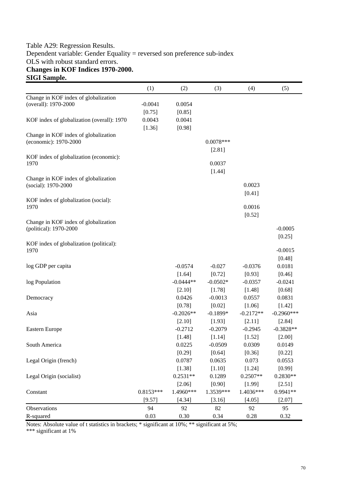#### Table A29: Regression Results. Dependent variable: Gender Equality = reversed son preference sub-index OLS with robust standard errors. **Changes in KOF Indices 1970-2000. SIGI Sample.**

|                                                             | (1)         | (2)         | (3)         | (4)         | (5)          |
|-------------------------------------------------------------|-------------|-------------|-------------|-------------|--------------|
| Change in KOF index of globalization                        |             |             |             |             |              |
| (overall): 1970-2000                                        | $-0.0041$   | 0.0054      |             |             |              |
|                                                             | [0.75]      | [0.85]      |             |             |              |
| KOF index of globalization (overall): 1970                  | 0.0043      | 0.0041      |             |             |              |
|                                                             | [1.36]      | [0.98]      |             |             |              |
| Change in KOF index of globalization                        |             |             |             |             |              |
| (economic): 1970-2000                                       |             |             | $0.0078***$ |             |              |
|                                                             |             |             | [2.81]      |             |              |
| KOF index of globalization (economic):                      |             |             |             |             |              |
| 1970                                                        |             |             | 0.0037      |             |              |
|                                                             |             |             | [1.44]      |             |              |
| Change in KOF index of globalization<br>(social): 1970-2000 |             |             |             | 0.0023      |              |
|                                                             |             |             |             | [0.41]      |              |
| KOF index of globalization (social):                        |             |             |             |             |              |
| 1970                                                        |             |             |             | 0.0016      |              |
|                                                             |             |             |             | [0.52]      |              |
| Change in KOF index of globalization                        |             |             |             |             |              |
| (political): 1970-2000                                      |             |             |             |             | $-0.0005$    |
|                                                             |             |             |             |             | [0.25]       |
| KOF index of globalization (political):                     |             |             |             |             |              |
| 1970                                                        |             |             |             |             | $-0.0015$    |
|                                                             |             |             |             |             | [0.48]       |
| log GDP per capita                                          |             | $-0.0574$   | $-0.027$    | $-0.0376$   | 0.0181       |
|                                                             |             | [1.64]      | [0.72]      | [0.93]      | [0.46]       |
| log Population                                              |             | $-0.0444**$ | $-0.0502*$  | $-0.0357$   | $-0.0241$    |
|                                                             |             | [2.10]      | [1.78]      | $[1.48]$    | [0.68]       |
| Democracy                                                   |             | 0.0426      | $-0.0013$   | 0.0557      | 0.0831       |
|                                                             |             | [0.78]      | [0.02]      | [1.06]      | $[1.42]$     |
| Asia                                                        |             | $-0.2026**$ | $-0.1899*$  | $-0.2172**$ | $-0.2960***$ |
|                                                             |             | [2.10]      | [1.93]      | [2.11]      | [2.84]       |
| Eastern Europe                                              |             | $-0.2712$   | $-0.2079$   | $-0.2945$   | $-0.3828**$  |
|                                                             |             | [1.48]      | [1.14]      | [1.52]      | [2.00]       |
| South America                                               |             | 0.0225      | $-0.0509$   | 0.0309      | 0.0149       |
|                                                             |             | [0.29]      | [0.64]      | [0.36]      | [0.22]       |
| Legal Origin (french)                                       |             | 0.0787      | 0.0635      | 0.073       | 0.0553       |
|                                                             |             | [1.38]      | [1.10]      | [1.24]      | [0.99]       |
| Legal Origin (socialist)                                    |             | $0.2531**$  | 0.1289      | $0.2507**$  | $0.2830**$   |
|                                                             |             | [2.06]      | [0.90]      | [1.99]      | $[2.51]$     |
| Constant                                                    | $0.8153***$ | 1.4960***   | 1.3539***   | 1.4036***   | 0.9941 **    |
|                                                             | [9.57]      | [4.34]      | [3.16]      | [4.05]      | [2.07]       |
| Observations                                                | 94          | 92          | 82          | 92          | 95           |
| R-squared                                                   | 0.03        | 0.30        | 0.34        | 0.28        | 0.32         |

Notes: Absolute value of t statistics in brackets; \* significant at 10%; \*\* significant at 5%;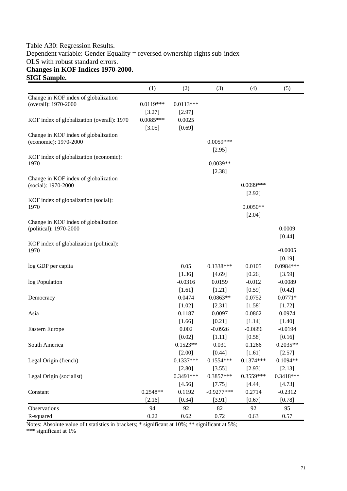## Table A30: Regression Results. Dependent variable: Gender Equality = reversed ownership rights sub-index OLS with robust standard errors. **Changes in KOF Indices 1970-2000. SIGI Sample.**

|                                                                | (1)                   | (2)                   | (3)                    | (4)                   | (5)                   |
|----------------------------------------------------------------|-----------------------|-----------------------|------------------------|-----------------------|-----------------------|
| Change in KOF index of globalization<br>(overall): 1970-2000   | $0.0119***$<br>[3.27] | $0.0113***$<br>[2.97] |                        |                       |                       |
| KOF index of globalization (overall): 1970                     | $0.0085***$<br>[3.05] | 0.0025<br>[0.69]      |                        |                       |                       |
| Change in KOF index of globalization<br>(economic): 1970-2000  |                       |                       | $0.0059***$<br>[2.95]  |                       |                       |
| KOF index of globalization (economic):<br>1970                 |                       |                       | $0.0039**$<br>[2.38]   |                       |                       |
| Change in KOF index of globalization<br>(social): 1970-2000    |                       |                       |                        | $0.0099***$<br>[2.92] |                       |
| KOF index of globalization (social):<br>1970                   |                       |                       |                        | $0.0050**$<br>[2.04]  |                       |
| Change in KOF index of globalization<br>(political): 1970-2000 |                       |                       |                        |                       | 0.0009<br>[0.44]      |
| KOF index of globalization (political):<br>1970                |                       |                       |                        |                       | $-0.0005$<br>[0.19]   |
| log GDP per capita                                             |                       | 0.05<br>[1.36]        | $0.1338***$<br>[4.69]  | 0.0105<br>[0.26]      | 0.0984 ***<br>[3.59]  |
| log Population                                                 |                       | $-0.0316$<br>[1.61]   | 0.0159<br>[1.21]       | $-0.012$<br>[0.59]    | $-0.0089$<br>[0.42]   |
| Democracy                                                      |                       | 0.0474<br>[1.02]      | $0.0863**$<br>[2.31]   | 0.0752<br>[1.58]      | $0.0771*$<br>[1.72]   |
| Asia                                                           |                       | 0.1187<br>[1.66]      | 0.0097<br>[0.21]       | 0.0862<br>[1.14]      | 0.0974<br>[1.40]      |
| Eastern Europe                                                 |                       | 0.002<br>$[0.02]$     | $-0.0926$<br>[1.11]    | $-0.0686$<br>[0.58]   | $-0.0194$<br>[0.16]   |
| South America                                                  |                       | $0.1523**$<br>[2.00]  | 0.031<br>[0.44]        | 0.1266<br>$[1.61]$    | $0.2035**$<br>[2.57]  |
| Legal Origin (french)                                          |                       | $0.1337***$<br>[2.80] | $0.1554***$<br>[3.55]  | $0.1374***$<br>[2.93] | $0.1094**$<br>[2.13]  |
| Legal Origin (socialist)                                       |                       | $0.3491***$<br>[4.56] | $0.3857***$<br>[7.75]  | 0.3559***<br>[4.44]   | $0.3418***$<br>[4.73] |
| Constant                                                       | $0.2548**$<br>[2.16]  | 0.1192<br>[0.34]      | $-0.9277***$<br>[3.91] | 0.2714<br>[0.67]      | $-0.2312$<br>[0.78]   |
| Observations                                                   | 94                    | 92                    | 82                     | 92                    | 95                    |
| R-squared                                                      | 0.22                  | 0.62                  | 0.72                   | 0.63                  | 0.57                  |

Notes: Absolute value of t statistics in brackets; \* significant at 10%; \*\* significant at 5%;

\*\*\* significant at 1%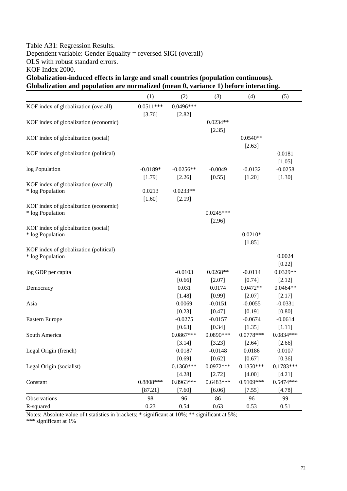## Table A31: Regression Results. Dependent variable: Gender Equality = reversed SIGI (overall) OLS with robust standard errors. KOF Index 2000.

**Globalization-induced effects in large and small countries (population continuous).**  Globalization and population are normalized (mean 0, variance 1) before interacting.

| $0.0511***$<br>0.0496***<br>[3.76]<br>[2.82]<br>$0.0234**$<br>[2.35]<br>$0.0540**$<br>KOF index of globalization (social)<br>[2.63]<br>KOF index of globalization (political)<br>0.0181<br>[1.05]<br>log Population<br>$-0.0189*$<br>$-0.0256**$<br>$-0.0049$<br>$-0.0132$<br>$-0.0258$<br>[1.79]<br>[0.55]<br>[1.20]<br>[1.30]<br>[2.26]<br>KOF index of globalization (overall)<br>* log Population<br>0.0213<br>$0.0233**$<br>[1.60]<br>[2.19]<br>$0.0245***$<br>[2.96]<br>KOF index of globalization (social)<br>* log Population<br>$0.0210*$<br>[1.85]<br>KOF index of globalization (political)<br>* log Population<br>0.0024<br>$[0.22]$<br>0.0329**<br>$-0.0103$<br>$0.0268**$<br>$-0.0114$<br>[0.66]<br>[2.07]<br>[0.74]<br>$[2.12]$<br>0.031<br>0.0174<br>$0.0472**$<br>$0.0464**$<br>[1.48]<br>[0.99]<br>[2.07]<br>[2.17]<br>0.0069<br>$-0.0151$<br>$-0.0055$<br>$-0.0331$<br>[0.23]<br>[0.47]<br>[0.19]<br>[0.80]<br>$-0.0275$<br>$-0.0157$<br>$-0.0614$<br>$-0.0674$<br>Eastern Europe<br>[0.63]<br>[0.34]<br>[1.35]<br>[1.11]<br>$0.0890***$<br>$0.0867***$<br>$0.0778***$<br>$0.0834***$<br>South America<br>[3.14]<br>[3.23]<br>[2.64]<br>[2.66]<br>Legal Origin (french)<br>0.0187<br>0.0186<br>0.0107<br>$-0.0148$<br>[0.69]<br>[0.62]<br>[0.67]<br>[0.36]<br>$0.1360***$<br>$0.0972***$<br>$0.1350***$<br>$0.1783***$<br>Legal Origin (socialist)<br>[4.28]<br>[4.00]<br>[2.72]<br>[4.21]<br>$0.6483***$<br>0.9109***<br>$0.5474***$<br>0.8808 ***<br>0.8963***<br>Constant<br>[87.21]<br>[7.60]<br>[6.06]<br>[7.55]<br>[4.78]<br>98<br>96<br>99<br>96<br>86<br>Observations<br>0.23<br>0.63<br>R-squared<br>0.54<br>0.53<br>0.51 |                                       | (1) | (2) | (3) | (4) | (5) |
|-------------------------------------------------------------------------------------------------------------------------------------------------------------------------------------------------------------------------------------------------------------------------------------------------------------------------------------------------------------------------------------------------------------------------------------------------------------------------------------------------------------------------------------------------------------------------------------------------------------------------------------------------------------------------------------------------------------------------------------------------------------------------------------------------------------------------------------------------------------------------------------------------------------------------------------------------------------------------------------------------------------------------------------------------------------------------------------------------------------------------------------------------------------------------------------------------------------------------------------------------------------------------------------------------------------------------------------------------------------------------------------------------------------------------------------------------------------------------------------------------------------------------------------------------------------------------------------------------------------------------------------------------------|---------------------------------------|-----|-----|-----|-----|-----|
|                                                                                                                                                                                                                                                                                                                                                                                                                                                                                                                                                                                                                                                                                                                                                                                                                                                                                                                                                                                                                                                                                                                                                                                                                                                                                                                                                                                                                                                                                                                                                                                                                                                       | KOF index of globalization (overall)  |     |     |     |     |     |
|                                                                                                                                                                                                                                                                                                                                                                                                                                                                                                                                                                                                                                                                                                                                                                                                                                                                                                                                                                                                                                                                                                                                                                                                                                                                                                                                                                                                                                                                                                                                                                                                                                                       |                                       |     |     |     |     |     |
|                                                                                                                                                                                                                                                                                                                                                                                                                                                                                                                                                                                                                                                                                                                                                                                                                                                                                                                                                                                                                                                                                                                                                                                                                                                                                                                                                                                                                                                                                                                                                                                                                                                       | KOF index of globalization (economic) |     |     |     |     |     |
|                                                                                                                                                                                                                                                                                                                                                                                                                                                                                                                                                                                                                                                                                                                                                                                                                                                                                                                                                                                                                                                                                                                                                                                                                                                                                                                                                                                                                                                                                                                                                                                                                                                       |                                       |     |     |     |     |     |
|                                                                                                                                                                                                                                                                                                                                                                                                                                                                                                                                                                                                                                                                                                                                                                                                                                                                                                                                                                                                                                                                                                                                                                                                                                                                                                                                                                                                                                                                                                                                                                                                                                                       |                                       |     |     |     |     |     |
|                                                                                                                                                                                                                                                                                                                                                                                                                                                                                                                                                                                                                                                                                                                                                                                                                                                                                                                                                                                                                                                                                                                                                                                                                                                                                                                                                                                                                                                                                                                                                                                                                                                       |                                       |     |     |     |     |     |
|                                                                                                                                                                                                                                                                                                                                                                                                                                                                                                                                                                                                                                                                                                                                                                                                                                                                                                                                                                                                                                                                                                                                                                                                                                                                                                                                                                                                                                                                                                                                                                                                                                                       |                                       |     |     |     |     |     |
|                                                                                                                                                                                                                                                                                                                                                                                                                                                                                                                                                                                                                                                                                                                                                                                                                                                                                                                                                                                                                                                                                                                                                                                                                                                                                                                                                                                                                                                                                                                                                                                                                                                       |                                       |     |     |     |     |     |
|                                                                                                                                                                                                                                                                                                                                                                                                                                                                                                                                                                                                                                                                                                                                                                                                                                                                                                                                                                                                                                                                                                                                                                                                                                                                                                                                                                                                                                                                                                                                                                                                                                                       |                                       |     |     |     |     |     |
|                                                                                                                                                                                                                                                                                                                                                                                                                                                                                                                                                                                                                                                                                                                                                                                                                                                                                                                                                                                                                                                                                                                                                                                                                                                                                                                                                                                                                                                                                                                                                                                                                                                       |                                       |     |     |     |     |     |
|                                                                                                                                                                                                                                                                                                                                                                                                                                                                                                                                                                                                                                                                                                                                                                                                                                                                                                                                                                                                                                                                                                                                                                                                                                                                                                                                                                                                                                                                                                                                                                                                                                                       |                                       |     |     |     |     |     |
|                                                                                                                                                                                                                                                                                                                                                                                                                                                                                                                                                                                                                                                                                                                                                                                                                                                                                                                                                                                                                                                                                                                                                                                                                                                                                                                                                                                                                                                                                                                                                                                                                                                       |                                       |     |     |     |     |     |
|                                                                                                                                                                                                                                                                                                                                                                                                                                                                                                                                                                                                                                                                                                                                                                                                                                                                                                                                                                                                                                                                                                                                                                                                                                                                                                                                                                                                                                                                                                                                                                                                                                                       | KOF index of globalization (economic) |     |     |     |     |     |
|                                                                                                                                                                                                                                                                                                                                                                                                                                                                                                                                                                                                                                                                                                                                                                                                                                                                                                                                                                                                                                                                                                                                                                                                                                                                                                                                                                                                                                                                                                                                                                                                                                                       | * log Population                      |     |     |     |     |     |
|                                                                                                                                                                                                                                                                                                                                                                                                                                                                                                                                                                                                                                                                                                                                                                                                                                                                                                                                                                                                                                                                                                                                                                                                                                                                                                                                                                                                                                                                                                                                                                                                                                                       |                                       |     |     |     |     |     |
|                                                                                                                                                                                                                                                                                                                                                                                                                                                                                                                                                                                                                                                                                                                                                                                                                                                                                                                                                                                                                                                                                                                                                                                                                                                                                                                                                                                                                                                                                                                                                                                                                                                       |                                       |     |     |     |     |     |
|                                                                                                                                                                                                                                                                                                                                                                                                                                                                                                                                                                                                                                                                                                                                                                                                                                                                                                                                                                                                                                                                                                                                                                                                                                                                                                                                                                                                                                                                                                                                                                                                                                                       |                                       |     |     |     |     |     |
|                                                                                                                                                                                                                                                                                                                                                                                                                                                                                                                                                                                                                                                                                                                                                                                                                                                                                                                                                                                                                                                                                                                                                                                                                                                                                                                                                                                                                                                                                                                                                                                                                                                       |                                       |     |     |     |     |     |
|                                                                                                                                                                                                                                                                                                                                                                                                                                                                                                                                                                                                                                                                                                                                                                                                                                                                                                                                                                                                                                                                                                                                                                                                                                                                                                                                                                                                                                                                                                                                                                                                                                                       |                                       |     |     |     |     |     |
|                                                                                                                                                                                                                                                                                                                                                                                                                                                                                                                                                                                                                                                                                                                                                                                                                                                                                                                                                                                                                                                                                                                                                                                                                                                                                                                                                                                                                                                                                                                                                                                                                                                       |                                       |     |     |     |     |     |
|                                                                                                                                                                                                                                                                                                                                                                                                                                                                                                                                                                                                                                                                                                                                                                                                                                                                                                                                                                                                                                                                                                                                                                                                                                                                                                                                                                                                                                                                                                                                                                                                                                                       | log GDP per capita                    |     |     |     |     |     |
|                                                                                                                                                                                                                                                                                                                                                                                                                                                                                                                                                                                                                                                                                                                                                                                                                                                                                                                                                                                                                                                                                                                                                                                                                                                                                                                                                                                                                                                                                                                                                                                                                                                       |                                       |     |     |     |     |     |
|                                                                                                                                                                                                                                                                                                                                                                                                                                                                                                                                                                                                                                                                                                                                                                                                                                                                                                                                                                                                                                                                                                                                                                                                                                                                                                                                                                                                                                                                                                                                                                                                                                                       | Democracy                             |     |     |     |     |     |
|                                                                                                                                                                                                                                                                                                                                                                                                                                                                                                                                                                                                                                                                                                                                                                                                                                                                                                                                                                                                                                                                                                                                                                                                                                                                                                                                                                                                                                                                                                                                                                                                                                                       |                                       |     |     |     |     |     |
|                                                                                                                                                                                                                                                                                                                                                                                                                                                                                                                                                                                                                                                                                                                                                                                                                                                                                                                                                                                                                                                                                                                                                                                                                                                                                                                                                                                                                                                                                                                                                                                                                                                       | Asia                                  |     |     |     |     |     |
|                                                                                                                                                                                                                                                                                                                                                                                                                                                                                                                                                                                                                                                                                                                                                                                                                                                                                                                                                                                                                                                                                                                                                                                                                                                                                                                                                                                                                                                                                                                                                                                                                                                       |                                       |     |     |     |     |     |
|                                                                                                                                                                                                                                                                                                                                                                                                                                                                                                                                                                                                                                                                                                                                                                                                                                                                                                                                                                                                                                                                                                                                                                                                                                                                                                                                                                                                                                                                                                                                                                                                                                                       |                                       |     |     |     |     |     |
|                                                                                                                                                                                                                                                                                                                                                                                                                                                                                                                                                                                                                                                                                                                                                                                                                                                                                                                                                                                                                                                                                                                                                                                                                                                                                                                                                                                                                                                                                                                                                                                                                                                       |                                       |     |     |     |     |     |
|                                                                                                                                                                                                                                                                                                                                                                                                                                                                                                                                                                                                                                                                                                                                                                                                                                                                                                                                                                                                                                                                                                                                                                                                                                                                                                                                                                                                                                                                                                                                                                                                                                                       |                                       |     |     |     |     |     |
|                                                                                                                                                                                                                                                                                                                                                                                                                                                                                                                                                                                                                                                                                                                                                                                                                                                                                                                                                                                                                                                                                                                                                                                                                                                                                                                                                                                                                                                                                                                                                                                                                                                       |                                       |     |     |     |     |     |
|                                                                                                                                                                                                                                                                                                                                                                                                                                                                                                                                                                                                                                                                                                                                                                                                                                                                                                                                                                                                                                                                                                                                                                                                                                                                                                                                                                                                                                                                                                                                                                                                                                                       |                                       |     |     |     |     |     |
|                                                                                                                                                                                                                                                                                                                                                                                                                                                                                                                                                                                                                                                                                                                                                                                                                                                                                                                                                                                                                                                                                                                                                                                                                                                                                                                                                                                                                                                                                                                                                                                                                                                       |                                       |     |     |     |     |     |
|                                                                                                                                                                                                                                                                                                                                                                                                                                                                                                                                                                                                                                                                                                                                                                                                                                                                                                                                                                                                                                                                                                                                                                                                                                                                                                                                                                                                                                                                                                                                                                                                                                                       |                                       |     |     |     |     |     |
|                                                                                                                                                                                                                                                                                                                                                                                                                                                                                                                                                                                                                                                                                                                                                                                                                                                                                                                                                                                                                                                                                                                                                                                                                                                                                                                                                                                                                                                                                                                                                                                                                                                       |                                       |     |     |     |     |     |
|                                                                                                                                                                                                                                                                                                                                                                                                                                                                                                                                                                                                                                                                                                                                                                                                                                                                                                                                                                                                                                                                                                                                                                                                                                                                                                                                                                                                                                                                                                                                                                                                                                                       |                                       |     |     |     |     |     |
|                                                                                                                                                                                                                                                                                                                                                                                                                                                                                                                                                                                                                                                                                                                                                                                                                                                                                                                                                                                                                                                                                                                                                                                                                                                                                                                                                                                                                                                                                                                                                                                                                                                       |                                       |     |     |     |     |     |
|                                                                                                                                                                                                                                                                                                                                                                                                                                                                                                                                                                                                                                                                                                                                                                                                                                                                                                                                                                                                                                                                                                                                                                                                                                                                                                                                                                                                                                                                                                                                                                                                                                                       |                                       |     |     |     |     |     |

Notes: Absolute value of t statistics in brackets; \* significant at 10%; \*\* significant at 5%;

\*\*\* significant at 1%